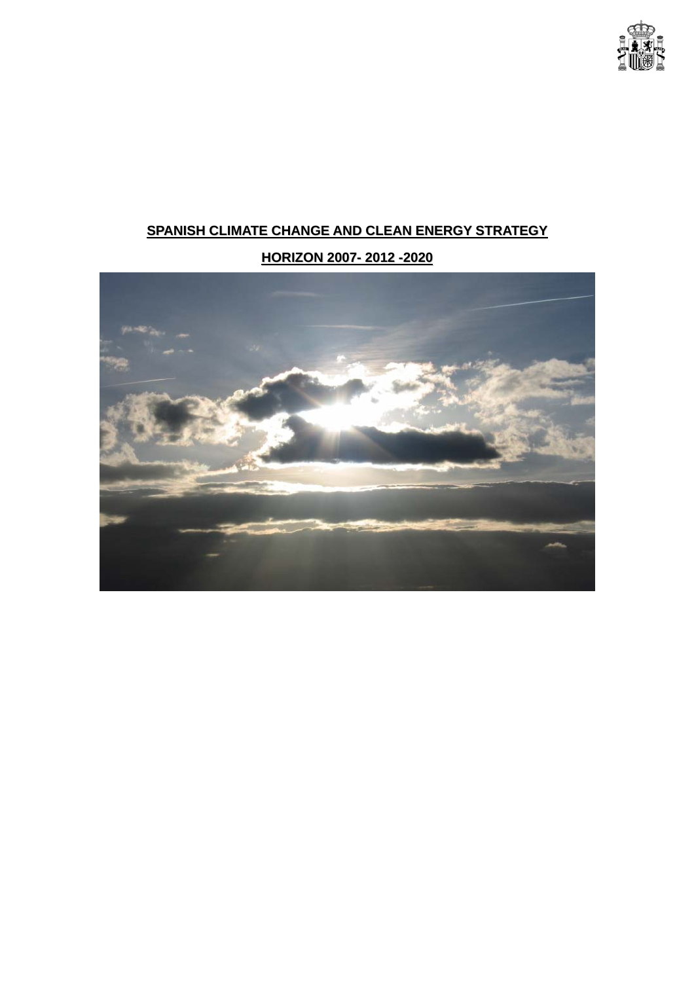

# **SPANISH CLIMATE CHANGE AND CLEAN ENERGY STRATEGY**

# **HORIZON 2007- 2012 -2020**

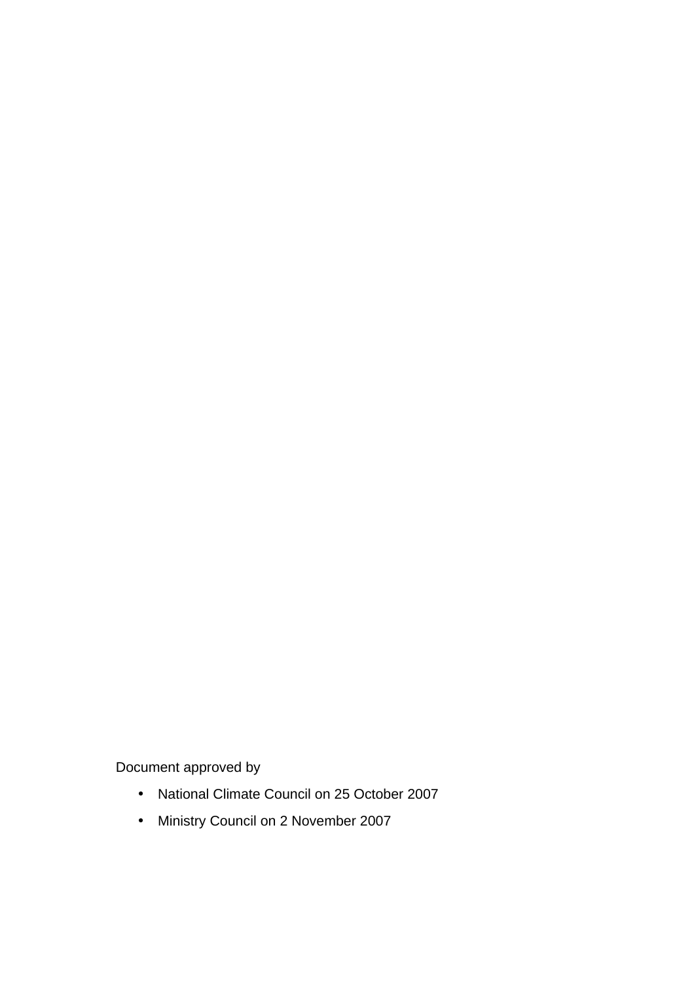Document approved by

- National Climate Council on 25 October 2007
- Ministry Council on 2 November 2007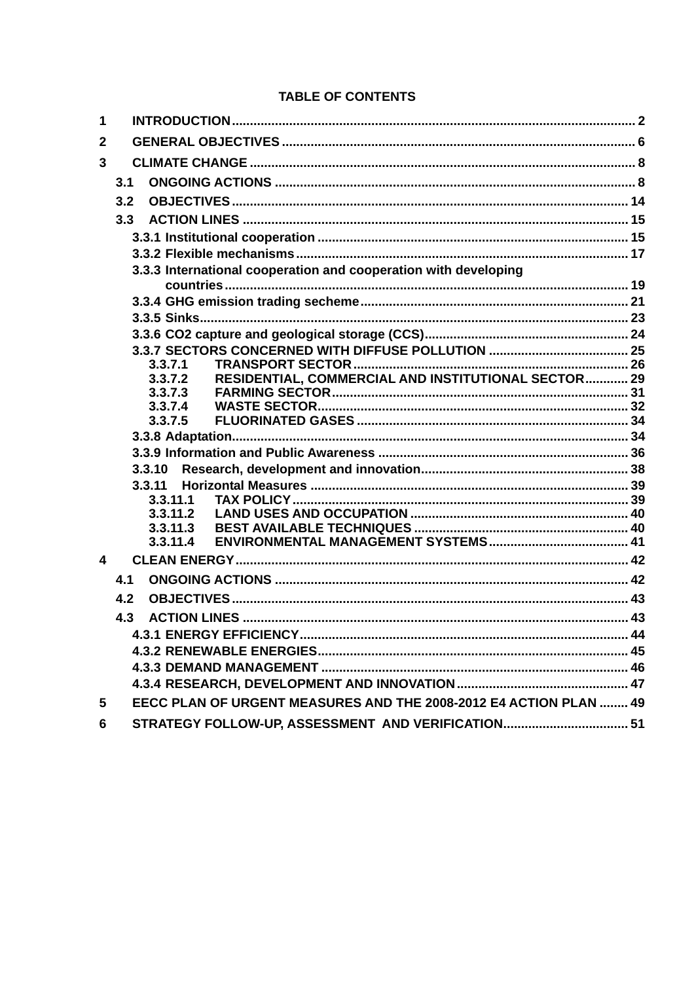## **TABLE OF CONTENTS**

| 1                |                                                                   |  |  |  |  |  |  |
|------------------|-------------------------------------------------------------------|--|--|--|--|--|--|
| $\mathbf{2}$     |                                                                   |  |  |  |  |  |  |
| $\mathbf{3}$     |                                                                   |  |  |  |  |  |  |
|                  | 3.1                                                               |  |  |  |  |  |  |
|                  | 3.2                                                               |  |  |  |  |  |  |
|                  | 3.3                                                               |  |  |  |  |  |  |
|                  |                                                                   |  |  |  |  |  |  |
|                  |                                                                   |  |  |  |  |  |  |
|                  | 3.3.3 International cooperation and cooperation with developing   |  |  |  |  |  |  |
|                  |                                                                   |  |  |  |  |  |  |
|                  |                                                                   |  |  |  |  |  |  |
|                  |                                                                   |  |  |  |  |  |  |
|                  |                                                                   |  |  |  |  |  |  |
|                  | 3.3.7.1                                                           |  |  |  |  |  |  |
|                  | RESIDENTIAL, COMMERCIAL AND INSTITUTIONAL SECTOR 29<br>3.3.7.2    |  |  |  |  |  |  |
|                  | 3.3.7.3                                                           |  |  |  |  |  |  |
|                  | 3.3.7.4                                                           |  |  |  |  |  |  |
|                  | 3.3.7.5                                                           |  |  |  |  |  |  |
|                  |                                                                   |  |  |  |  |  |  |
|                  |                                                                   |  |  |  |  |  |  |
|                  | 3.3.10<br>3.3.11                                                  |  |  |  |  |  |  |
|                  | 3.3.11.1                                                          |  |  |  |  |  |  |
|                  | 3.3.11.2                                                          |  |  |  |  |  |  |
|                  | 3.3.11.3                                                          |  |  |  |  |  |  |
|                  | 3.3.11.4                                                          |  |  |  |  |  |  |
| $\boldsymbol{4}$ |                                                                   |  |  |  |  |  |  |
|                  | 4.1                                                               |  |  |  |  |  |  |
|                  | 4.2                                                               |  |  |  |  |  |  |
|                  | 4.3                                                               |  |  |  |  |  |  |
|                  |                                                                   |  |  |  |  |  |  |
|                  |                                                                   |  |  |  |  |  |  |
|                  |                                                                   |  |  |  |  |  |  |
|                  |                                                                   |  |  |  |  |  |  |
| 5                | EECC PLAN OF URGENT MEASURES AND THE 2008-2012 E4 ACTION PLAN  49 |  |  |  |  |  |  |
| 6                | STRATEGY FOLLOW-UP, ASSESSMENT AND VERIFICATION 51                |  |  |  |  |  |  |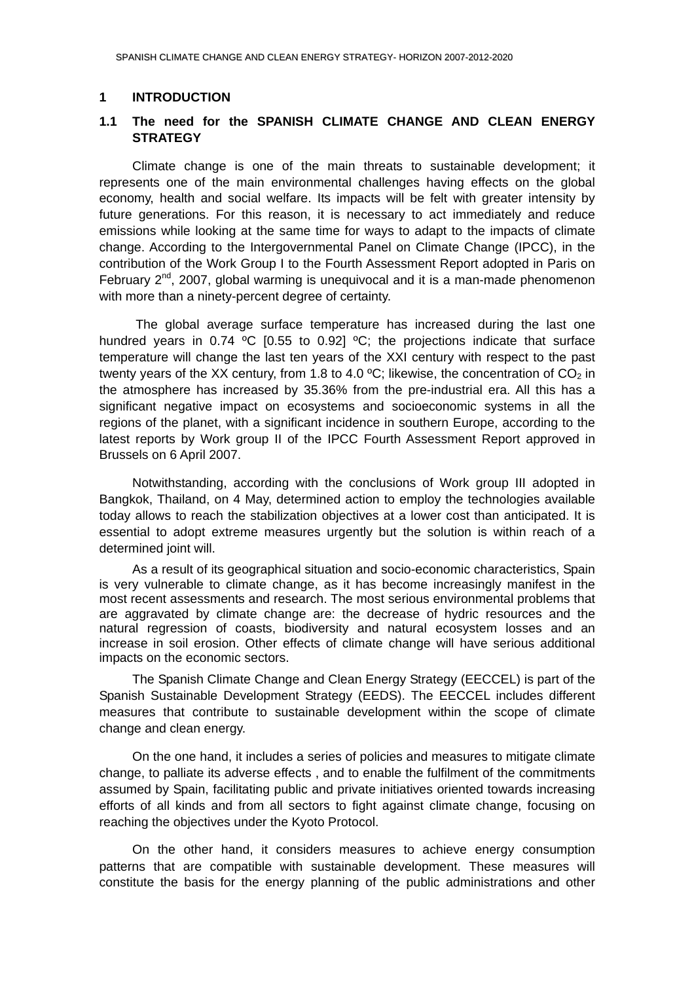## <span id="page-5-0"></span>**1 INTRODUCTION**

## **1.1 The need for the SPANISH CLIMATE CHANGE AND CLEAN ENERGY STRATEGY**

Climate change is one of the main threats to sustainable development; it represents one of the main environmental challenges having effects on the global economy, health and social welfare. Its impacts will be felt with greater intensity by future generations. For this reason, it is necessary to act immediately and reduce emissions while looking at the same time for ways to adapt to the impacts of climate change. According to the Intergovernmental Panel on Climate Change (IPCC), in the contribution of the Work Group I to the Fourth Assessment Report adopted in Paris on February  $2^{nd}$ , 2007, global warming is unequivocal and it is a man-made phenomenon with more than a ninety-percent degree of certainty.

 The global average surface temperature has increased during the last one hundred years in 0.74  $^{\circ}$ C [0.55 to 0.92]  $^{\circ}$ C; the projections indicate that surface temperature will change the last ten years of the XXI century with respect to the past twenty years of the XX century, from 1.8 to 4.0  $^{\circ}$ C; likewise, the concentration of CO<sub>2</sub> in the atmosphere has increased by 35.36% from the pre-industrial era. All this has a significant negative impact on ecosystems and socioeconomic systems in all the regions of the planet, with a significant incidence in southern Europe, according to the latest reports by Work group II of the IPCC Fourth Assessment Report approved in Brussels on 6 April 2007.

Notwithstanding, according with the conclusions of Work group III adopted in Bangkok, Thailand, on 4 May, determined action to employ the technologies available today allows to reach the stabilization objectives at a lower cost than anticipated. It is essential to adopt extreme measures urgently but the solution is within reach of a determined joint will.

As a result of its geographical situation and socio-economic characteristics, Spain is very vulnerable to climate change, as it has become increasingly manifest in the most recent assessments and research. The most serious environmental problems that are aggravated by climate change are: the decrease of hydric resources and the natural regression of coasts, biodiversity and natural ecosystem losses and an increase in soil erosion. Other effects of climate change will have serious additional impacts on the economic sectors.

The Spanish Climate Change and Clean Energy Strategy (EECCEL) is part of the Spanish Sustainable Development Strategy (EEDS). The EECCEL includes different measures that contribute to sustainable development within the scope of climate change and clean energy.

On the one hand, it includes a series of policies and measures to mitigate climate change, to palliate its adverse effects , and to enable the fulfilment of the commitments assumed by Spain, facilitating public and private initiatives oriented towards increasing efforts of all kinds and from all sectors to fight against climate change, focusing on reaching the objectives under the Kyoto Protocol.

On the other hand, it considers measures to achieve energy consumption patterns that are compatible with sustainable development. These measures will constitute the basis for the energy planning of the public administrations and other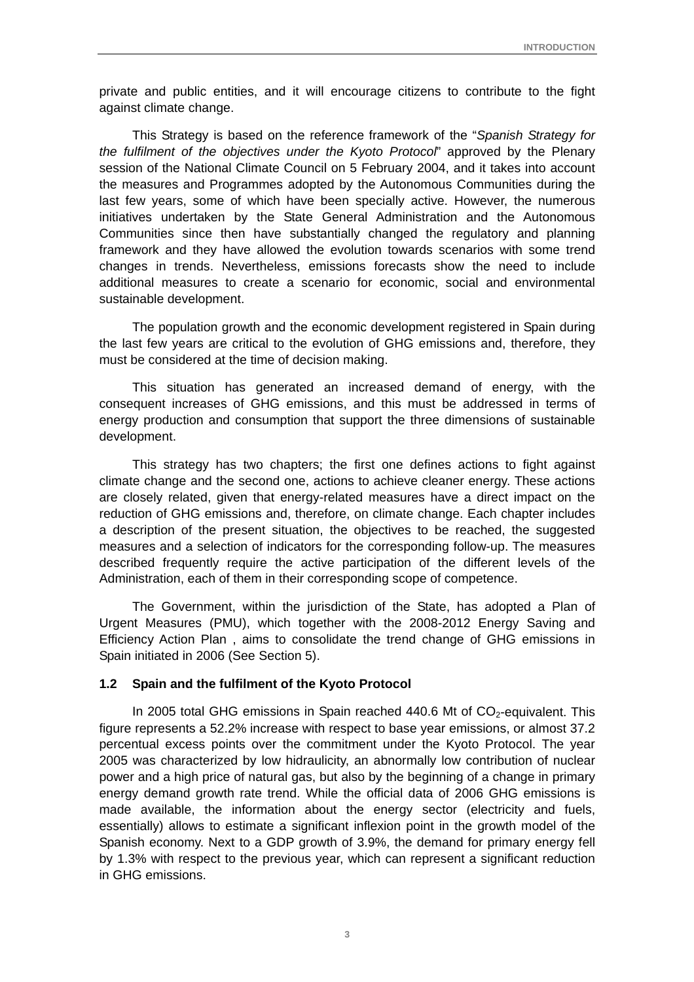private and public entities, and it will encourage citizens to contribute to the fight against climate change.

This Strategy is based on the reference framework of the "*Spanish Strategy for the fulfilment of the objectives under the Kyoto Protocol*" approved by the Plenary session of the National Climate Council on 5 February 2004, and it takes into account the measures and Programmes adopted by the Autonomous Communities during the last few years, some of which have been specially active. However, the numerous initiatives undertaken by the State General Administration and the Autonomous Communities since then have substantially changed the regulatory and planning framework and they have allowed the evolution towards scenarios with some trend changes in trends. Nevertheless, emissions forecasts show the need to include additional measures to create a scenario for economic, social and environmental sustainable development.

The population growth and the economic development registered in Spain during the last few years are critical to the evolution of GHG emissions and, therefore, they must be considered at the time of decision making.

This situation has generated an increased demand of energy, with the consequent increases of GHG emissions, and this must be addressed in terms of energy production and consumption that support the three dimensions of sustainable development.

This strategy has two chapters; the first one defines actions to fight against climate change and the second one, actions to achieve cleaner energy. These actions are closely related, given that energy-related measures have a direct impact on the reduction of GHG emissions and, therefore, on climate change. Each chapter includes a description of the present situation, the objectives to be reached, the suggested measures and a selection of indicators for the corresponding follow-up. The measures described frequently require the active participation of the different levels of the Administration, each of them in their corresponding scope of competence.

The Government, within the jurisdiction of the State, has adopted a Plan of Urgent Measures (PMU), which together with the 2008-2012 Energy Saving and Efficiency Action Plan , aims to consolidate the trend change of GHG emissions in Spain initiated in 2006 (See Section 5).

#### **1.2 Spain and the fulfilment of the Kyoto Protocol**

In 2005 total GHG emissions in Spain reached  $440.6$  Mt of  $CO<sub>2</sub>$ -equivalent. This figure represents a 52.2% increase with respect to base year emissions, or almost 37.2 percentual excess points over the commitment under the Kyoto Protocol. The year 2005 was characterized by low hidraulicity, an abnormally low contribution of nuclear power and a high price of natural gas, but also by the beginning of a change in primary energy demand growth rate trend. While the official data of 2006 GHG emissions is made available, the information about the energy sector (electricity and fuels, essentially) allows to estimate a significant inflexion point in the growth model of the Spanish economy. Next to a GDP growth of 3.9%, the demand for primary energy fell by 1.3% with respect to the previous year, which can represent a significant reduction in GHG emissions.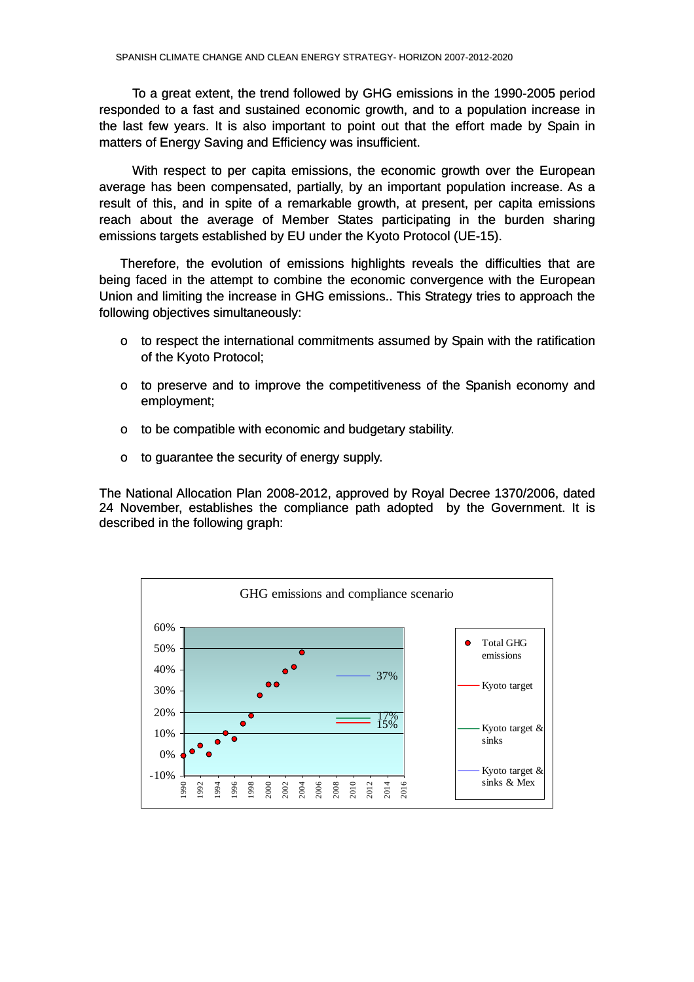To a great extent, the trend followed by GHG emissions in the 1990-2005 period responded to a fast and sustained economic growth, and to a population increase in the last few years. It is also important to point out that the effort made by Spain in matters of Energy Saving and Efficiency was insufficient.

With respect to per capita emissions, the economic growth over the European average has been compensated, partially, by an important population increase. As a result of this, and in spite of a remarkable growth, at present, per capita emissions reach about the average of Member States participating in the burden sharing emissions targets established by EU under the Kyoto Protocol (UE-15).

Therefore, the evolution of emissions highlights reveals the difficulties that are being faced in the attempt to combine the economic convergence with the European Union and limiting the increase in GHG emissions.. This Strategy tries to approach the following objectives simultaneously:

- $\circ$  to respect the international commitments assumed by Spain with the ratification of the Kyoto Protocol;
- o to preserve and to improve the competitiveness of the Spanish economy and employment;
- $\circ$  to be compatible with economic and budgetary stability.
- $\circ$  to guarantee the security of energy supply.

The National Allocation Plan 2008-2012, approved by Royal Decree 1370/2006, dated 24 November, establishes the compliance path adopted by the Government. It is described in the following graph:

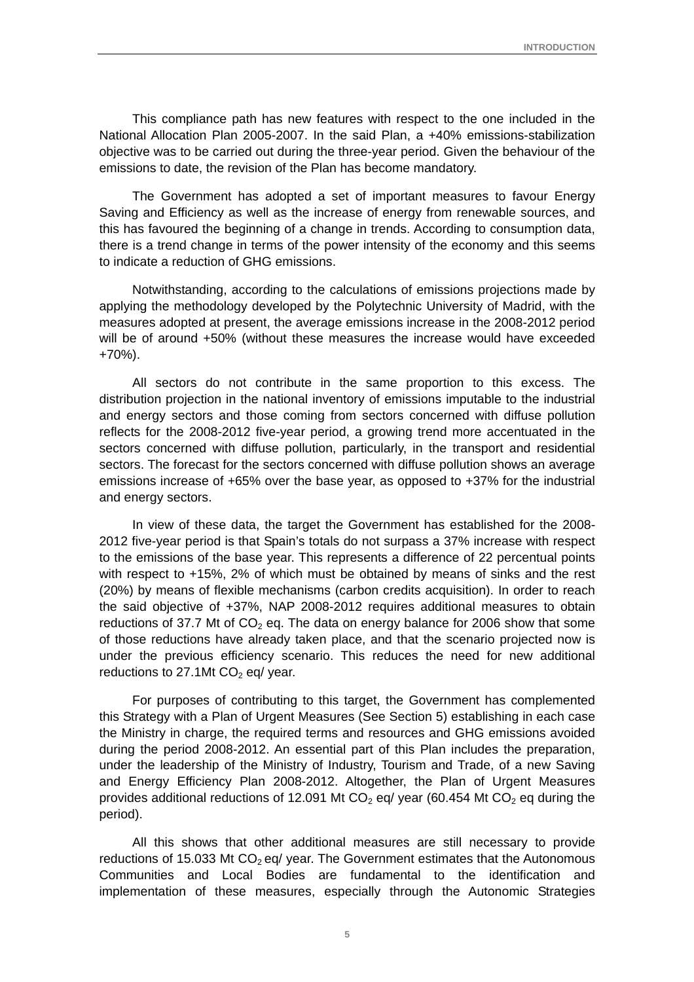This compliance path has new features with respect to the one included in the National Allocation Plan 2005-2007. In the said Plan, a +40% emissions-stabilization objective was to be carried out during the three-year period. Given the behaviour of the emissions to date, the revision of the Plan has become mandatory.

The Government has adopted a set of important measures to favour Energy Saving and Efficiency as well as the increase of energy from renewable sources, and this has favoured the beginning of a change in trends. According to consumption data, there is a trend change in terms of the power intensity of the economy and this seems to indicate a reduction of GHG emissions.

Notwithstanding, according to the calculations of emissions projections made by applying the methodology developed by the Polytechnic University of Madrid, with the measures adopted at present, the average emissions increase in the 2008-2012 period will be of around +50% (without these measures the increase would have exceeded +70%).

All sectors do not contribute in the same proportion to this excess. The distribution projection in the national inventory of emissions imputable to the industrial and energy sectors and those coming from sectors concerned with diffuse pollution reflects for the 2008-2012 five-year period, a growing trend more accentuated in the sectors concerned with diffuse pollution, particularly, in the transport and residential sectors. The forecast for the sectors concerned with diffuse pollution shows an average emissions increase of +65% over the base year, as opposed to +37% for the industrial and energy sectors.

In view of these data, the target the Government has established for the 2008- 2012 five-year period is that Spain's totals do not surpass a 37% increase with respect to the emissions of the base year. This represents a difference of 22 percentual points with respect to +15%, 2% of which must be obtained by means of sinks and the rest (20%) by means of flexible mechanisms (carbon credits acquisition). In order to reach the said objective of +37%, NAP 2008-2012 requires additional measures to obtain reductions of 37.7 Mt of  $CO<sub>2</sub>$  eq. The data on energy balance for 2006 show that some of those reductions have already taken place, and that the scenario projected now is under the previous efficiency scenario. This reduces the need for new additional reductions to 27.1Mt  $CO<sub>2</sub>$  eq/ year.

For purposes of contributing to this target, the Government has complemented this Strategy with a Plan of Urgent Measures (See Section 5) establishing in each case the Ministry in charge, the required terms and resources and GHG emissions avoided during the period 2008-2012. An essential part of this Plan includes the preparation, under the leadership of the Ministry of Industry, Tourism and Trade, of a new Saving and Energy Efficiency Plan 2008-2012. Altogether, the Plan of Urgent Measures provides additional reductions of 12.091 Mt  $CO<sub>2</sub>$  eq/ year (60.454 Mt  $CO<sub>2</sub>$  eq during the period).

All this shows that other additional measures are still necessary to provide reductions of 15.033 Mt  $CO<sub>2</sub>$  eq/ year. The Government estimates that the Autonomous Communities and Local Bodies are fundamental to the identification and implementation of these measures, especially through the Autonomic Strategies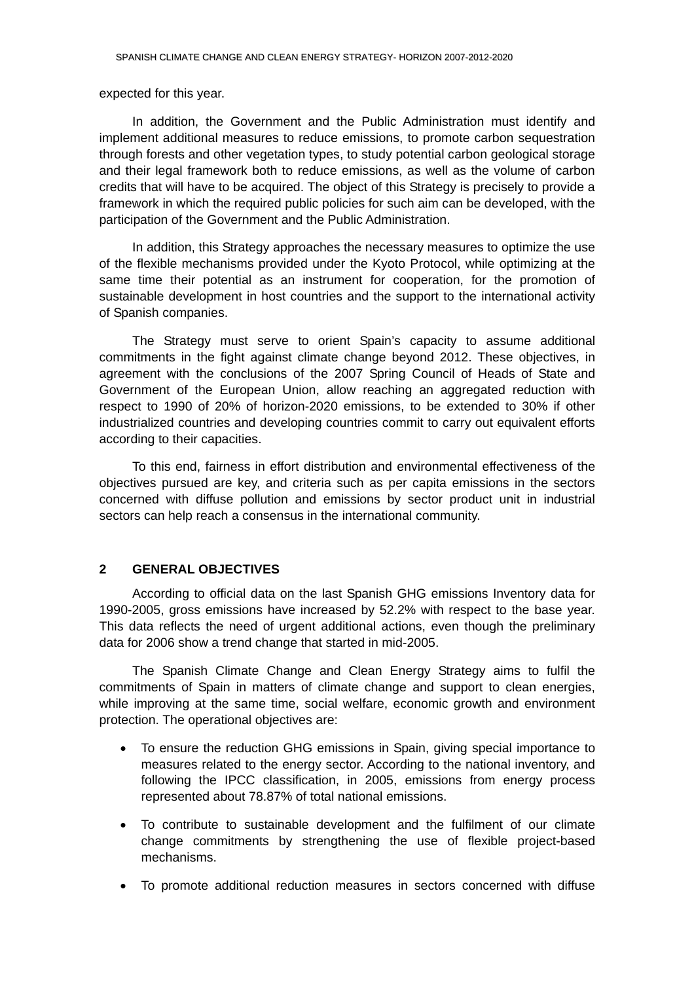#### <span id="page-9-0"></span>expected for this year.

In addition, the Government and the Public Administration must identify and implement additional measures to reduce emissions, to promote carbon sequestration through forests and other vegetation types, to study potential carbon geological storage and their legal framework both to reduce emissions, as well as the volume of carbon credits that will have to be acquired. The object of this Strategy is precisely to provide a framework in which the required public policies for such aim can be developed, with the participation of the Government and the Public Administration.

In addition, this Strategy approaches the necessary measures to optimize the use of the flexible mechanisms provided under the Kyoto Protocol, while optimizing at the same time their potential as an instrument for cooperation, for the promotion of sustainable development in host countries and the support to the international activity of Spanish companies.

The Strategy must serve to orient Spain's capacity to assume additional commitments in the fight against climate change beyond 2012. These objectives, in agreement with the conclusions of the 2007 Spring Council of Heads of State and Government of the European Union, allow reaching an aggregated reduction with respect to 1990 of 20% of horizon-2020 emissions, to be extended to 30% if other industrialized countries and developing countries commit to carry out equivalent efforts according to their capacities.

To this end, fairness in effort distribution and environmental effectiveness of the objectives pursued are key, and criteria such as per capita emissions in the sectors concerned with diffuse pollution and emissions by sector product unit in industrial sectors can help reach a consensus in the international community.

## **2 GENERAL OBJECTIVES**

According to official data on the last Spanish GHG emissions Inventory data for 1990-2005, gross emissions have increased by 52.2% with respect to the base year. This data reflects the need of urgent additional actions, even though the preliminary data for 2006 show a trend change that started in mid-2005.

The Spanish Climate Change and Clean Energy Strategy aims to fulfil the commitments of Spain in matters of climate change and support to clean energies, while improving at the same time, social welfare, economic growth and environment protection. The operational objectives are:

- To ensure the reduction GHG emissions in Spain, giving special importance to measures related to the energy sector. According to the national inventory, and following the IPCC classification, in 2005, emissions from energy process represented about 78.87% of total national emissions.
- To contribute to sustainable development and the fulfilment of our climate change commitments by strengthening the use of flexible project-based mechanisms.
- To promote additional reduction measures in sectors concerned with diffuse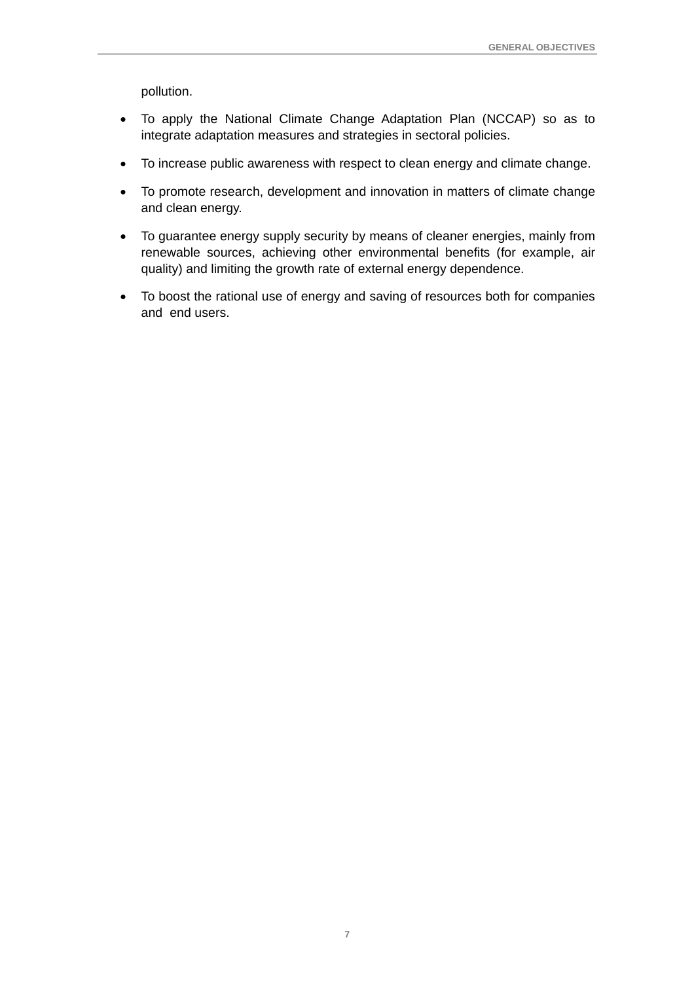pollution.

- To apply the National Climate Change Adaptation Plan (NCCAP) so as to integrate adaptation measures and strategies in sectoral policies.
- To increase public awareness with respect to clean energy and climate change.
- To promote research, development and innovation in matters of climate change and clean energy.
- To guarantee energy supply security by means of cleaner energies, mainly from renewable sources, achieving other environmental benefits (for example, air quality) and limiting the growth rate of external energy dependence.
- To boost the rational use of energy and saving of resources both for companies and end users.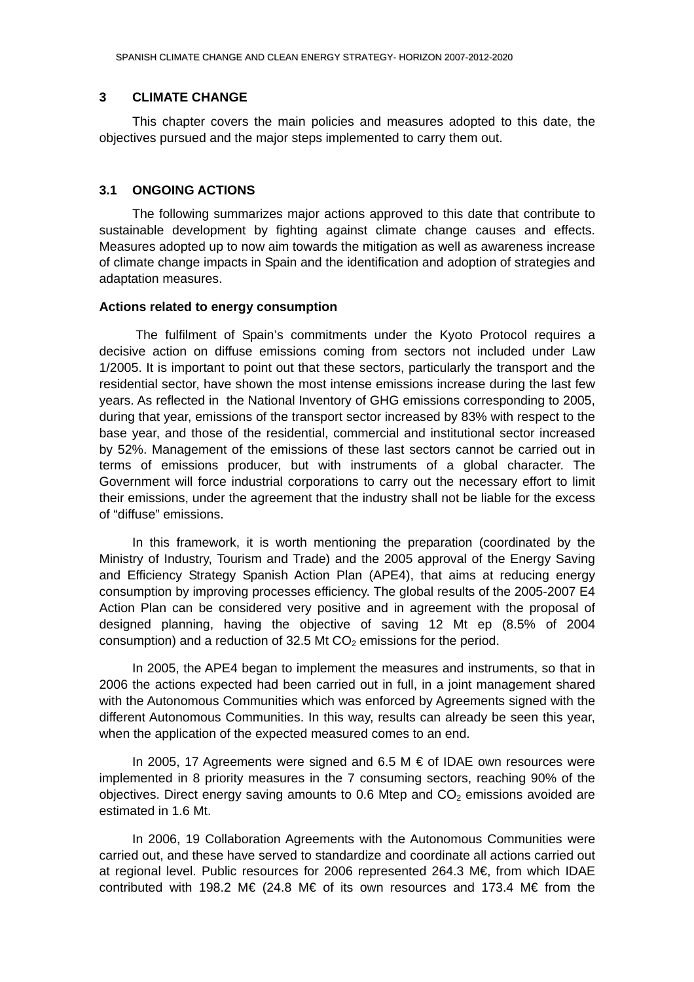#### <span id="page-11-0"></span>**3 CLIMATE CHANGE**

This chapter covers the main policies and measures adopted to this date, the objectives pursued and the major steps implemented to carry them out.

#### **3.1 ONGOING ACTIONS**

The following summarizes major actions approved to this date that contribute to sustainable development by fighting against climate change causes and effects. Measures adopted up to now aim towards the mitigation as well as awareness increase of climate change impacts in Spain and the identification and adoption of strategies and adaptation measures.

#### **Actions related to energy consumption**

 The fulfilment of Spain's commitments under the Kyoto Protocol requires a decisive action on diffuse emissions coming from sectors not included under Law 1/2005. It is important to point out that these sectors, particularly the transport and the residential sector, have shown the most intense emissions increase during the last few years. As reflected in the National Inventory of GHG emissions corresponding to 2005, during that year, emissions of the transport sector increased by 83% with respect to the base year, and those of the residential, commercial and institutional sector increased by 52%. Management of the emissions of these last sectors cannot be carried out in terms of emissions producer, but with instruments of a global character. The Government will force industrial corporations to carry out the necessary effort to limit their emissions, under the agreement that the industry shall not be liable for the excess of "diffuse" emissions.

In this framework, it is worth mentioning the preparation (coordinated by the Ministry of Industry, Tourism and Trade) and the 2005 approval of the Energy Saving and Efficiency Strategy Spanish Action Plan (APE4), that aims at reducing energy consumption by improving processes efficiency. The global results of the 2005-2007 E4 Action Plan can be considered very positive and in agreement with the proposal of designed planning, having the objective of saving 12 Mt ep (8.5% of 2004 consumption) and a reduction of 32.5 Mt  $CO<sub>2</sub>$  emissions for the period.

In 2005, the APE4 began to implement the measures and instruments, so that in 2006 the actions expected had been carried out in full, in a joint management shared with the Autonomous Communities which was enforced by Agreements signed with the different Autonomous Communities. In this way, results can already be seen this year, when the application of the expected measured comes to an end.

In 2005, 17 Agreements were signed and 6.5 M  $\epsilon$  of IDAE own resources were implemented in 8 priority measures in the 7 consuming sectors, reaching 90% of the obiectives. Direct energy saving amounts to 0.6 Mtep and  $CO<sub>2</sub>$  emissions avoided are estimated in 1.6 Mt.

In 2006, 19 Collaboration Agreements with the Autonomous Communities were carried out, and these have served to standardize and coordinate all actions carried out at regional level. Public resources for 2006 represented 264.3 M€, from which IDAE contributed with 198.2 M€ (24.8 M€ of its own resources and 173.4 M€ from the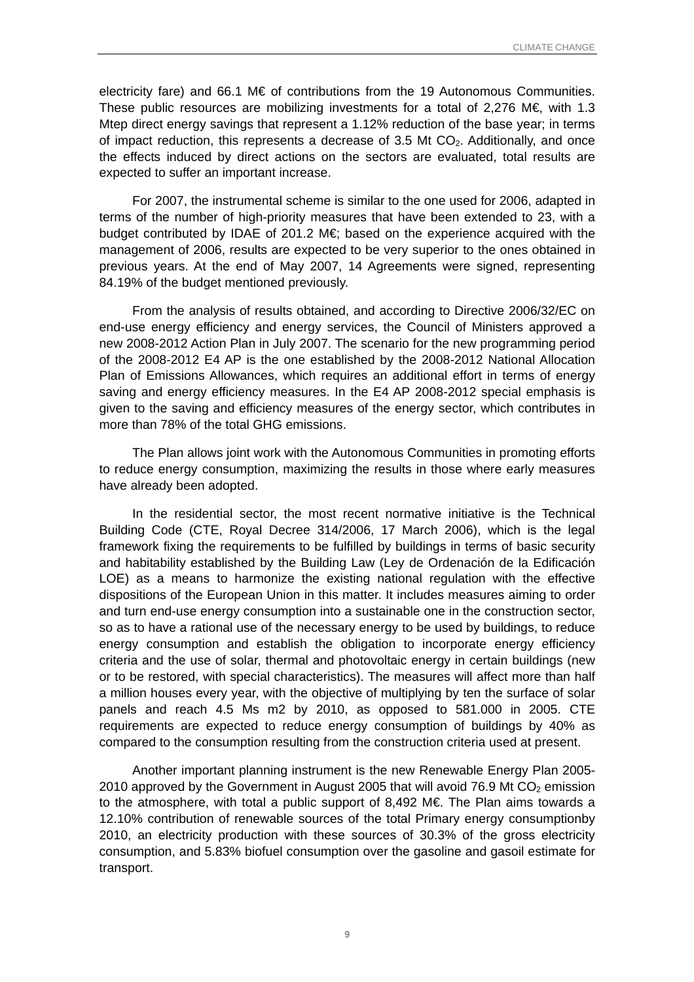electricity fare) and 66.1 M€ of contributions from the 19 Autonomous Communities. These public resources are mobilizing investments for a total of 2,276 M€, with 1.3 Mtep direct energy savings that represent a 1.12% reduction of the base year; in terms of impact reduction, this represents a decrease of 3.5 Mt  $CO<sub>2</sub>$ . Additionally, and once the effects induced by direct actions on the sectors are evaluated, total results are expected to suffer an important increase.

For 2007, the instrumental scheme is similar to the one used for 2006, adapted in terms of the number of high-priority measures that have been extended to 23, with a budget contributed by IDAE of 201.2 M $\epsilon$ ; based on the experience acquired with the management of 2006, results are expected to be very superior to the ones obtained in previous years. At the end of May 2007, 14 Agreements were signed, representing 84.19% of the budget mentioned previously.

From the analysis of results obtained, and according to Directive 2006/32/EC on end-use energy efficiency and energy services, the Council of Ministers approved a new 2008-2012 Action Plan in July 2007. The scenario for the new programming period of the 2008-2012 E4 AP is the one established by the 2008-2012 National Allocation Plan of Emissions Allowances, which requires an additional effort in terms of energy saving and energy efficiency measures. In the E4 AP 2008-2012 special emphasis is given to the saving and efficiency measures of the energy sector, which contributes in more than 78% of the total GHG emissions.

The Plan allows joint work with the Autonomous Communities in promoting efforts to reduce energy consumption, maximizing the results in those where early measures have already been adopted.

In the residential sector, the most recent normative initiative is the Technical Building Code (CTE, Royal Decree 314/2006, 17 March 2006), which is the legal framework fixing the requirements to be fulfilled by buildings in terms of basic security and habitability established by the Building Law (Ley de Ordenación de la Edificación LOE) as a means to harmonize the existing national regulation with the effective dispositions of the European Union in this matter. It includes measures aiming to order and turn end-use energy consumption into a sustainable one in the construction sector, so as to have a rational use of the necessary energy to be used by buildings, to reduce energy consumption and establish the obligation to incorporate energy efficiency criteria and the use of solar, thermal and photovoltaic energy in certain buildings (new or to be restored, with special characteristics). The measures will affect more than half a million houses every year, with the objective of multiplying by ten the surface of solar panels and reach 4.5 Ms m2 by 2010, as opposed to 581.000 in 2005. CTE requirements are expected to reduce energy consumption of buildings by 40% as compared to the consumption resulting from the construction criteria used at present.

Another important planning instrument is the new Renewable Energy Plan 2005- 2010 approved by the Government in August 2005 that will avoid 76.9 Mt  $CO<sub>2</sub>$  emission to the atmosphere, with total a public support of 8,492 M€. The Plan aims towards a 12.10% contribution of renewable sources of the total Primary energy consumptionby 2010, an electricity production with these sources of 30.3% of the gross electricity consumption, and 5.83% biofuel consumption over the gasoline and gasoil estimate for transport.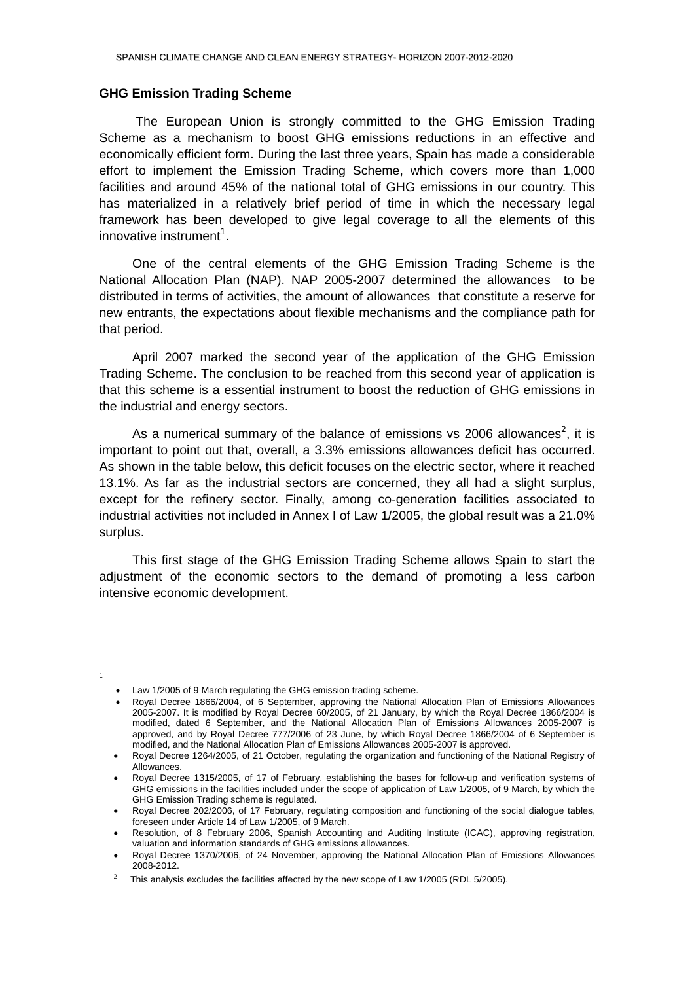#### **GHG Emission Trading Scheme**

 The European Union is strongly committed to the GHG Emission Trading Scheme as a mechanism to boost GHG emissions reductions in an effective and economically efficient form. During the last three years, Spain has made a considerable effort to implement the Emission Trading Scheme, which covers more than 1,000 facilities and around 45% of the national total of GHG emissions in our country. This has materialized in a relatively brief period of time in which the necessary legal framework has been developed to give legal coverage to all the elements of this innovative instrument $1$ [.](#page-13-0)

One of the central elements of the GHG Emission Trading Scheme is the National Allocation Plan (NAP). NAP 2005-2007 determined the allowances to be distributed in terms of activities, the amount of allowances that constitute a reserve for new entrants, the expectations about flexible mechanisms and the compliance path for that period.

April 2007 marked the second year of the application of the GHG Emission Trading Scheme. The conclusion to be reached from this second year of application is that this scheme is a essential instrument to boost the reduction of GHG emissions in the industrial and energy sectors.

As a numerical summary of the balance of emissions vs [2](#page-13-1)006 allowances<sup>2</sup>, it is important to point out that, overall, a 3.3% emissions allowances deficit has occurred. As shown in the table below, this deficit focuses on the electric sector, where it reached 13.1%. As far as the industrial sectors are concerned, they all had a slight surplus, except for the refinery sector. Finally, among co-generation facilities associated to industrial activities not included in Annex I of Law 1/2005, the global result was a 21.0% surplus.

This first stage of the GHG Emission Trading Scheme allows Spain to start the adjustment of the economic sectors to the demand of promoting a less carbon intensive economic development.

l

<span id="page-13-0"></span>1

<sup>•</sup> Law 1/2005 of 9 March regulating the GHG emission trading scheme.

<sup>•</sup> Royal Decree 1866/2004, of 6 September, approving the National Allocation Plan of Emissions Allowances 2005-2007. It is modified by Royal Decree 60/2005, of 21 January, by which the Royal Decree 1866/2004 is modified, dated 6 September, and the National Allocation Plan of Emissions Allowances 2005-2007 is approved, and by Royal Decree 777/2006 of 23 June, by which Royal Decree 1866/2004 of 6 September is modified, and the National Allocation Plan of Emissions Allowances 2005-2007 is approved.

<sup>•</sup> Royal Decree 1264/2005, of 21 October, regulating the organization and functioning of the National Registry of Allowances.

<sup>•</sup> Royal Decree 1315/2005, of 17 of February, establishing the bases for follow-up and verification systems of GHG emissions in the facilities included under the scope of application of Law 1/2005, of 9 March, by which the GHG Emission Trading scheme is regulated.

<sup>•</sup> Royal Decree 202/2006, of 17 February, regulating composition and functioning of the social dialogue tables, foreseen under Article 14 of Law 1/2005, of 9 March.

<sup>•</sup> Resolution, of 8 February 2006, Spanish Accounting and Auditing Institute (ICAC), approving registration, valuation and information standards of GHG emissions allowances.

<sup>•</sup> Royal Decree 1370/2006, of 24 November, approving the National Allocation Plan of Emissions Allowances 2008-2012.

<span id="page-13-1"></span><sup>&</sup>lt;sup>2</sup> This analysis excludes the facilities affected by the new scope of Law 1/2005 (RDL 5/2005).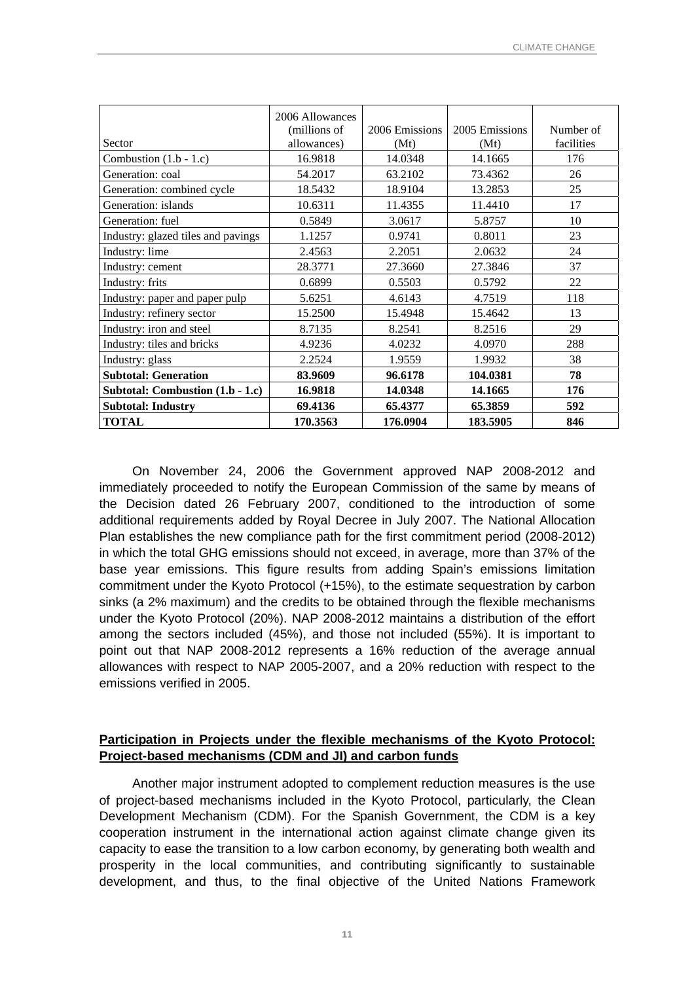|                                    | 2006 Allowances<br>(millions of | 2006 Emissions | 2005 Emissions | Number of  |
|------------------------------------|---------------------------------|----------------|----------------|------------|
| Sector                             | allowances)                     | (Mt)           | (Mt)           | facilities |
| Combustion $(1.b - 1.c)$           | 16.9818                         | 14.0348        | 14.1665        | 176        |
| Generation: coal                   | 54.2017                         | 63.2102        | 73.4362        | 26         |
| Generation: combined cycle         | 18.5432                         | 18.9104        | 13.2853        | 25         |
| Generation: islands                | 10.6311                         | 11.4355        | 11.4410        | 17         |
| Generation: fuel                   | 0.5849                          | 3.0617         | 5.8757         | 10         |
| Industry: glazed tiles and pavings | 1.1257                          | 0.9741         | 0.8011         | 23         |
| Industry: lime                     | 2.4563                          | 2.2051         | 2.0632         | 24         |
| Industry: cement                   | 28.3771                         | 27.3660        | 27.3846        | 37         |
| Industry: frits                    | 0.6899                          | 0.5503         | 0.5792         | 22         |
| Industry: paper and paper pulp     | 5.6251                          | 4.6143         | 4.7519         | 118        |
| Industry: refinery sector          | 15.2500                         | 15.4948        | 15.4642        | 13         |
| Industry: iron and steel           | 8.7135                          | 8.2541         | 8.2516         | 29         |
| Industry: tiles and bricks         | 4.9236                          | 4.0232         | 4.0970         | 288        |
| Industry: glass                    | 2.2524                          | 1.9559         | 1.9932         | 38         |
| <b>Subtotal: Generation</b>        | 83.9609                         | 96.6178        | 104.0381       | 78         |
| Subtotal: Combustion $(1.b - 1.c)$ | 16.9818                         | 14.0348        | 14.1665        | 176        |
| <b>Subtotal: Industry</b>          | 69.4136                         | 65.4377        | 65.3859        | 592        |
| <b>TOTAL</b>                       | 170.3563                        | 176.0904       | 183.5905       | 846        |

On November 24, 2006 the Government approved NAP 2008-2012 and immediately proceeded to notify the European Commission of the same by means of the Decision dated 26 February 2007, conditioned to the introduction of some additional requirements added by Royal Decree in July 2007. The National Allocation Plan establishes the new compliance path for the first commitment period (2008-2012) in which the total GHG emissions should not exceed, in average, more than 37% of the base year emissions. This figure results from adding Spain's emissions limitation commitment under the Kyoto Protocol (+15%), to the estimate sequestration by carbon sinks (a 2% maximum) and the credits to be obtained through the flexible mechanisms under the Kyoto Protocol (20%). NAP 2008-2012 maintains a distribution of the effort among the sectors included (45%), and those not included (55%). It is important to point out that NAP 2008-2012 represents a 16% reduction of the average annual allowances with respect to NAP 2005-2007, and a 20% reduction with respect to the emissions verified in 2005.

## **Participation in Projects under the flexible mechanisms of the Kyoto Protocol: Project-based mechanisms (CDM and JI) and carbon funds**

Another major instrument adopted to complement reduction measures is the use of project-based mechanisms included in the Kyoto Protocol, particularly, the Clean Development Mechanism (CDM). For the Spanish Government, the CDM is a key cooperation instrument in the international action against climate change given its capacity to ease the transition to a low carbon economy, by generating both wealth and prosperity in the local communities, and contributing significantly to sustainable development, and thus, to the final objective of the United Nations Framework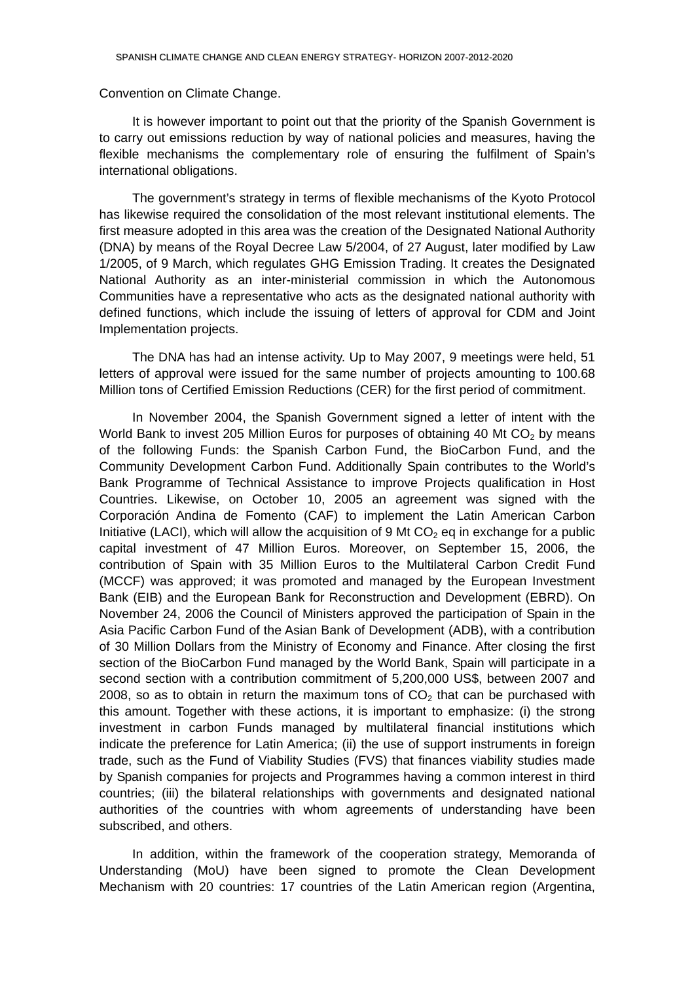#### Convention on Climate Change.

It is however important to point out that the priority of the Spanish Government is to carry out emissions reduction by way of national policies and measures, having the flexible mechanisms the complementary role of ensuring the fulfilment of Spain's international obligations.

The government's strategy in terms of flexible mechanisms of the Kyoto Protocol has likewise required the consolidation of the most relevant institutional elements. The first measure adopted in this area was the creation of the Designated National Authority (DNA) by means of the Royal Decree Law 5/2004, of 27 August, later modified by Law 1/2005, of 9 March, which regulates GHG Emission Trading. It creates the Designated National Authority as an inter-ministerial commission in which the Autonomous Communities have a representative who acts as the designated national authority with defined functions, which include the issuing of letters of approval for CDM and Joint Implementation projects.

The DNA has had an intense activity. Up to May 2007, 9 meetings were held, 51 letters of approval were issued for the same number of projects amounting to 100.68 Million tons of Certified Emission Reductions (CER) for the first period of commitment.

In November 2004, the Spanish Government signed a letter of intent with the World Bank to invest 205 Million Euros for purposes of obtaining 40 Mt  $CO<sub>2</sub>$  by means of the following Funds: the Spanish Carbon Fund, the BioCarbon Fund, and the Community Development Carbon Fund. Additionally Spain contributes to the World's Bank Programme of Technical Assistance to improve Projects qualification in Host Countries. Likewise, on October 10, 2005 an agreement was signed with the Corporación Andina de Fomento (CAF) to implement the Latin American Carbon Initiative (LACI), which will allow the acquisition of 9 Mt  $CO<sub>2</sub>$  eq in exchange for a public capital investment of 47 Million Euros. Moreover, on September 15, 2006, the contribution of Spain with 35 Million Euros to the Multilateral Carbon Credit Fund (MCCF) was approved; it was promoted and managed by the European Investment Bank (EIB) and the European Bank for Reconstruction and Development (EBRD). On November 24, 2006 the Council of Ministers approved the participation of Spain in the Asia Pacific Carbon Fund of the Asian Bank of Development (ADB), with a contribution of 30 Million Dollars from the Ministry of Economy and Finance. After closing the first section of the BioCarbon Fund managed by the World Bank, Spain will participate in a second section with a contribution commitment of 5,200,000 US\$, between 2007 and 2008, so as to obtain in return the maximum tons of  $CO<sub>2</sub>$  that can be purchased with this amount. Together with these actions, it is important to emphasize: (i) the strong investment in carbon Funds managed by multilateral financial institutions which indicate the preference for Latin America; (ii) the use of support instruments in foreign trade, such as the Fund of Viability Studies (FVS) that finances viability studies made by Spanish companies for projects and Programmes having a common interest in third countries; (iii) the bilateral relationships with governments and designated national authorities of the countries with whom agreements of understanding have been subscribed, and others.

In addition, within the framework of the cooperation strategy, Memoranda of Understanding (MoU) have been signed to promote the Clean Development Mechanism with 20 countries: 17 countries of the Latin American region (Argentina,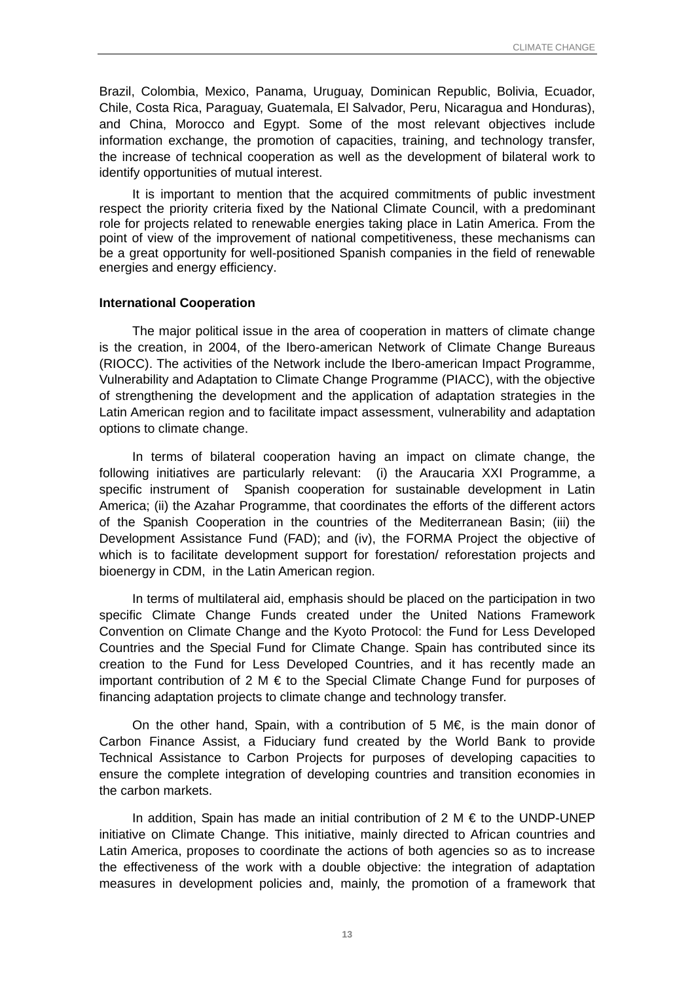Brazil, Colombia, Mexico, Panama, Uruguay, Dominican Republic, Bolivia, Ecuador, Chile, Costa Rica, Paraguay, Guatemala, El Salvador, Peru, Nicaragua and Honduras), and China, Morocco and Egypt. Some of the most relevant objectives include information exchange, the promotion of capacities, training, and technology transfer, the increase of technical cooperation as well as the development of bilateral work to identify opportunities of mutual interest.

It is important to mention that the acquired commitments of public investment respect the priority criteria fixed by the National Climate Council, with a predominant role for projects related to renewable energies taking place in Latin America. From the point of view of the improvement of national competitiveness, these mechanisms can be a great opportunity for well-positioned Spanish companies in the field of renewable energies and energy efficiency.

#### **International Cooperation**

The major political issue in the area of cooperation in matters of climate change is the creation, in 2004, of the Ibero-american Network of Climate Change Bureaus (RIOCC). The activities of the Network include the Ibero-american Impact Programme, Vulnerability and Adaptation to Climate Change Programme (PIACC), with the objective of strengthening the development and the application of adaptation strategies in the Latin American region and to facilitate impact assessment, vulnerability and adaptation options to climate change.

In terms of bilateral cooperation having an impact on climate change, the following initiatives are particularly relevant: (i) the Araucaria XXI Programme, a specific instrument of Spanish cooperation for sustainable development in Latin America; (ii) the Azahar Programme, that coordinates the efforts of the different actors of the Spanish Cooperation in the countries of the Mediterranean Basin; (iii) the Development Assistance Fund (FAD); and (iv), the FORMA Project the objective of which is to facilitate development support for forestation/ reforestation projects and bioenergy in CDM, in the Latin American region.

In terms of multilateral aid, emphasis should be placed on the participation in two specific Climate Change Funds created under the United Nations Framework Convention on Climate Change and the Kyoto Protocol: the Fund for Less Developed Countries and the Special Fund for Climate Change. Spain has contributed since its creation to the Fund for Less Developed Countries, and it has recently made an important contribution of 2 M € to the Special Climate Change Fund for purposes of financing adaptation projects to climate change and technology transfer.

On the other hand, Spain, with a contribution of 5 M€, is the main donor of Carbon Finance Assist, a Fiduciary fund created by the World Bank to provide Technical Assistance to Carbon Projects for purposes of developing capacities to ensure the complete integration of developing countries and transition economies in the carbon markets.

In addition, Spain has made an initial contribution of  $2 M \in$  to the UNDP-UNEP initiative on Climate Change. This initiative, mainly directed to African countries and Latin America, proposes to coordinate the actions of both agencies so as to increase the effectiveness of the work with a double objective: the integration of adaptation measures in development policies and, mainly, the promotion of a framework that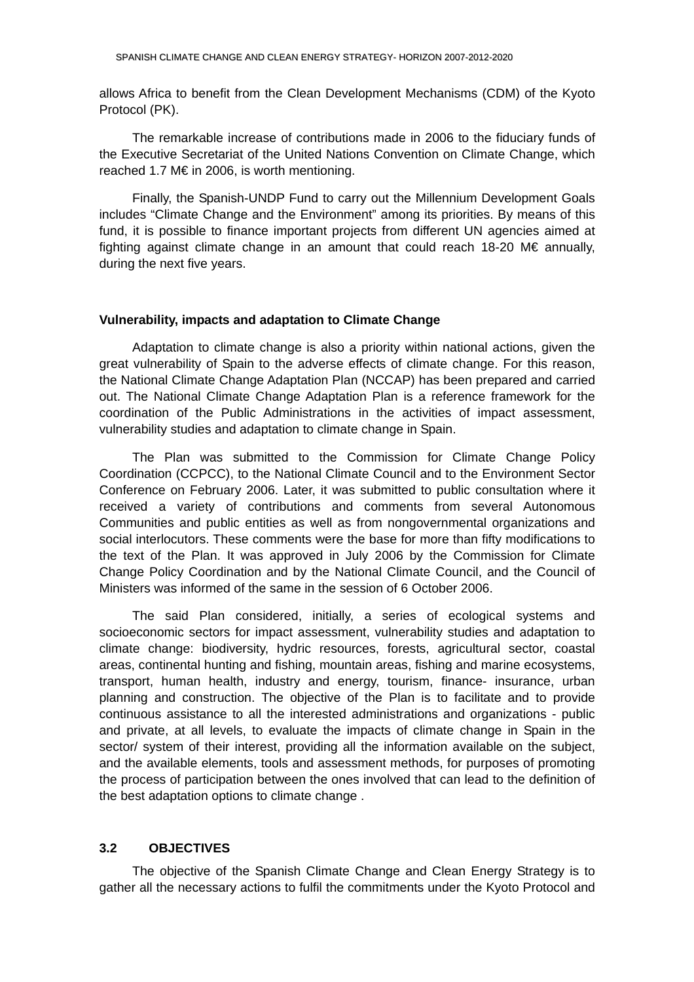<span id="page-17-0"></span>allows Africa to benefit from the Clean Development Mechanisms (CDM) of the Kyoto Protocol (PK).

The remarkable increase of contributions made in 2006 to the fiduciary funds of the Executive Secretariat of the United Nations Convention on Climate Change, which reached 1.7 M€ in 2006, is worth mentioning.

Finally, the Spanish-UNDP Fund to carry out the Millennium Development Goals includes "Climate Change and the Environment" among its priorities. By means of this fund, it is possible to finance important projects from different UN agencies aimed at fighting against climate change in an amount that could reach 18-20 M€ annually, during the next five years.

#### **Vulnerability, impacts and adaptation to Climate Change**

Adaptation to climate change is also a priority within national actions, given the great vulnerability of Spain to the adverse effects of climate change. For this reason, the National Climate Change Adaptation Plan (NCCAP) has been prepared and carried out. The National Climate Change Adaptation Plan is a reference framework for the coordination of the Public Administrations in the activities of impact assessment, vulnerability studies and adaptation to climate change in Spain.

The Plan was submitted to the Commission for Climate Change Policy Coordination (CCPCC), to the National Climate Council and to the Environment Sector Conference on February 2006. Later, it was submitted to public consultation where it received a variety of contributions and comments from several Autonomous Communities and public entities as well as from nongovernmental organizations and social interlocutors. These comments were the base for more than fifty modifications to the text of the Plan. It was approved in July 2006 by the Commission for Climate Change Policy Coordination and by the National Climate Council, and the Council of Ministers was informed of the same in the session of 6 October 2006.

The said Plan considered, initially, a series of ecological systems and socioeconomic sectors for impact assessment, vulnerability studies and adaptation to climate change: biodiversity, hydric resources, forests, agricultural sector, coastal areas, continental hunting and fishing, mountain areas, fishing and marine ecosystems, transport, human health, industry and energy, tourism, finance- insurance, urban planning and construction. The objective of the Plan is to facilitate and to provide continuous assistance to all the interested administrations and organizations - public and private, at all levels, to evaluate the impacts of climate change in Spain in the sector/ system of their interest, providing all the information available on the subject, and the available elements, tools and assessment methods, for purposes of promoting the process of participation between the ones involved that can lead to the definition of the best adaptation options to climate change .

#### **3.2 OBJECTIVES**

The objective of the Spanish Climate Change and Clean Energy Strategy is to gather all the necessary actions to fulfil the commitments under the Kyoto Protocol and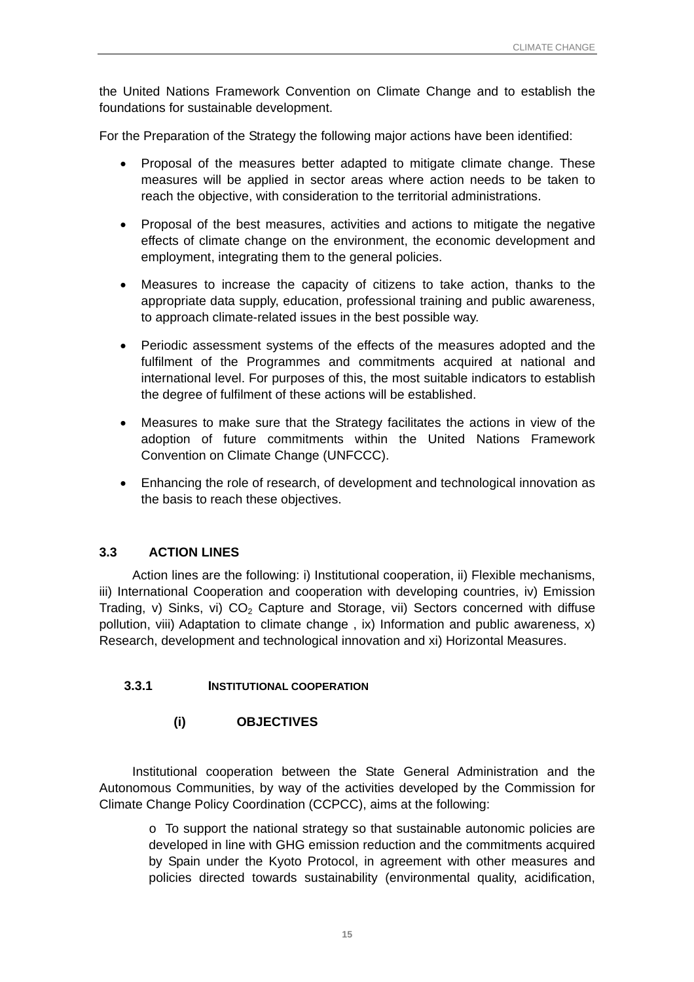<span id="page-18-0"></span>the United Nations Framework Convention on Climate Change and to establish the foundations for sustainable development.

For the Preparation of the Strategy the following major actions have been identified:

- Proposal of the measures better adapted to mitigate climate change. These measures will be applied in sector areas where action needs to be taken to reach the objective, with consideration to the territorial administrations.
- Proposal of the best measures, activities and actions to mitigate the negative effects of climate change on the environment, the economic development and employment, integrating them to the general policies.
- Measures to increase the capacity of citizens to take action, thanks to the appropriate data supply, education, professional training and public awareness, to approach climate-related issues in the best possible way.
- Periodic assessment systems of the effects of the measures adopted and the fulfilment of the Programmes and commitments acquired at national and international level. For purposes of this, the most suitable indicators to establish the degree of fulfilment of these actions will be established.
- Measures to make sure that the Strategy facilitates the actions in view of the adoption of future commitments within the United Nations Framework Convention on Climate Change (UNFCCC).
- Enhancing the role of research, of development and technological innovation as the basis to reach these objectives.

## **3.3 ACTION LINES**

Action lines are the following: i) Institutional cooperation, ii) Flexible mechanisms, iii) International Cooperation and cooperation with developing countries, iv) Emission Trading, v) Sinks, vi)  $CO<sub>2</sub>$  Capture and Storage, vii) Sectors concerned with diffuse pollution, viii) Adaptation to climate change , ix) Information and public awareness, x) Research, development and technological innovation and xi) Horizontal Measures.

## **3.3.1 INSTITUTIONAL COOPERATION**

## **(i) OBJECTIVES**

Institutional cooperation between the State General Administration and the Autonomous Communities, by way of the activities developed by the Commission for Climate Change Policy Coordination (CCPCC), aims at the following:

o To support the national strategy so that sustainable autonomic policies are developed in line with GHG emission reduction and the commitments acquired by Spain under the Kyoto Protocol, in agreement with other measures and policies directed towards sustainability (environmental quality, acidification,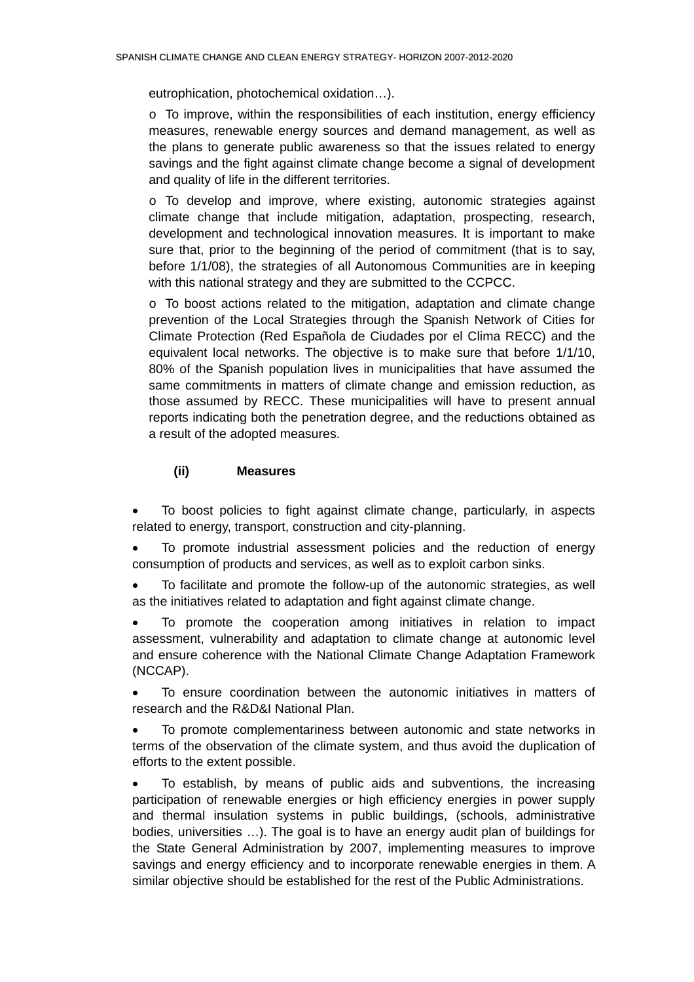eutrophication, photochemical oxidation…).

 $\circ$  To improve, within the responsibilities of each institution, energy efficiency measures, renewable energy sources and demand management, as well as the plans to generate public awareness so that the issues related to energy savings and the fight against climate change become a signal of development and quality of life in the different territories.

 $\circ$  To develop and improve, where existing, autonomic strategies against climate change that include mitigation, adaptation, prospecting, research, development and technological innovation measures. It is important to make sure that, prior to the beginning of the period of commitment (that is to say, before 1/1/08), the strategies of all Autonomous Communities are in keeping with this national strategy and they are submitted to the CCPCC.

 $\circ$  To boost actions related to the mitigation, adaptation and climate change prevention of the Local Strategies through the Spanish Network of Cities for Climate Protection (Red Española de Ciudades por el Clima RECC) and the equivalent local networks. The objective is to make sure that before 1/1/10, 80% of the Spanish population lives in municipalities that have assumed the same commitments in matters of climate change and emission reduction, as those assumed by RECC. These municipalities will have to present annual reports indicating both the penetration degree, and the reductions obtained as a result of the adopted measures.

## **(ii) Measures**

• To boost policies to fight against climate change, particularly, in aspects related to energy, transport, construction and city-planning.

• To promote industrial assessment policies and the reduction of energy consumption of products and services, as well as to exploit carbon sinks.

• To facilitate and promote the follow-up of the autonomic strategies, as well as the initiatives related to adaptation and fight against climate change.

• To promote the cooperation among initiatives in relation to impact assessment, vulnerability and adaptation to climate change at autonomic level and ensure coherence with the National Climate Change Adaptation Framework (NCCAP).

• To ensure coordination between the autonomic initiatives in matters of research and the R&D&I National Plan.

• To promote complementariness between autonomic and state networks in terms of the observation of the climate system, and thus avoid the duplication of efforts to the extent possible.

• To establish, by means of public aids and subventions, the increasing participation of renewable energies or high efficiency energies in power supply and thermal insulation systems in public buildings, (schools, administrative bodies, universities …). The goal is to have an energy audit plan of buildings for the State General Administration by 2007, implementing measures to improve savings and energy efficiency and to incorporate renewable energies in them. A similar objective should be established for the rest of the Public Administrations.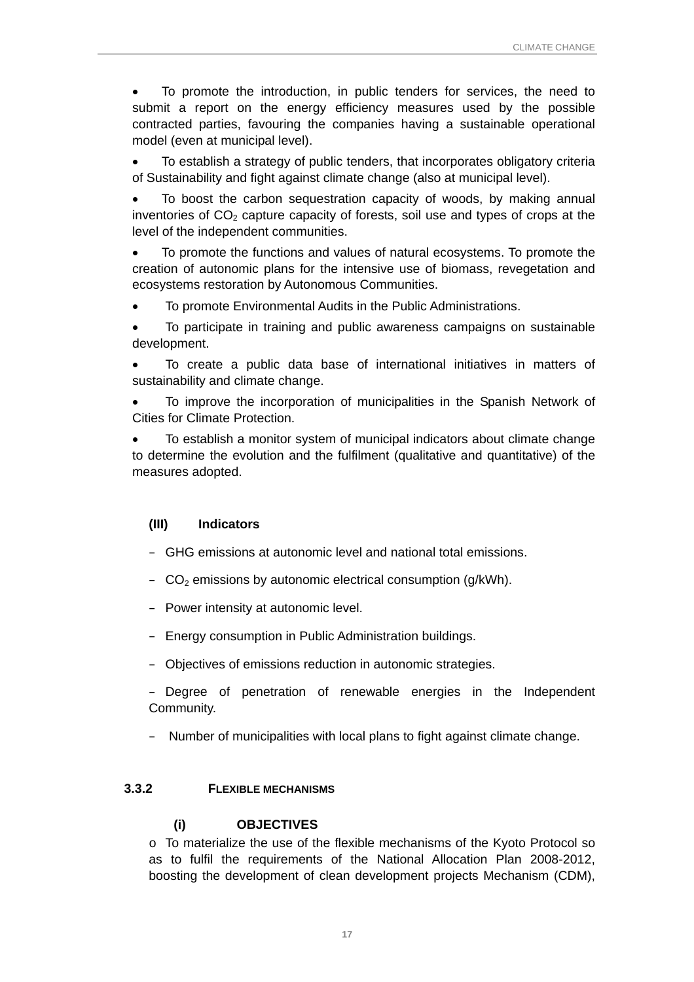<span id="page-20-0"></span>• To promote the introduction, in public tenders for services, the need to submit a report on the energy efficiency measures used by the possible contracted parties, favouring the companies having a sustainable operational model (even at municipal level).

• To establish a strategy of public tenders, that incorporates obligatory criteria of Sustainability and fight against climate change (also at municipal level).

• To boost the carbon sequestration capacity of woods, by making annual inventories of  $CO<sub>2</sub>$  capture capacity of forests, soil use and types of crops at the level of the independent communities.

• To promote the functions and values of natural ecosystems. To promote the creation of autonomic plans for the intensive use of biomass, revegetation and ecosystems restoration by Autonomous Communities.

- To promote Environmental Audits in the Public Administrations.
- To participate in training and public awareness campaigns on sustainable development.

• To create a public data base of international initiatives in matters of sustainability and climate change.

• To improve the incorporation of municipalities in the Spanish Network of Cities for Climate Protection.

• To establish a monitor system of municipal indicators about climate change to determine the evolution and the fulfilment (qualitative and quantitative) of the measures adopted.

#### **(III) Indicators**

- GHG emissions at autonomic level and national total emissions.
- $-$  CO<sub>2</sub> emissions by autonomic electrical consumption (g/kWh).
- Power intensity at autonomic level.
- Energy consumption in Public Administration buildings.
- Objectives of emissions reduction in autonomic strategies.

– Degree of penetration of renewable energies in the Independent Community.

– Number of municipalities with local plans to fight against climate change.

#### **3.3.2 FLEXIBLE MECHANISMS**

#### **(i) OBJECTIVES**

o To materialize the use of the flexible mechanisms of the Kyoto Protocol so as to fulfil the requirements of the National Allocation Plan 2008-2012, boosting the development of clean development projects Mechanism (CDM),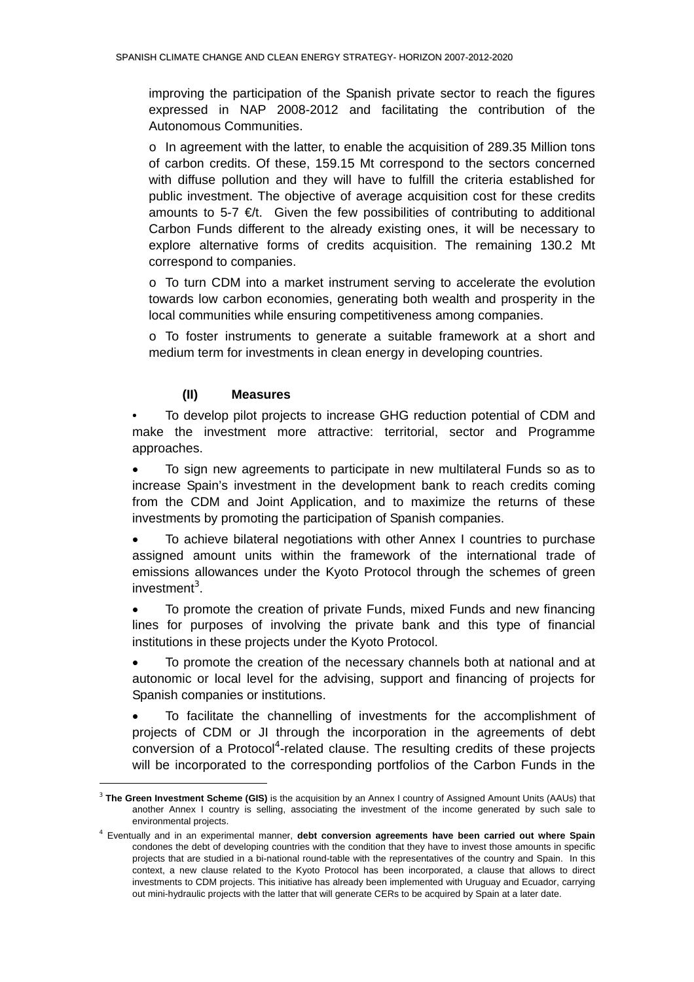improving the participation of the Spanish private sector to reach the figures expressed in NAP 2008-2012 and facilitating the contribution of the Autonomous Communities.

 $\circ$  In agreement with the latter, to enable the acquisition of 289.35 Million tons of carbon credits. Of these, 159.15 Mt correspond to the sectors concerned with diffuse pollution and they will have to fulfill the criteria established for public investment. The objective of average acquisition cost for these credits amounts to 5-7  $\epsilon/t$ . Given the few possibilities of contributing to additional Carbon Funds different to the already existing ones, it will be necessary to explore alternative forms of credits acquisition. The remaining 130.2 Mt correspond to companies.

o To turn CDM into a market instrument serving to accelerate the evolution towards low carbon economies, generating both wealth and prosperity in the local communities while ensuring competitiveness among companies.

o To foster instruments to generate a suitable framework at a short and medium term for investments in clean energy in developing countries.

## **(II) Measures**

l

• To develop pilot projects to increase GHG reduction potential of CDM and make the investment more attractive: territorial, sector and Programme approaches.

• To sign new agreements to participate in new multilateral Funds so as to increase Spain's investment in the development bank to reach credits coming from the CDM and Joint Application, and to maximize the returns of these investments by promoting the participation of Spanish companies.

• To achieve bilateral negotiations with other Annex I countries to purchase assigned amount units within the framework of the international trade of emissions allowances under the Kyoto Protocol through the schemes of green investment<sup>3</sup>[.](#page-21-0)

• To promote the creation of private Funds, mixed Funds and new financing lines for purposes of involving the private bank and this type of financial institutions in these projects under the Kyoto Protocol.

• To promote the creation of the necessary channels both at national and at autonomic or local level for the advising, support and financing of projects for Spanish companies or institutions.

• To facilitate the channelling of investments for the accomplishment of projects of CDM or JI through the incorporation in the agreements of debt conversion of a Protocol<sup>4</sup>[-](#page-21-1)related clause. The resulting credits of these projects will be incorporated to the corresponding portfolios of the Carbon Funds in the

<span id="page-21-0"></span><sup>3</sup> **The Green Investment Scheme (GIS)** is the acquisition by an Annex I country of Assigned Amount Units (AAUs) that another Annex I country is selling, associating the investment of the income generated by such sale to environmental projects.

<span id="page-21-1"></span><sup>4</sup> Eventually and in an experimental manner, **debt conversion agreements have been carried out where Spain** condones the debt of developing countries with the condition that they have to invest those amounts in specific projects that are studied in a bi-national round-table with the representatives of the country and Spain. In this context, a new clause related to the Kyoto Protocol has been incorporated, a clause that allows to direct investments to CDM projects. This initiative has already been implemented with Uruguay and Ecuador, carrying out mini-hydraulic projects with the latter that will generate CERs to be acquired by Spain at a later date.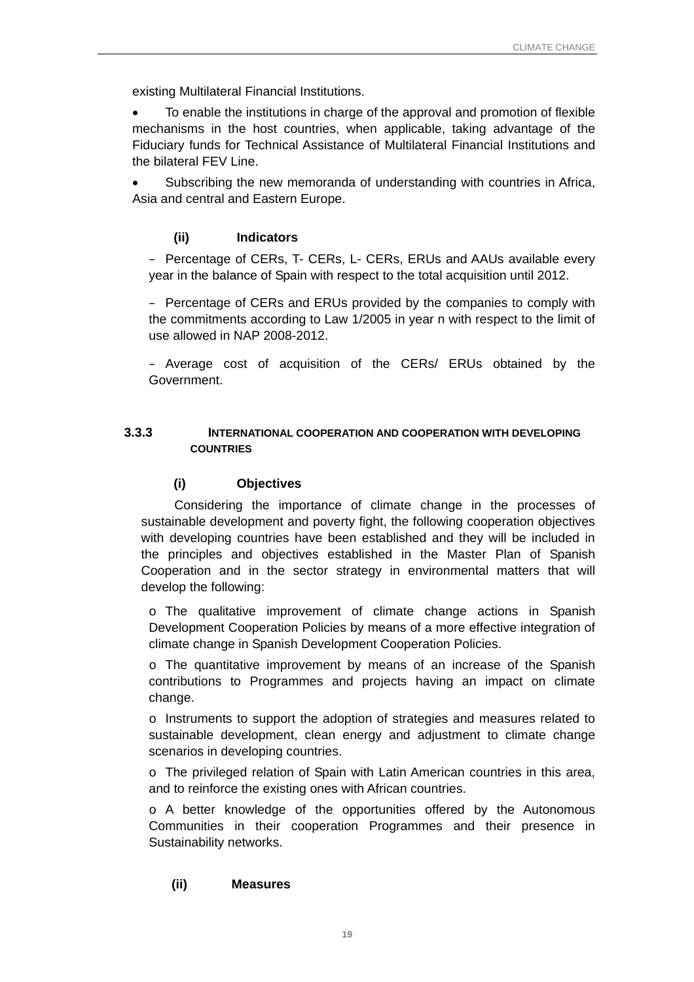<span id="page-22-0"></span>existing Multilateral Financial Institutions.

• To enable the institutions in charge of the approval and promotion of flexible mechanisms in the host countries, when applicable, taking advantage of the Fiduciary funds for Technical Assistance of Multilateral Financial Institutions and the bilateral FEV Line.

• Subscribing the new memoranda of understanding with countries in Africa, Asia and central and Eastern Europe.

#### **(ii) Indicators**

– Percentage of CERs, T- CERs, L- CERs, ERUs and AAUs available every year in the balance of Spain with respect to the total acquisition until 2012.

– Percentage of CERs and ERUs provided by the companies to comply with the commitments according to Law 1/2005 in year n with respect to the limit of use allowed in NAP 2008-2012.

– Average cost of acquisition of the CERs/ ERUs obtained by the Government.

## **3.3.3 INTERNATIONAL COOPERATION AND COOPERATION WITH DEVELOPING COUNTRIES**

#### **(i) Objectives**

Considering the importance of climate change in the processes of sustainable development and poverty fight, the following cooperation objectives with developing countries have been established and they will be included in the principles and objectives established in the Master Plan of Spanish Cooperation and in the sector strategy in environmental matters that will develop the following:

o The qualitative improvement of climate change actions in Spanish Development Cooperation Policies by means of a more effective integration of climate change in Spanish Development Cooperation Policies.

o The quantitative improvement by means of an increase of the Spanish contributions to Programmes and projects having an impact on climate change.

o Instruments to support the adoption of strategies and measures related to sustainable development, clean energy and adjustment to climate change scenarios in developing countries.

o The privileged relation of Spain with Latin American countries in this area, and to reinforce the existing ones with African countries.

o A better knowledge of the opportunities offered by the Autonomous Communities in their cooperation Programmes and their presence in Sustainability networks.

#### **(ii) Measures**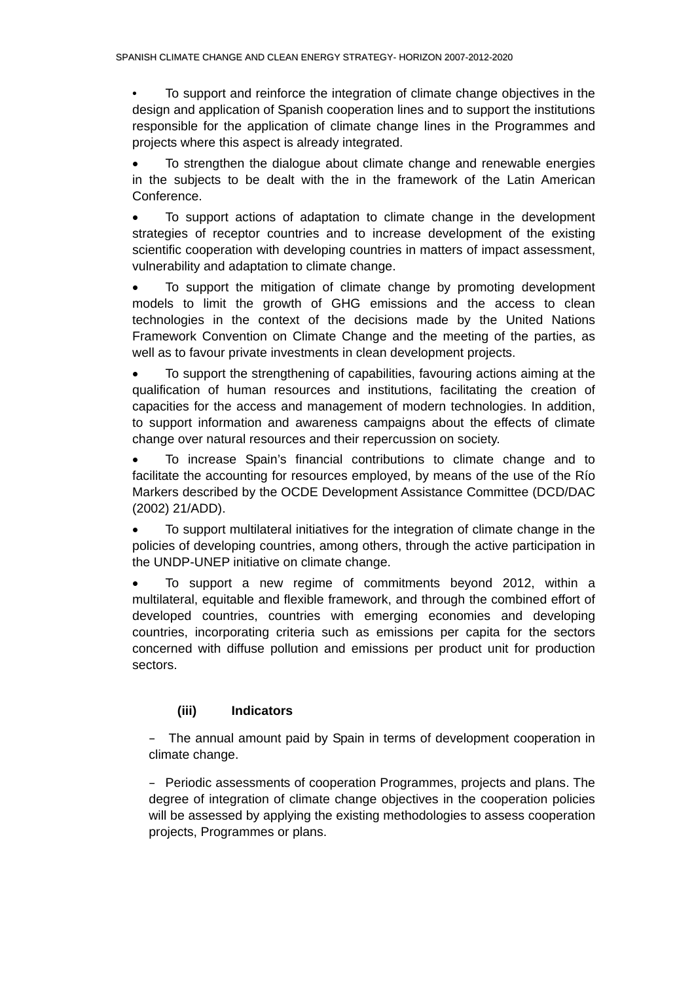• To support and reinforce the integration of climate change objectives in the design and application of Spanish cooperation lines and to support the institutions responsible for the application of climate change lines in the Programmes and projects where this aspect is already integrated.

• To strengthen the dialogue about climate change and renewable energies in the subjects to be dealt with the in the framework of the Latin American Conference.

• To support actions of adaptation to climate change in the development strategies of receptor countries and to increase development of the existing scientific cooperation with developing countries in matters of impact assessment, vulnerability and adaptation to climate change.

• To support the mitigation of climate change by promoting development models to limit the growth of GHG emissions and the access to clean technologies in the context of the decisions made by the United Nations Framework Convention on Climate Change and the meeting of the parties, as well as to favour private investments in clean development projects.

• To support the strengthening of capabilities, favouring actions aiming at the qualification of human resources and institutions, facilitating the creation of capacities for the access and management of modern technologies. In addition, to support information and awareness campaigns about the effects of climate change over natural resources and their repercussion on society.

• To increase Spain's financial contributions to climate change and to facilitate the accounting for resources employed, by means of the use of the Río Markers described by the OCDE Development Assistance Committee (DCD/DAC (2002) 21/ADD).

• To support multilateral initiatives for the integration of climate change in the policies of developing countries, among others, through the active participation in the UNDP-UNEP initiative on climate change.

• To support a new regime of commitments beyond 2012, within a multilateral, equitable and flexible framework, and through the combined effort of developed countries, countries with emerging economies and developing countries, incorporating criteria such as emissions per capita for the sectors concerned with diffuse pollution and emissions per product unit for production sectors.

## **(iii) Indicators**

– The annual amount paid by Spain in terms of development cooperation in climate change.

– Periodic assessments of cooperation Programmes, projects and plans. The degree of integration of climate change objectives in the cooperation policies will be assessed by applying the existing methodologies to assess cooperation projects, Programmes or plans.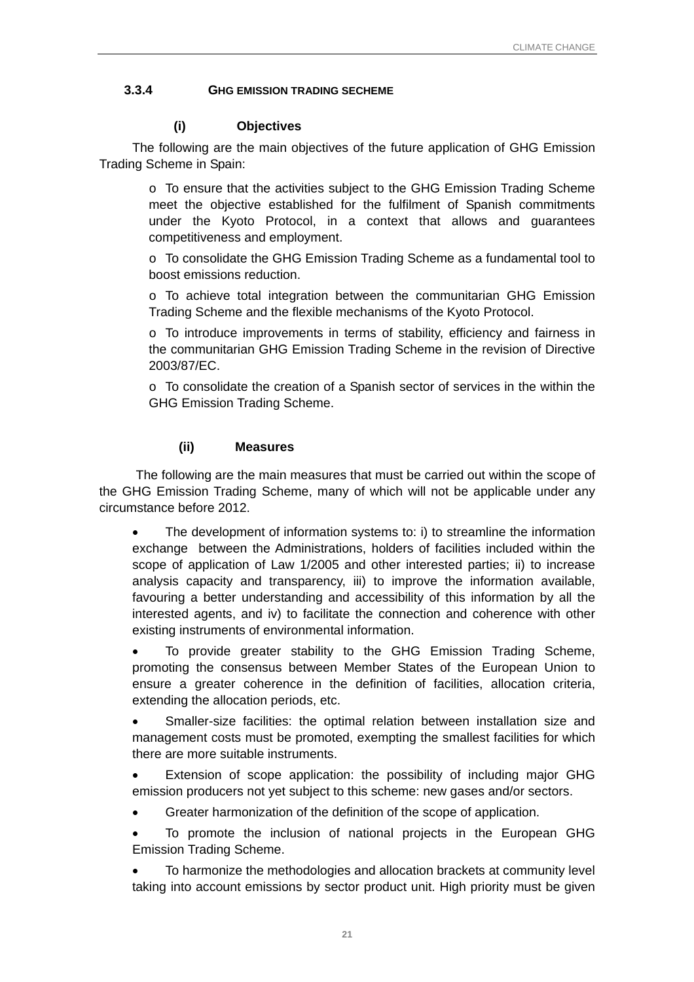## <span id="page-24-0"></span>**3.3.4 GHG EMISSION TRADING SECHEME**

#### **(i) Objectives**

The following are the main objectives of the future application of GHG Emission Trading Scheme in Spain:

o To ensure that the activities subject to the GHG Emission Trading Scheme meet the objective established for the fulfilment of Spanish commitments under the Kyoto Protocol, in a context that allows and guarantees competitiveness and employment.

o To consolidate the GHG Emission Trading Scheme as a fundamental tool to boost emissions reduction.

 $\circ$  To achieve total integration between the communitarian GHG Emission Trading Scheme and the flexible mechanisms of the Kyoto Protocol.

o To introduce improvements in terms of stability, efficiency and fairness in the communitarian GHG Emission Trading Scheme in the revision of Directive 2003/87/EC.

o To consolidate the creation of a Spanish sector of services in the within the GHG Emission Trading Scheme.

## **(ii) Measures**

The following are the main measures that must be carried out within the scope of the GHG Emission Trading Scheme, many of which will not be applicable under any circumstance before 2012.

The development of information systems to: i) to streamline the information exchange between the Administrations, holders of facilities included within the scope of application of Law 1/2005 and other interested parties; ii) to increase analysis capacity and transparency, iii) to improve the information available, favouring a better understanding and accessibility of this information by all the interested agents, and iv) to facilitate the connection and coherence with other existing instruments of environmental information.

• To provide greater stability to the GHG Emission Trading Scheme, promoting the consensus between Member States of the European Union to ensure a greater coherence in the definition of facilities, allocation criteria, extending the allocation periods, etc.

• Smaller-size facilities: the optimal relation between installation size and management costs must be promoted, exempting the smallest facilities for which there are more suitable instruments.

Extension of scope application: the possibility of including major GHG emission producers not yet subject to this scheme: new gases and/or sectors.

• Greater harmonization of the definition of the scope of application.

• To promote the inclusion of national projects in the European GHG Emission Trading Scheme.

• To harmonize the methodologies and allocation brackets at community level taking into account emissions by sector product unit. High priority must be given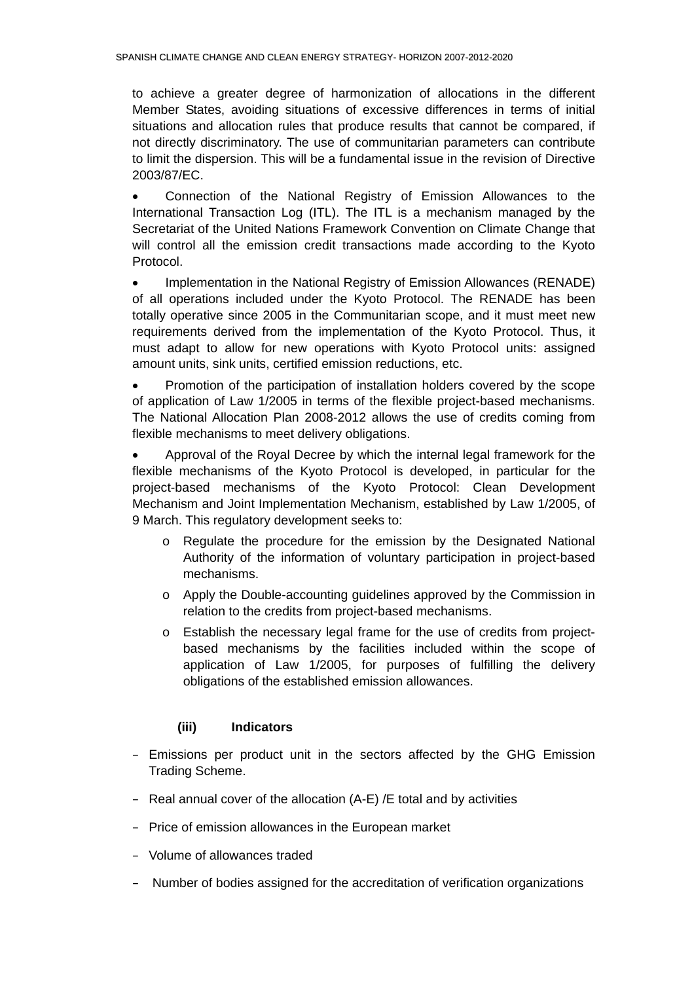to achieve a greater degree of harmonization of allocations in the different Member States, avoiding situations of excessive differences in terms of initial situations and allocation rules that produce results that cannot be compared, if not directly discriminatory. The use of communitarian parameters can contribute to limit the dispersion. This will be a fundamental issue in the revision of Directive 2003/87/EC.

• Connection of the National Registry of Emission Allowances to the International Transaction Log (ITL). The ITL is a mechanism managed by the Secretariat of the United Nations Framework Convention on Climate Change that will control all the emission credit transactions made according to the Kyoto Protocol.

• Implementation in the National Registry of Emission Allowances (RENADE) of all operations included under the Kyoto Protocol. The RENADE has been totally operative since 2005 in the Communitarian scope, and it must meet new requirements derived from the implementation of the Kyoto Protocol. Thus, it must adapt to allow for new operations with Kyoto Protocol units: assigned amount units, sink units, certified emission reductions, etc.

• Promotion of the participation of installation holders covered by the scope of application of Law 1/2005 in terms of the flexible project-based mechanisms. The National Allocation Plan 2008-2012 allows the use of credits coming from flexible mechanisms to meet delivery obligations.

• Approval of the Royal Decree by which the internal legal framework for the flexible mechanisms of the Kyoto Protocol is developed, in particular for the project-based mechanisms of the Kyoto Protocol: Clean Development Mechanism and Joint Implementation Mechanism, established by Law 1/2005, of 9 March. This regulatory development seeks to:

- o Regulate the procedure for the emission by the Designated National Authority of the information of voluntary participation in project-based mechanisms.
- o Apply the Double-accounting guidelines approved by the Commission in relation to the credits from project-based mechanisms.
- o Establish the necessary legal frame for the use of credits from projectbased mechanisms by the facilities included within the scope of application of Law 1/2005, for purposes of fulfilling the delivery obligations of the established emission allowances.

## **(iii) Indicators**

- Emissions per product unit in the sectors affected by the GHG Emission Trading Scheme.
- Real annual cover of the allocation (A-E) /E total and by activities
- Price of emission allowances in the European market
- Volume of allowances traded
- Number of bodies assigned for the accreditation of verification organizations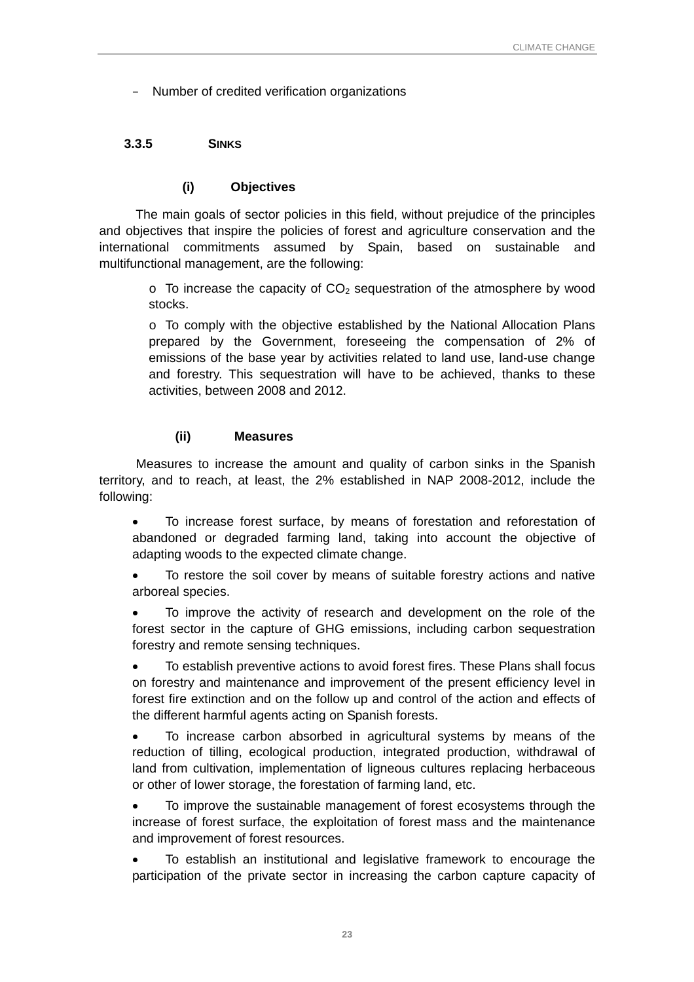<span id="page-26-0"></span>– Number of credited verification organizations

## **3.3.5 SINKS**

#### **(i) Objectives**

The main goals of sector policies in this field, without prejudice of the principles and objectives that inspire the policies of forest and agriculture conservation and the international commitments assumed by Spain, based on sustainable and multifunctional management, are the following:

 $\circ$  To increase the capacity of CO<sub>2</sub> sequestration of the atmosphere by wood stocks.

o To comply with the objective established by the National Allocation Plans prepared by the Government, foreseeing the compensation of 2% of emissions of the base year by activities related to land use, land-use change and forestry. This sequestration will have to be achieved, thanks to these activities, between 2008 and 2012.

#### **(ii) Measures**

Measures to increase the amount and quality of carbon sinks in the Spanish territory, and to reach, at least, the 2% established in NAP 2008-2012, include the following:

- To increase forest surface, by means of forestation and reforestation of abandoned or degraded farming land, taking into account the objective of adapting woods to the expected climate change.
- To restore the soil cover by means of suitable forestry actions and native arboreal species.
- To improve the activity of research and development on the role of the forest sector in the capture of GHG emissions, including carbon sequestration forestry and remote sensing techniques.
- To establish preventive actions to avoid forest fires. These Plans shall focus on forestry and maintenance and improvement of the present efficiency level in forest fire extinction and on the follow up and control of the action and effects of the different harmful agents acting on Spanish forests.
- To increase carbon absorbed in agricultural systems by means of the reduction of tilling, ecological production, integrated production, withdrawal of land from cultivation, implementation of ligneous cultures replacing herbaceous or other of lower storage, the forestation of farming land, etc.
- To improve the sustainable management of forest ecosystems through the increase of forest surface, the exploitation of forest mass and the maintenance and improvement of forest resources.
- To establish an institutional and legislative framework to encourage the participation of the private sector in increasing the carbon capture capacity of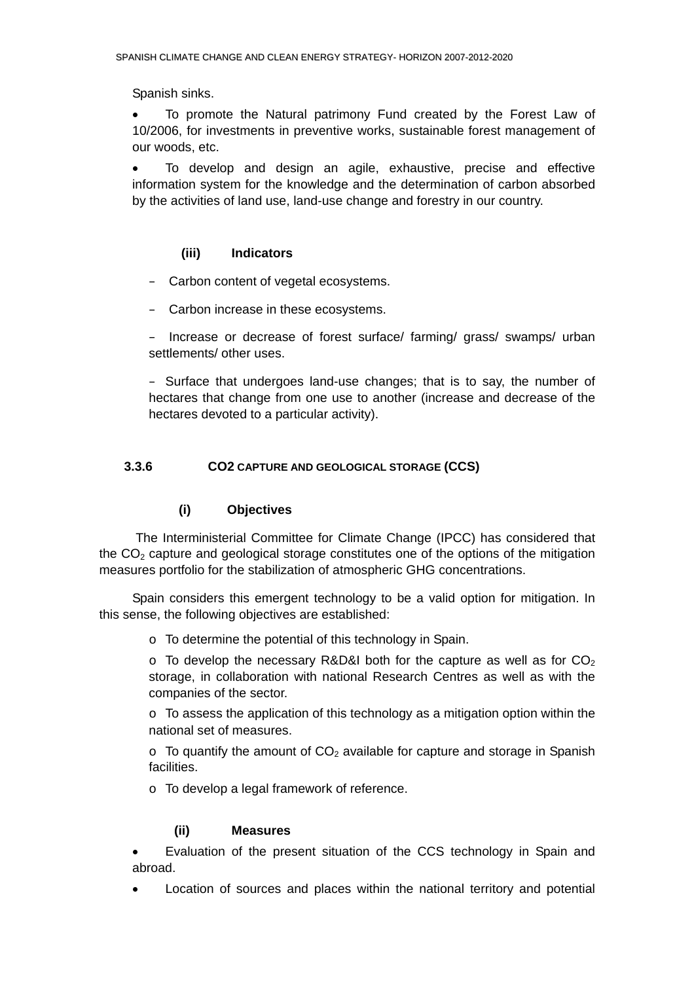<span id="page-27-0"></span>Spanish sinks.

• To promote the Natural patrimony Fund created by the Forest Law of 10/2006, for investments in preventive works, sustainable forest management of our woods, etc.

• To develop and design an agile, exhaustive, precise and effective information system for the knowledge and the determination of carbon absorbed by the activities of land use, land-use change and forestry in our country.

## **(iii) Indicators**

- Carbon content of vegetal ecosystems.
- Carbon increase in these ecosystems.

– Increase or decrease of forest surface/ farming/ grass/ swamps/ urban settlements/ other uses.

– Surface that undergoes land-use changes; that is to say, the number of hectares that change from one use to another (increase and decrease of the hectares devoted to a particular activity).

## **3.3.6 CO2 CAPTURE AND GEOLOGICAL STORAGE (CCS)**

## **(i) Objectives**

 The Interministerial Committee for Climate Change (IPCC) has considered that the  $CO<sub>2</sub>$  capture and geological storage constitutes one of the options of the mitigation measures portfolio for the stabilization of atmospheric GHG concentrations.

Spain considers this emergent technology to be a valid option for mitigation. In this sense, the following objectives are established:

o To determine the potential of this technology in Spain.

 $\circ$  To develop the necessary R&D&I both for the capture as well as for CO<sub>2</sub> storage, in collaboration with national Research Centres as well as with the companies of the sector.

 $\circ$  To assess the application of this technology as a mitigation option within the national set of measures.

 $\circ$  To quantify the amount of CO<sub>2</sub> available for capture and storage in Spanish facilities.

o To develop a legal framework of reference.

#### **(ii) Measures**

• Evaluation of the present situation of the CCS technology in Spain and abroad.

Location of sources and places within the national territory and potential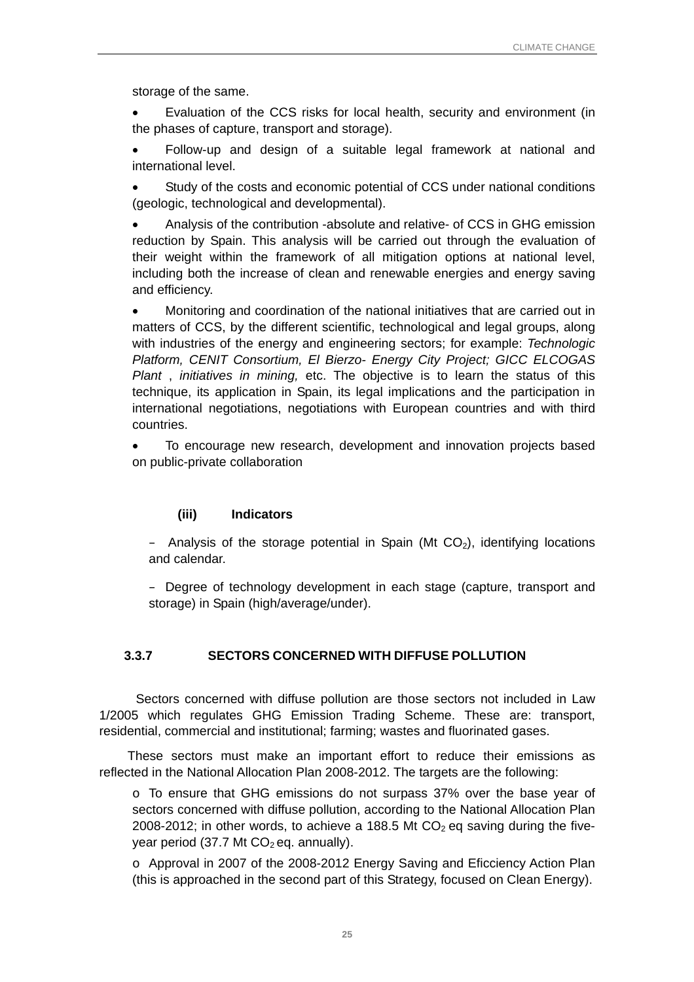<span id="page-28-0"></span>storage of the same.

• Evaluation of the CCS risks for local health, security and environment (in the phases of capture, transport and storage).

• Follow-up and design of a suitable legal framework at national and international level.

Study of the costs and economic potential of CCS under national conditions (geologic, technological and developmental).

• Analysis of the contribution -absolute and relative- of CCS in GHG emission reduction by Spain. This analysis will be carried out through the evaluation of their weight within the framework of all mitigation options at national level, including both the increase of clean and renewable energies and energy saving and efficiency.

• Monitoring and coordination of the national initiatives that are carried out in matters of CCS, by the different scientific, technological and legal groups, along with industries of the energy and engineering sectors; for example: *Technologic Platform, CENIT Consortium, El Bierzo- Energy City Project; GICC ELCOGAS Plant* , *initiatives in mining,* etc. The objective is to learn the status of this technique, its application in Spain, its legal implications and the participation in international negotiations, negotiations with European countries and with third countries.

• To encourage new research, development and innovation projects based on public-private collaboration

## **(iii) Indicators**

– Analysis of the storage potential in Spain (Mt  $CO<sub>2</sub>$ ), identifying locations and calendar.

– Degree of technology development in each stage (capture, transport and storage) in Spain (high/average/under).

## **3.3.7 SECTORS CONCERNED WITH DIFFUSE POLLUTION**

Sectors concerned with diffuse pollution are those sectors not included in Law 1/2005 which regulates GHG Emission Trading Scheme. These are: transport, residential, commercial and institutional; farming; wastes and fluorinated gases.

These sectors must make an important effort to reduce their emissions as reflected in the National Allocation Plan 2008-2012. The targets are the following:

o To ensure that GHG emissions do not surpass 37% over the base year of sectors concerned with diffuse pollution, according to the National Allocation Plan 2008-2012; in other words, to achieve a 188.5 Mt  $CO<sub>2</sub>$  eq saving during the fiveyear period (37.7 Mt  $CO<sub>2</sub>$  eq. annually).

o Approval in 2007 of the 2008-2012 Energy Saving and Eficciency Action Plan (this is approached in the second part of this Strategy, focused on Clean Energy).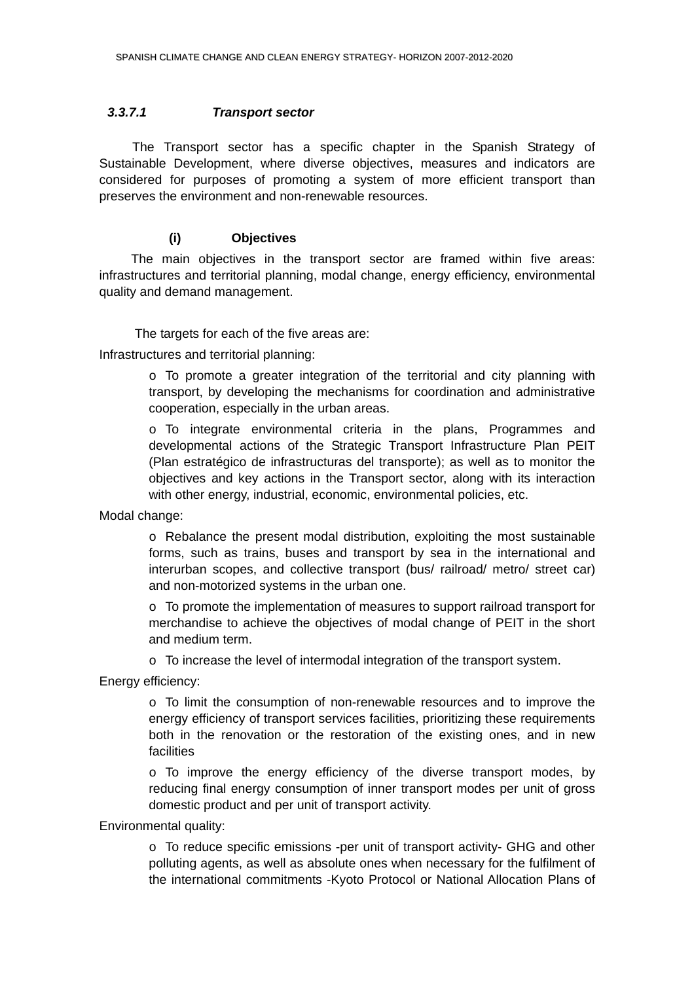#### <span id="page-29-0"></span>*3.3.7.1 Transport sector*

 The Transport sector has a specific chapter in the Spanish Strategy of Sustainable Development, where diverse objectives, measures and indicators are considered for purposes of promoting a system of more efficient transport than preserves the environment and non-renewable resources.

## **(i) Objectives**

 The main objectives in the transport sector are framed within five areas: infrastructures and territorial planning, modal change, energy efficiency, environmental quality and demand management.

The targets for each of the five areas are:

Infrastructures and territorial planning:

o To promote a greater integration of the territorial and city planning with transport, by developing the mechanisms for coordination and administrative cooperation, especially in the urban areas.

o To integrate environmental criteria in the plans, Programmes and developmental actions of the Strategic Transport Infrastructure Plan PEIT (Plan estratégico de infrastructuras del transporte); as well as to monitor the objectives and key actions in the Transport sector, along with its interaction with other energy, industrial, economic, environmental policies, etc.

Modal change:

o Rebalance the present modal distribution, exploiting the most sustainable forms, such as trains, buses and transport by sea in the international and interurban scopes, and collective transport (bus/ railroad/ metro/ street car) and non-motorized systems in the urban one.

 $\circ$  To promote the implementation of measures to support railroad transport for merchandise to achieve the objectives of modal change of PEIT in the short and medium term.

o To increase the level of intermodal integration of the transport system.

Energy efficiency:

o To limit the consumption of non-renewable resources and to improve the energy efficiency of transport services facilities, prioritizing these requirements both in the renovation or the restoration of the existing ones, and in new facilities

o To improve the energy efficiency of the diverse transport modes, by reducing final energy consumption of inner transport modes per unit of gross domestic product and per unit of transport activity.

Environmental quality:

 $\circ$  To reduce specific emissions -per unit of transport activity- GHG and other polluting agents, as well as absolute ones when necessary for the fulfilment of the international commitments -Kyoto Protocol or National Allocation Plans of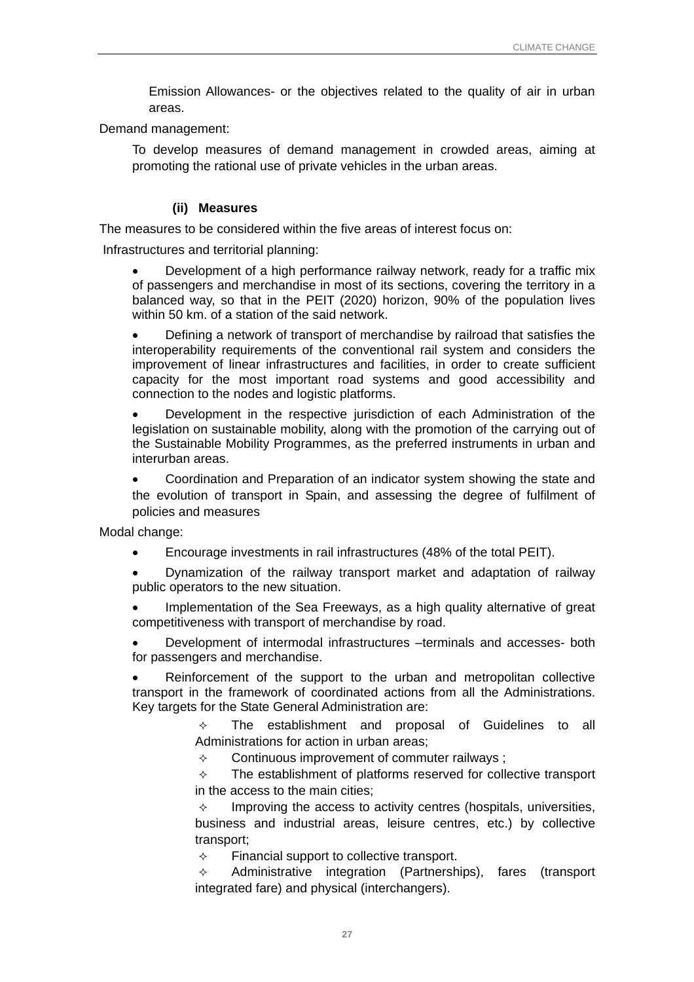Emission Allowances- or the objectives related to the quality of air in urban areas.

Demand management:

To develop measures of demand management in crowded areas, aiming at promoting the rational use of private vehicles in the urban areas.

#### **(ii) Measures**

The measures to be considered within the five areas of interest focus on:

Infrastructures and territorial planning:

• Development of a high performance railway network, ready for a traffic mix of passengers and merchandise in most of its sections, covering the territory in a balanced way, so that in the PEIT (2020) horizon, 90% of the population lives within 50 km. of a station of the said network.

• Defining a network of transport of merchandise by railroad that satisfies the interoperability requirements of the conventional rail system and considers the improvement of linear infrastructures and facilities, in order to create sufficient capacity for the most important road systems and good accessibility and connection to the nodes and logistic platforms.

• Development in the respective jurisdiction of each Administration of the legislation on sustainable mobility, along with the promotion of the carrying out of the Sustainable Mobility Programmes, as the preferred instruments in urban and interurban areas.

• Coordination and Preparation of an indicator system showing the state and the evolution of transport in Spain, and assessing the degree of fulfilment of policies and measures

Modal change:

• Encourage investments in rail infrastructures (48% of the total PEIT).

• Dynamization of the railway transport market and adaptation of railway public operators to the new situation.

Implementation of the Sea Freeways, as a high quality alternative of great competitiveness with transport of merchandise by road.

• Development of intermodal infrastructures –terminals and accesses- both for passengers and merchandise.

• Reinforcement of the support to the urban and metropolitan collective transport in the framework of coordinated actions from all the Administrations. Key targets for the State General Administration are:

> $\Diamond$  The establishment and proposal of Guidelines to all Administrations for action in urban areas;

 $\Diamond$  Continuous improvement of commuter railways;

 $\Diamond$  The establishment of platforms reserved for collective transport in the access to the main cities;

 $\Diamond$  Improving the access to activity centres (hospitals, universities, business and industrial areas, leisure centres, etc.) by collective transport;

 $\div$  Financial support to collective transport.

 $\Diamond$  Administrative integration (Partnerships), fares (transport integrated fare) and physical (interchangers).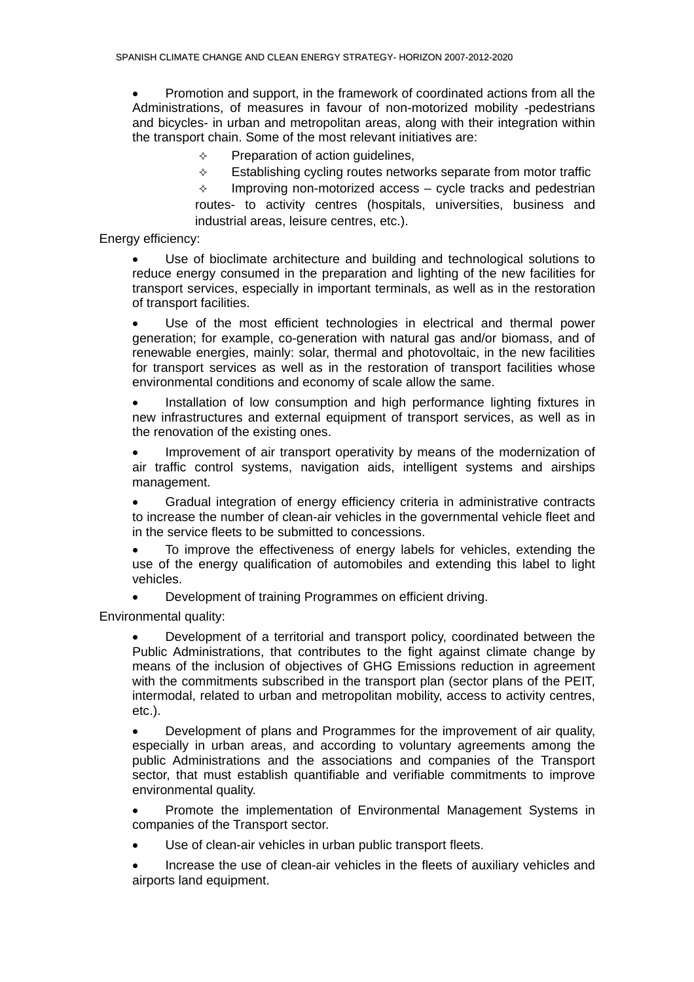• Promotion and support, in the framework of coordinated actions from all the Administrations, of measures in favour of non-motorized mobility -pedestrians and bicycles- in urban and metropolitan areas, along with their integration within the transport chain. Some of the most relevant initiatives are:

 $\div$  Preparation of action guidelines,

 $\Diamond$  Establishing cycling routes networks separate from motor traffic

 $\Diamond$  Improving non-motorized access – cycle tracks and pedestrian routes- to activity centres (hospitals, universities, business and industrial areas, leisure centres, etc.).

Energy efficiency:

• Use of bioclimate architecture and building and technological solutions to reduce energy consumed in the preparation and lighting of the new facilities for transport services, especially in important terminals, as well as in the restoration of transport facilities.

• Use of the most efficient technologies in electrical and thermal power generation; for example, co-generation with natural gas and/or biomass, and of renewable energies, mainly: solar, thermal and photovoltaic, in the new facilities for transport services as well as in the restoration of transport facilities whose environmental conditions and economy of scale allow the same.

• Installation of low consumption and high performance lighting fixtures in new infrastructures and external equipment of transport services, as well as in the renovation of the existing ones.

Improvement of air transport operativity by means of the modernization of air traffic control systems, navigation aids, intelligent systems and airships management.

• Gradual integration of energy efficiency criteria in administrative contracts to increase the number of clean-air vehicles in the governmental vehicle fleet and in the service fleets to be submitted to concessions.

To improve the effectiveness of energy labels for vehicles, extending the use of the energy qualification of automobiles and extending this label to light vehicles.

• Development of training Programmes on efficient driving.

Environmental quality:

• Development of a territorial and transport policy, coordinated between the Public Administrations, that contributes to the fight against climate change by means of the inclusion of objectives of GHG Emissions reduction in agreement with the commitments subscribed in the transport plan (sector plans of the PEIT, intermodal, related to urban and metropolitan mobility, access to activity centres, etc.).

• Development of plans and Programmes for the improvement of air quality, especially in urban areas, and according to voluntary agreements among the public Administrations and the associations and companies of the Transport sector, that must establish quantifiable and verifiable commitments to improve environmental quality.

• Promote the implementation of Environmental Management Systems in companies of the Transport sector.

Use of clean-air vehicles in urban public transport fleets.

• Increase the use of clean-air vehicles in the fleets of auxiliary vehicles and airports land equipment.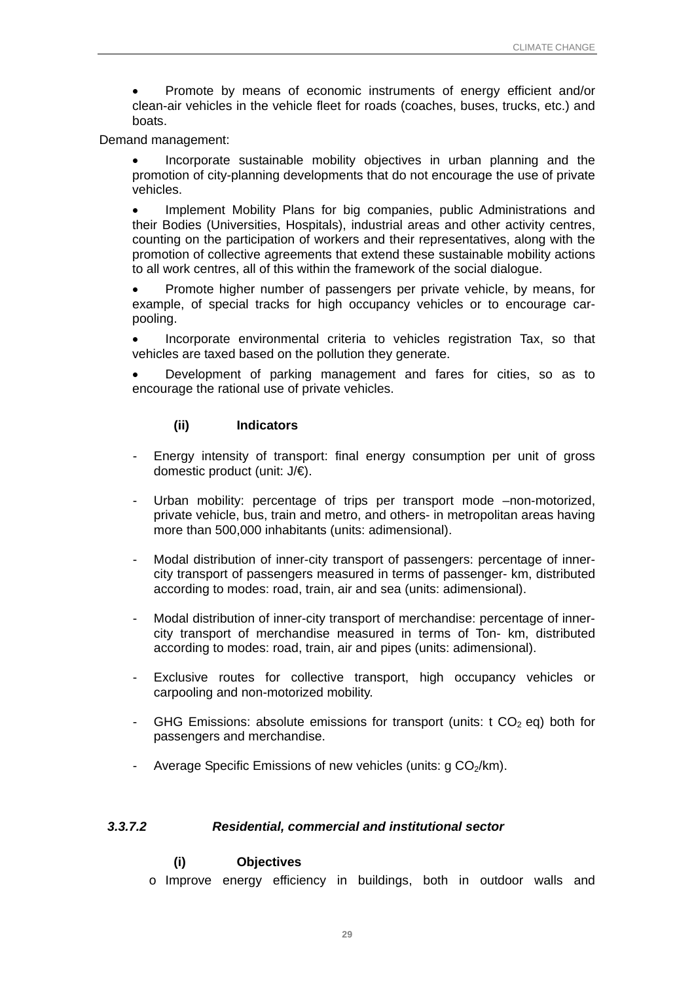<span id="page-32-0"></span>• Promote by means of economic instruments of energy efficient and/or clean-air vehicles in the vehicle fleet for roads (coaches, buses, trucks, etc.) and boats.

#### Demand management:

• Incorporate sustainable mobility objectives in urban planning and the promotion of city-planning developments that do not encourage the use of private vehicles.

• Implement Mobility Plans for big companies, public Administrations and their Bodies (Universities, Hospitals), industrial areas and other activity centres, counting on the participation of workers and their representatives, along with the promotion of collective agreements that extend these sustainable mobility actions to all work centres, all of this within the framework of the social dialogue.

• Promote higher number of passengers per private vehicle, by means, for example, of special tracks for high occupancy vehicles or to encourage carpooling.

• Incorporate environmental criteria to vehicles registration Tax, so that vehicles are taxed based on the pollution they generate.

• Development of parking management and fares for cities, so as to encourage the rational use of private vehicles.

#### **(ii) Indicators**

- Energy intensity of transport: final energy consumption per unit of gross domestic product (unit: J/€).
- Urban mobility: percentage of trips per transport mode –non-motorized, private vehicle, bus, train and metro, and others- in metropolitan areas having more than 500,000 inhabitants (units: adimensional).
- Modal distribution of inner-city transport of passengers: percentage of innercity transport of passengers measured in terms of passenger- km, distributed according to modes: road, train, air and sea (units: adimensional).
- Modal distribution of inner-city transport of merchandise: percentage of innercity transport of merchandise measured in terms of Ton- km, distributed according to modes: road, train, air and pipes (units: adimensional).
- Exclusive routes for collective transport, high occupancy vehicles or carpooling and non-motorized mobility.
- GHG Emissions: absolute emissions for transport (units:  $t CO<sub>2</sub>$  eq) both for passengers and merchandise.
- Average Specific Emissions of new vehicles (units:  $q CO<sub>2</sub>/km$ ).

#### *3.3.7.2 Residential, commercial and institutional sector*

## **(i) Objectives**

o Improve energy efficiency in buildings, both in outdoor walls and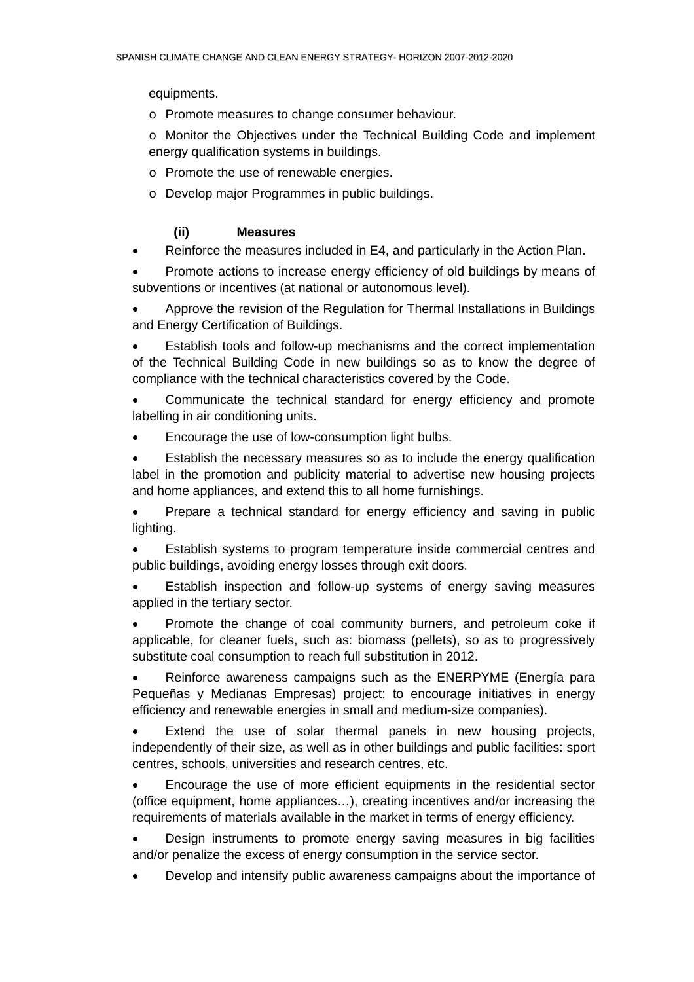equipments.

o Promote measures to change consumer behaviour.

o Monitor the Objectives under the Technical Building Code and implement energy qualification systems in buildings.

- o Promote the use of renewable energies.
- o Develop major Programmes in public buildings.

## **(ii) Measures**

• Reinforce the measures included in E4, and particularly in the Action Plan.

• Promote actions to increase energy efficiency of old buildings by means of subventions or incentives (at national or autonomous level).

• Approve the revision of the Regulation for Thermal Installations in Buildings and Energy Certification of Buildings.

Establish tools and follow-up mechanisms and the correct implementation of the Technical Building Code in new buildings so as to know the degree of compliance with the technical characteristics covered by the Code.

• Communicate the technical standard for energy efficiency and promote labelling in air conditioning units.

• Encourage the use of low-consumption light bulbs.

• Establish the necessary measures so as to include the energy qualification label in the promotion and publicity material to advertise new housing projects and home appliances, and extend this to all home furnishings.

• Prepare a technical standard for energy efficiency and saving in public lighting.

• Establish systems to program temperature inside commercial centres and public buildings, avoiding energy losses through exit doors.

• Establish inspection and follow-up systems of energy saving measures applied in the tertiary sector.

• Promote the change of coal community burners, and petroleum coke if applicable, for cleaner fuels, such as: biomass (pellets), so as to progressively substitute coal consumption to reach full substitution in 2012.

• Reinforce awareness campaigns such as the ENERPYME (Energía para Pequeñas y Medianas Empresas) project: to encourage initiatives in energy efficiency and renewable energies in small and medium-size companies).

Extend the use of solar thermal panels in new housing projects, independently of their size, as well as in other buildings and public facilities: sport centres, schools, universities and research centres, etc.

• Encourage the use of more efficient equipments in the residential sector (office equipment, home appliances…), creating incentives and/or increasing the requirements of materials available in the market in terms of energy efficiency.

• Design instruments to promote energy saving measures in big facilities and/or penalize the excess of energy consumption in the service sector.

• Develop and intensify public awareness campaigns about the importance of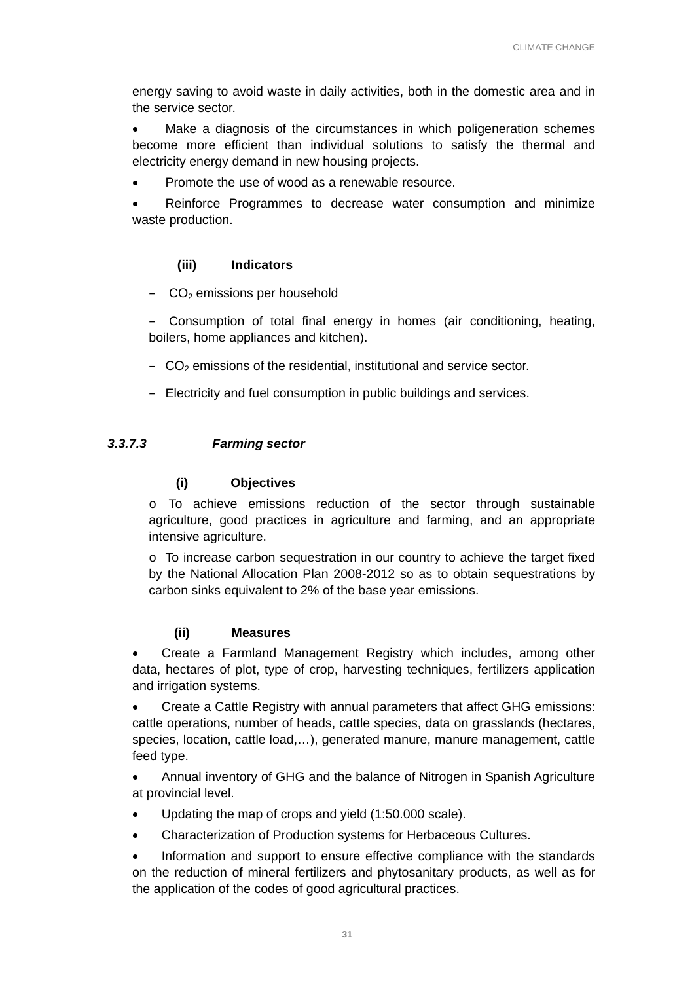<span id="page-34-0"></span>energy saving to avoid waste in daily activities, both in the domestic area and in the service sector.

Make a diagnosis of the circumstances in which poligeneration schemes become more efficient than individual solutions to satisfy the thermal and electricity energy demand in new housing projects.

• Promote the use of wood as a renewable resource.

Reinforce Programmes to decrease water consumption and minimize waste production.

## **(iii) Indicators**

 $-$  CO<sub>2</sub> emissions per household

– Consumption of total final energy in homes (air conditioning, heating, boilers, home appliances and kitchen).

- $-\text{CO}_2$  emissions of the residential, institutional and service sector.
- Electricity and fuel consumption in public buildings and services.

## *3.3.7.3 Farming sector*

## **(i) Objectives**

o To achieve emissions reduction of the sector through sustainable agriculture, good practices in agriculture and farming, and an appropriate intensive agriculture.

o To increase carbon sequestration in our country to achieve the target fixed by the National Allocation Plan 2008-2012 so as to obtain sequestrations by carbon sinks equivalent to 2% of the base year emissions.

#### **(ii) Measures**

• Create a Farmland Management Registry which includes, among other data, hectares of plot, type of crop, harvesting techniques, fertilizers application and irrigation systems.

• Create a Cattle Registry with annual parameters that affect GHG emissions: cattle operations, number of heads, cattle species, data on grasslands (hectares, species, location, cattle load,…), generated manure, manure management, cattle feed type.

• Annual inventory of GHG and the balance of Nitrogen in Spanish Agriculture at provincial level.

- Updating the map of crops and yield (1:50.000 scale).
- Characterization of Production systems for Herbaceous Cultures.

• Information and support to ensure effective compliance with the standards on the reduction of mineral fertilizers and phytosanitary products, as well as for the application of the codes of good agricultural practices.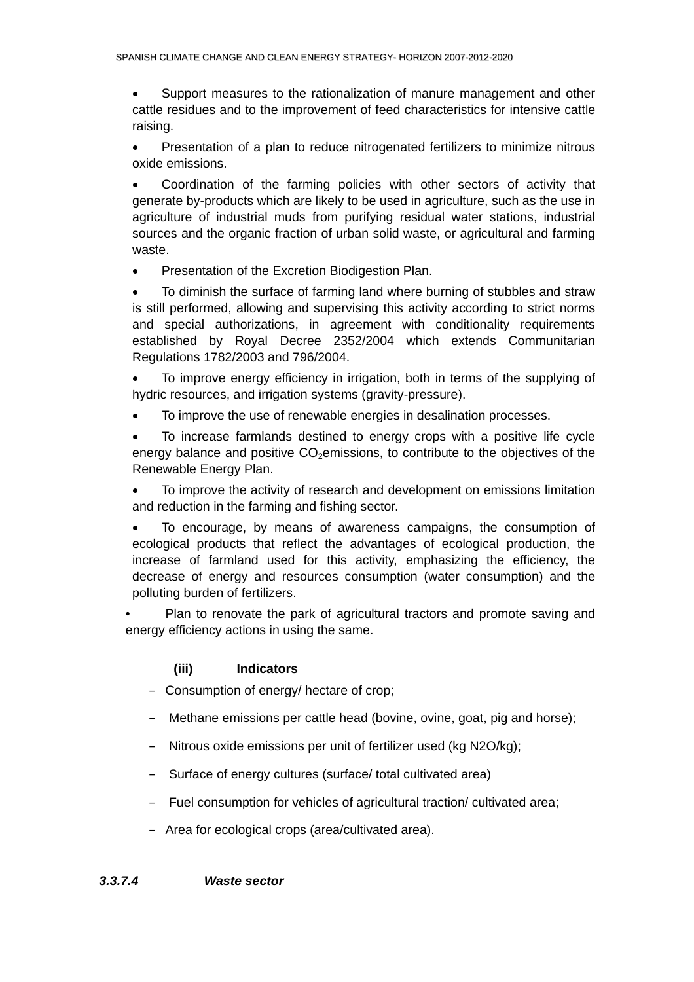<span id="page-35-0"></span>• Support measures to the rationalization of manure management and other cattle residues and to the improvement of feed characteristics for intensive cattle raising.

• Presentation of a plan to reduce nitrogenated fertilizers to minimize nitrous oxide emissions.

• Coordination of the farming policies with other sectors of activity that generate by-products which are likely to be used in agriculture, such as the use in agriculture of industrial muds from purifying residual water stations, industrial sources and the organic fraction of urban solid waste, or agricultural and farming waste.

• Presentation of the Excretion Biodigestion Plan.

• To diminish the surface of farming land where burning of stubbles and straw is still performed, allowing and supervising this activity according to strict norms and special authorizations, in agreement with conditionality requirements established by Royal Decree 2352/2004 which extends Communitarian Regulations 1782/2003 and 796/2004.

• To improve energy efficiency in irrigation, both in terms of the supplying of hydric resources, and irrigation systems (gravity-pressure).

• To improve the use of renewable energies in desalination processes.

• To increase farmlands destined to energy crops with a positive life cycle energy balance and positive  $CO<sub>2</sub>$ emissions, to contribute to the objectives of the Renewable Energy Plan.

• To improve the activity of research and development on emissions limitation and reduction in the farming and fishing sector.

• To encourage, by means of awareness campaigns, the consumption of ecological products that reflect the advantages of ecological production, the increase of farmland used for this activity, emphasizing the efficiency, the decrease of energy and resources consumption (water consumption) and the polluting burden of fertilizers.

Plan to renovate the park of agricultural tractors and promote saving and energy efficiency actions in using the same.

## **(iii) Indicators**

- Consumption of energy/ hectare of crop;
- Methane emissions per cattle head (bovine, ovine, goat, pig and horse);
- Nitrous oxide emissions per unit of fertilizer used (kg N2O/kg);
- Surface of energy cultures (surface/ total cultivated area)
- Fuel consumption for vehicles of agricultural traction/ cultivated area;
- Area for ecological crops (area/cultivated area).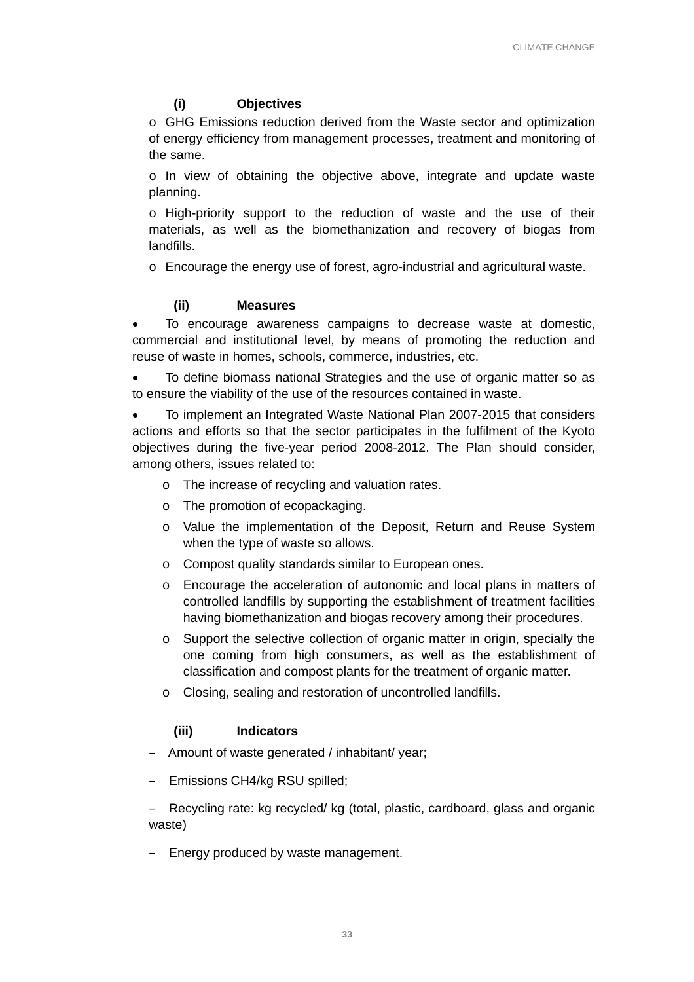## **(i) Objectives**

o GHG Emissions reduction derived from the Waste sector and optimization of energy efficiency from management processes, treatment and monitoring of the same.

o In view of obtaining the objective above, integrate and update waste planning.

o High-priority support to the reduction of waste and the use of their materials, as well as the biomethanization and recovery of biogas from landfills.

o Encourage the energy use of forest, agro-industrial and agricultural waste.

## **(ii) Measures**

• To encourage awareness campaigns to decrease waste at domestic, commercial and institutional level, by means of promoting the reduction and reuse of waste in homes, schools, commerce, industries, etc.

• To define biomass national Strategies and the use of organic matter so as to ensure the viability of the use of the resources contained in waste.

• To implement an Integrated Waste National Plan 2007-2015 that considers actions and efforts so that the sector participates in the fulfilment of the Kyoto objectives during the five-year period 2008-2012. The Plan should consider, among others, issues related to:

- o The increase of recycling and valuation rates.
- o The promotion of ecopackaging.
- o Value the implementation of the Deposit, Return and Reuse System when the type of waste so allows.
- o Compost quality standards similar to European ones.
- o Encourage the acceleration of autonomic and local plans in matters of controlled landfills by supporting the establishment of treatment facilities having biomethanization and biogas recovery among their procedures.
- o Support the selective collection of organic matter in origin, specially the one coming from high consumers, as well as the establishment of classification and compost plants for the treatment of organic matter.
- o Closing, sealing and restoration of uncontrolled landfills.

#### **(iii) Indicators**

- Amount of waste generated / inhabitant/ year;
- Emissions CH4/kg RSU spilled;

– Recycling rate: kg recycled/ kg (total, plastic, cardboard, glass and organic waste)

– Energy produced by waste management.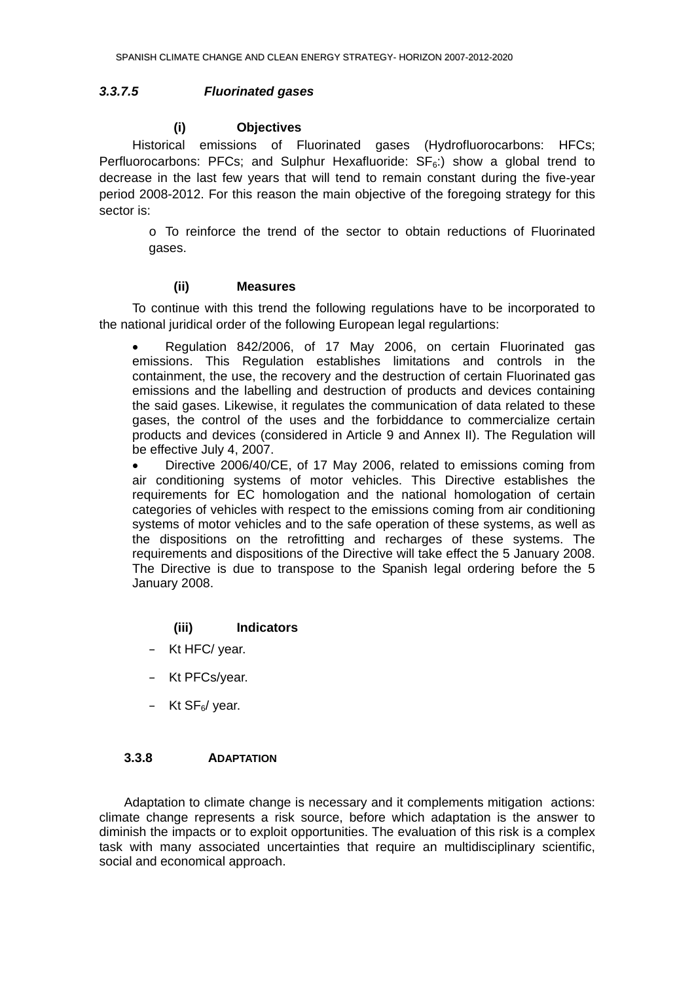#### <span id="page-37-0"></span>*3.3.7.5 Fluorinated gases*

#### **(i) Objectives**

Historical emissions of Fluorinated gases (Hydrofluorocarbons: HFCs; Perfluorocarbons: PFCs; and Sulphur Hexafluoride:  $SF<sub>6</sub>$ :) show a global trend to decrease in the last few years that will tend to remain constant during the five-year period 2008-2012. For this reason the main objective of the foregoing strategy for this sector is:

o To reinforce the trend of the sector to obtain reductions of Fluorinated gases.

#### **(ii) Measures**

To continue with this trend the following regulations have to be incorporated to the national juridical order of the following European legal regulartions:

• Regulation 842/2006, of 17 May 2006, on certain Fluorinated gas emissions. This Regulation establishes limitations and controls in the containment, the use, the recovery and the destruction of certain Fluorinated gas emissions and the labelling and destruction of products and devices containing the said gases. Likewise, it regulates the communication of data related to these gases, the control of the uses and the forbiddance to commercialize certain products and devices (considered in Article 9 and Annex II). The Regulation will be effective July 4, 2007.

• Directive 2006/40/CE, of 17 May 2006, related to emissions coming from air conditioning systems of motor vehicles. This Directive establishes the requirements for EC homologation and the national homologation of certain categories of vehicles with respect to the emissions coming from air conditioning systems of motor vehicles and to the safe operation of these systems, as well as the dispositions on the retrofitting and recharges of these systems. The requirements and dispositions of the Directive will take effect the 5 January 2008. The Directive is due to transpose to the Spanish legal ordering before the 5 January 2008.

#### **(iii) Indicators**

- Kt HFC/ year.
- Kt PFCs/year.
- $-$  Kt SF<sub>6</sub>/ year.

#### **3.3.8 ADAPTATION**

Adaptation to climate change is necessary and it complements mitigation actions: climate change represents a risk source, before which adaptation is the answer to diminish the impacts or to exploit opportunities. The evaluation of this risk is a complex task with many associated uncertainties that require an multidisciplinary scientific, social and economical approach.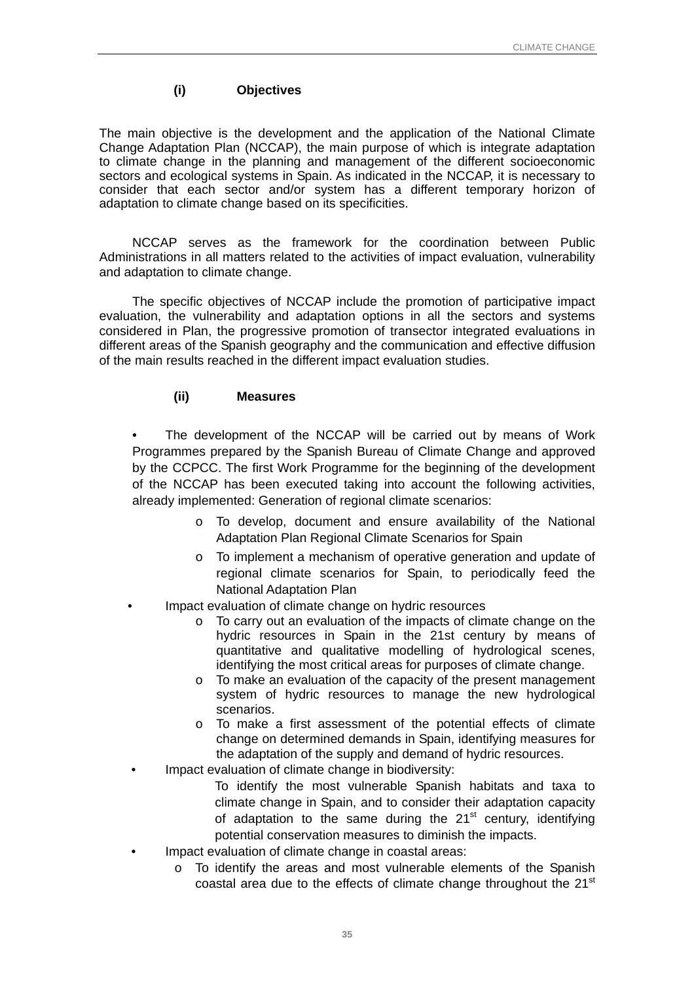## **(i) Objectives**

The main objective is the development and the application of the National Climate Change Adaptation Plan (NCCAP), the main purpose of which is integrate adaptation to climate change in the planning and management of the different socioeconomic sectors and ecological systems in Spain. As indicated in the NCCAP, it is necessary to consider that each sector and/or system has a different temporary horizon of adaptation to climate change based on its specificities.

NCCAP serves as the framework for the coordination between Public Administrations in all matters related to the activities of impact evaluation, vulnerability and adaptation to climate change.

The specific objectives of NCCAP include the promotion of participative impact evaluation, the vulnerability and adaptation options in all the sectors and systems considered in Plan, the progressive promotion of transector integrated evaluations in different areas of the Spanish geography and the communication and effective diffusion of the main results reached in the different impact evaluation studies.

## **(ii) Measures**

The development of the NCCAP will be carried out by means of Work Programmes prepared by the Spanish Bureau of Climate Change and approved by the CCPCC. The first Work Programme for the beginning of the development of the NCCAP has been executed taking into account the following activities, already implemented: Generation of regional climate scenarios:

- o To develop, document and ensure availability of the National Adaptation Plan Regional Climate Scenarios for Spain
- o To implement a mechanism of operative generation and update of regional climate scenarios for Spain, to periodically feed the National Adaptation Plan
- Impact evaluation of climate change on hydric resources
	- o To carry out an evaluation of the impacts of climate change on the hydric resources in Spain in the 21st century by means of quantitative and qualitative modelling of hydrological scenes, identifying the most critical areas for purposes of climate change.
	- o To make an evaluation of the capacity of the present management system of hydric resources to manage the new hydrological scenarios.
	- o To make a first assessment of the potential effects of climate change on determined demands in Spain, identifying measures for the adaptation of the supply and demand of hydric resources.
	- Impact evaluation of climate change in biodiversity:
		- To identify the most vulnerable Spanish habitats and taxa to climate change in Spain, and to consider their adaptation capacity of adaptation to the same during the  $21<sup>st</sup>$  century, identifying potential conservation measures to diminish the impacts.
	- Impact evaluation of climate change in coastal areas:
		- o To identify the areas and most vulnerable elements of the Spanish coastal area due to the effects of climate change throughout the 21<sup>st</sup>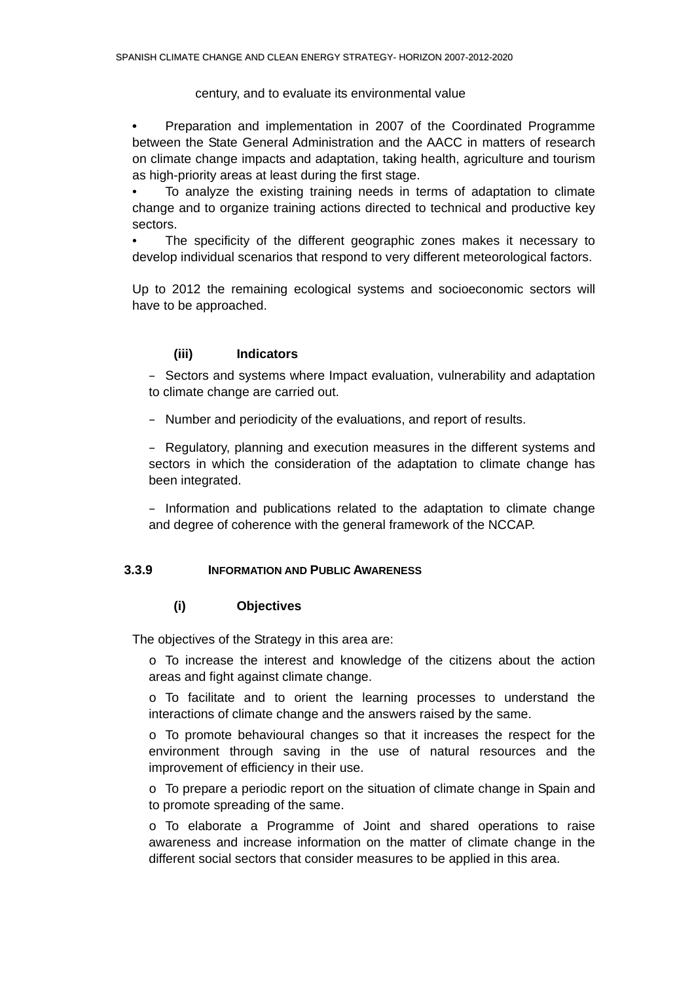## century, and to evaluate its environmental value

<span id="page-39-0"></span>**•** Preparation and implementation in 2007 of the Coordinated Programme between the State General Administration and the AACC in matters of research on climate change impacts and adaptation, taking health, agriculture and tourism as high-priority areas at least during the first stage.

• To analyze the existing training needs in terms of adaptation to climate change and to organize training actions directed to technical and productive key sectors.

• The specificity of the different geographic zones makes it necessary to develop individual scenarios that respond to very different meteorological factors.

Up to 2012 the remaining ecological systems and socioeconomic sectors will have to be approached.

## **(iii) Indicators**

– Sectors and systems where Impact evaluation, vulnerability and adaptation to climate change are carried out.

– Number and periodicity of the evaluations, and report of results.

– Regulatory, planning and execution measures in the different systems and sectors in which the consideration of the adaptation to climate change has been integrated.

– Information and publications related to the adaptation to climate change and degree of coherence with the general framework of the NCCAP.

#### **3.3.9 INFORMATION AND PUBLIC AWARENESS**

#### **(i) Objectives**

The objectives of the Strategy in this area are:

o To increase the interest and knowledge of the citizens about the action areas and fight against climate change.

o To facilitate and to orient the learning processes to understand the interactions of climate change and the answers raised by the same.

o To promote behavioural changes so that it increases the respect for the environment through saving in the use of natural resources and the improvement of efficiency in their use.

o To prepare a periodic report on the situation of climate change in Spain and to promote spreading of the same.

o To elaborate a Programme of Joint and shared operations to raise awareness and increase information on the matter of climate change in the different social sectors that consider measures to be applied in this area.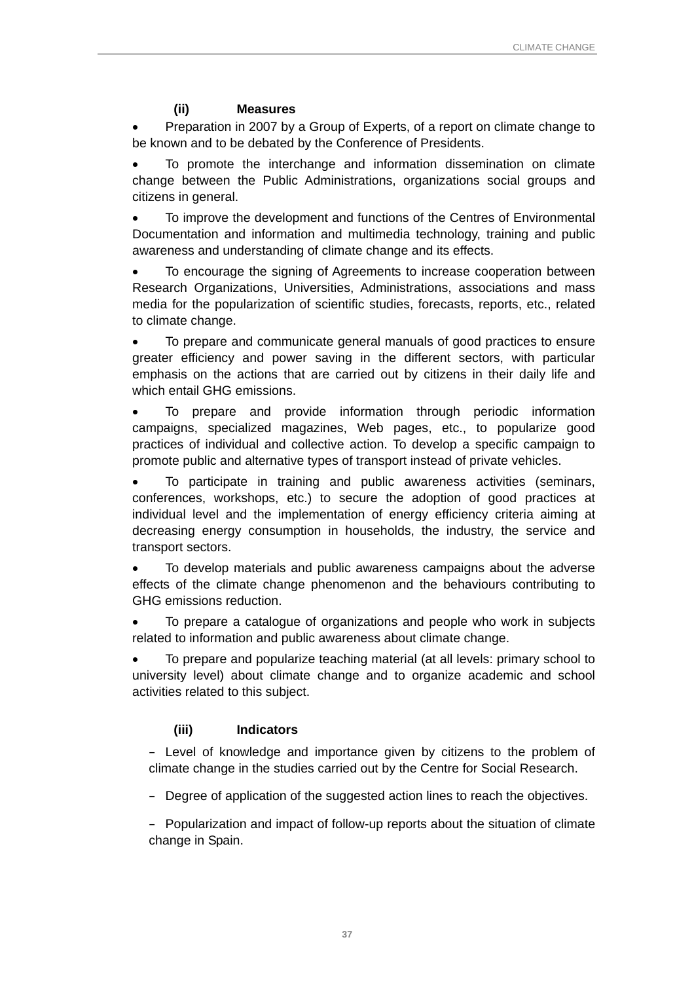## **(ii) Measures**

• Preparation in 2007 by a Group of Experts, of a report on climate change to be known and to be debated by the Conference of Presidents.

• To promote the interchange and information dissemination on climate change between the Public Administrations, organizations social groups and citizens in general.

• To improve the development and functions of the Centres of Environmental Documentation and information and multimedia technology, training and public awareness and understanding of climate change and its effects.

• To encourage the signing of Agreements to increase cooperation between Research Organizations, Universities, Administrations, associations and mass media for the popularization of scientific studies, forecasts, reports, etc., related to climate change.

• To prepare and communicate general manuals of good practices to ensure greater efficiency and power saving in the different sectors, with particular emphasis on the actions that are carried out by citizens in their daily life and which entail GHG emissions.

• To prepare and provide information through periodic information campaigns, specialized magazines, Web pages, etc., to popularize good practices of individual and collective action. To develop a specific campaign to promote public and alternative types of transport instead of private vehicles.

• To participate in training and public awareness activities (seminars, conferences, workshops, etc.) to secure the adoption of good practices at individual level and the implementation of energy efficiency criteria aiming at decreasing energy consumption in households, the industry, the service and transport sectors.

• To develop materials and public awareness campaigns about the adverse effects of the climate change phenomenon and the behaviours contributing to GHG emissions reduction.

• To prepare a catalogue of organizations and people who work in subjects related to information and public awareness about climate change.

• To prepare and popularize teaching material (at all levels: primary school to university level) about climate change and to organize academic and school activities related to this subject.

## **(iii) Indicators**

– Level of knowledge and importance given by citizens to the problem of climate change in the studies carried out by the Centre for Social Research.

– Degree of application of the suggested action lines to reach the objectives.

– Popularization and impact of follow-up reports about the situation of climate change in Spain.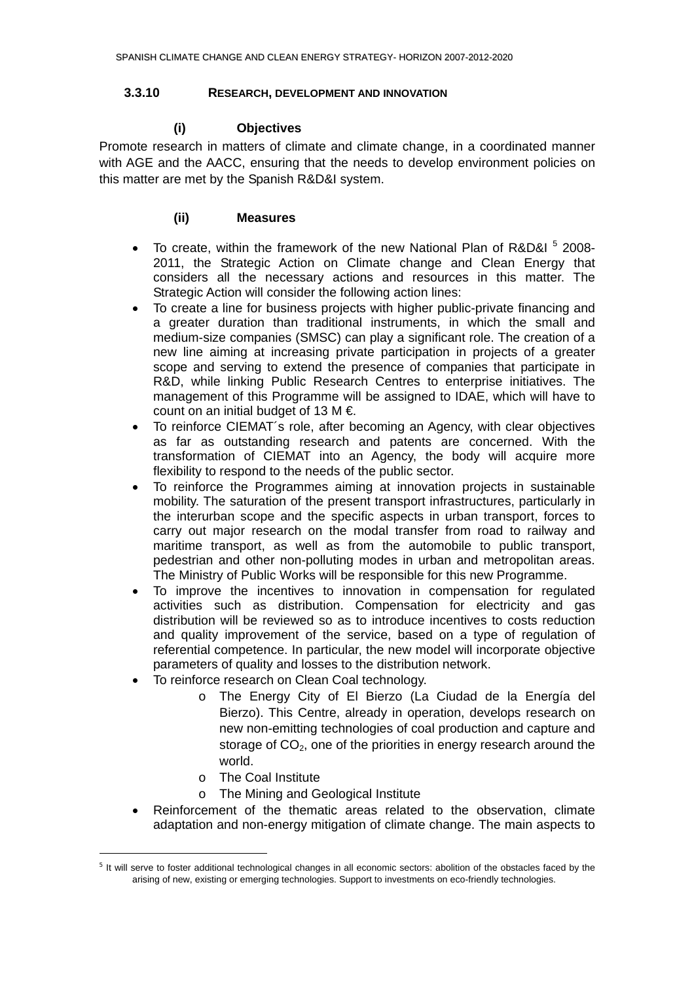## <span id="page-41-0"></span>**3.3.10 RESEARCH, DEVELOPMENT AND INNOVATION**

## **(i) Objectives**

Promote research in matters of climate and climate change, in a coordinated manner with AGE and the AACC, ensuring that the needs to develop environment policies on this matter are met by the Spanish R&D&I system.

## **(ii) Measures**

- To create, within the framework of the new National Plan of R&D&I  $5$  2008-2011, the Strategic Action on Climate change and Clean Energy that considers all the necessary actions and resources in this matter. The Strategic Action will consider the following action lines:
- To create a line for business projects with higher public-private financing and a greater duration than traditional instruments, in which the small and medium-size companies (SMSC) can play a significant role. The creation of a new line aiming at increasing private participation in projects of a greater scope and serving to extend the presence of companies that participate in R&D, while linking Public Research Centres to enterprise initiatives. The management of this Programme will be assigned to IDAE, which will have to count on an initial budget of 13 M  $\epsilon$ .
- To reinforce CIEMAT´s role, after becoming an Agency, with clear objectives as far as outstanding research and patents are concerned. With the transformation of CIEMAT into an Agency, the body will acquire more flexibility to respond to the needs of the public sector.
- To reinforce the Programmes aiming at innovation projects in sustainable mobility. The saturation of the present transport infrastructures, particularly in the interurban scope and the specific aspects in urban transport, forces to carry out major research on the modal transfer from road to railway and maritime transport, as well as from the automobile to public transport, pedestrian and other non-polluting modes in urban and metropolitan areas. The Ministry of Public Works will be responsible for this new Programme.
- To improve the incentives to innovation in compensation for regulated activities such as distribution. Compensation for electricity and gas distribution will be reviewed so as to introduce incentives to costs reduction and quality improvement of the service, based on a type of regulation of referential competence. In particular, the new model will incorporate objective parameters of quality and losses to the distribution network.
- To reinforce research on Clean Coal technology.
	- o The Energy City of El Bierzo (La Ciudad de la Energía del Bierzo). This Centre, already in operation, develops research on new non-emitting technologies of coal production and capture and storage of  $CO<sub>2</sub>$ , one of the priorities in energy research around the world.
	- o The Coal Institute

 $\overline{a}$ 

- o The Mining and Geological Institute
- Reinforcement of the thematic areas related to the observation, climate adaptation and non-energy mitigation of climate change. The main aspects to

<span id="page-41-1"></span><sup>&</sup>lt;sup>5</sup> It will serve to foster additional technological changes in all economic sectors: abolition of the obstacles faced by the arising of new, existing or emerging technologies. Support to investments on eco-friendly technologies.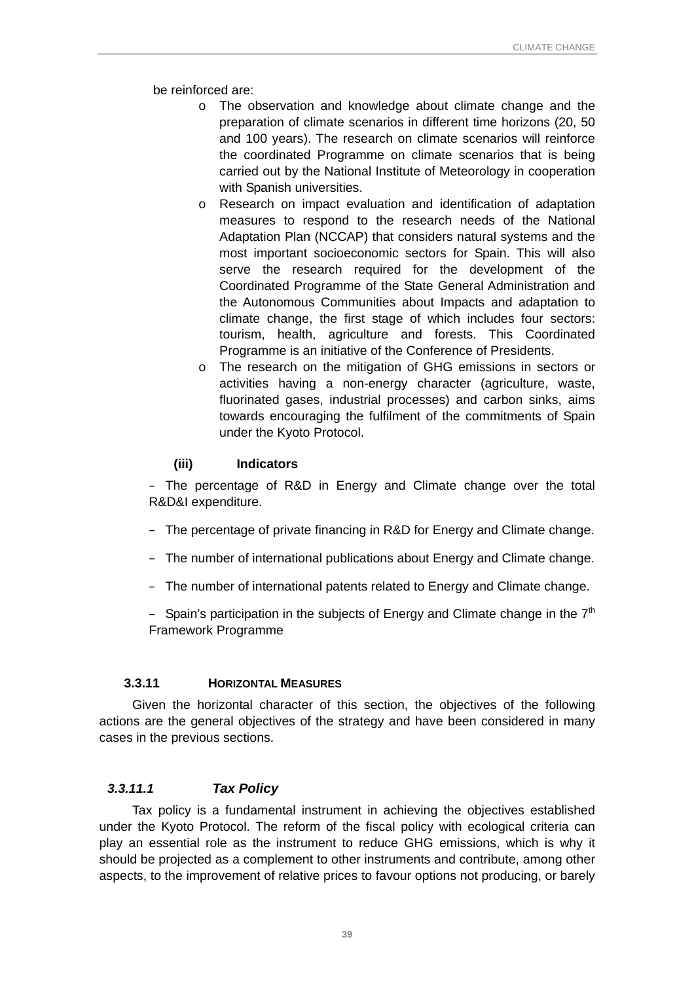<span id="page-42-0"></span>be reinforced are:

- o The observation and knowledge about climate change and the preparation of climate scenarios in different time horizons (20, 50 and 100 years). The research on climate scenarios will reinforce the coordinated Programme on climate scenarios that is being carried out by the National Institute of Meteorology in cooperation with Spanish universities.
- o Research on impact evaluation and identification of adaptation measures to respond to the research needs of the National Adaptation Plan (NCCAP) that considers natural systems and the most important socioeconomic sectors for Spain. This will also serve the research required for the development of the Coordinated Programme of the State General Administration and the Autonomous Communities about Impacts and adaptation to climate change, the first stage of which includes four sectors: tourism, health, agriculture and forests. This Coordinated Programme is an initiative of the Conference of Presidents.
- o The research on the mitigation of GHG emissions in sectors or activities having a non-energy character (agriculture, waste, fluorinated gases, industrial processes) and carbon sinks, aims towards encouraging the fulfilment of the commitments of Spain under the Kyoto Protocol.

## **(iii) Indicators**

– The percentage of R&D in Energy and Climate change over the total R&D&I expenditure.

- The percentage of private financing in R&D for Energy and Climate change.
- The number of international publications about Energy and Climate change.
- The number of international patents related to Energy and Climate change.

– Spain's participation in the subjects of Energy and Climate change in the  $7<sup>th</sup>$ Framework Programme

## **3.3.11 HORIZONTAL MEASURES**

Given the horizontal character of this section, the objectives of the following actions are the general objectives of the strategy and have been considered in many cases in the previous sections.

## *3.3.11.1 Tax Policy*

Tax policy is a fundamental instrument in achieving the objectives established under the Kyoto Protocol. The reform of the fiscal policy with ecological criteria can play an essential role as the instrument to reduce GHG emissions, which is why it should be projected as a complement to other instruments and contribute, among other aspects, to the improvement of relative prices to favour options not producing, or barely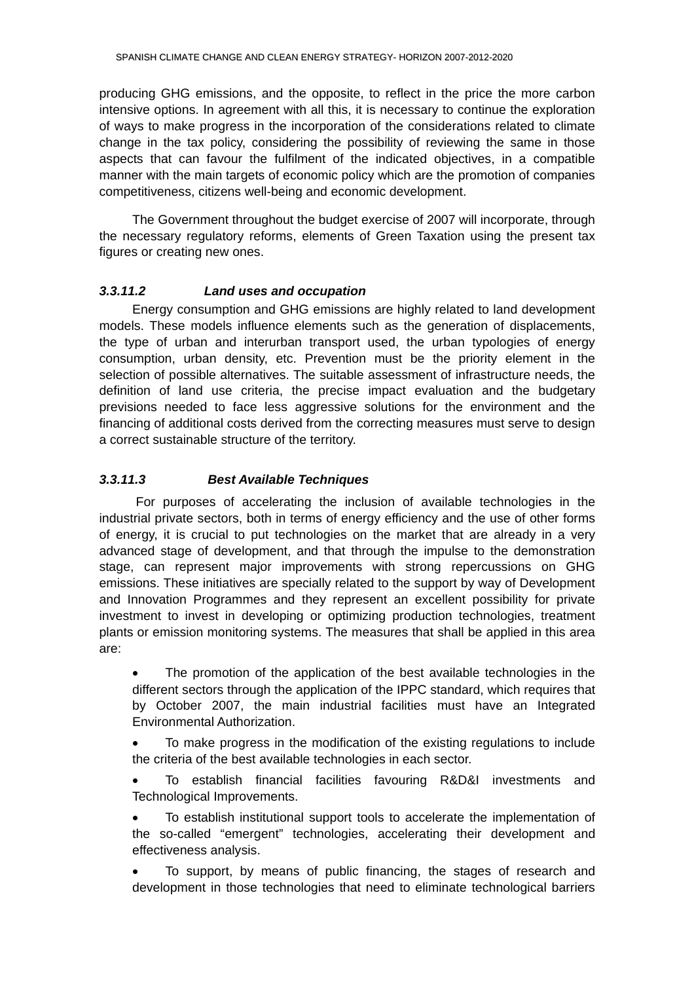<span id="page-43-0"></span>producing GHG emissions, and the opposite, to reflect in the price the more carbon intensive options. In agreement with all this, it is necessary to continue the exploration of ways to make progress in the incorporation of the considerations related to climate change in the tax policy, considering the possibility of reviewing the same in those aspects that can favour the fulfilment of the indicated objectives, in a compatible manner with the main targets of economic policy which are the promotion of companies competitiveness, citizens well-being and economic development.

The Government throughout the budget exercise of 2007 will incorporate, through the necessary regulatory reforms, elements of Green Taxation using the present tax figures or creating new ones.

#### *3.3.11.2 Land uses and occupation*

 Energy consumption and GHG emissions are highly related to land development models. These models influence elements such as the generation of displacements, the type of urban and interurban transport used, the urban typologies of energy consumption, urban density, etc. Prevention must be the priority element in the selection of possible alternatives. The suitable assessment of infrastructure needs, the definition of land use criteria, the precise impact evaluation and the budgetary previsions needed to face less aggressive solutions for the environment and the financing of additional costs derived from the correcting measures must serve to design a correct sustainable structure of the territory.

#### *3.3.11.3 Best Available Techniques*

 For purposes of accelerating the inclusion of available technologies in the industrial private sectors, both in terms of energy efficiency and the use of other forms of energy, it is crucial to put technologies on the market that are already in a very advanced stage of development, and that through the impulse to the demonstration stage, can represent major improvements with strong repercussions on GHG emissions. These initiatives are specially related to the support by way of Development and Innovation Programmes and they represent an excellent possibility for private investment to invest in developing or optimizing production technologies, treatment plants or emission monitoring systems. The measures that shall be applied in this area are:

The promotion of the application of the best available technologies in the different sectors through the application of the IPPC standard, which requires that by October 2007, the main industrial facilities must have an Integrated Environmental Authorization.

• To make progress in the modification of the existing regulations to include the criteria of the best available technologies in each sector.

• To establish financial facilities favouring R&D&I investments and Technological Improvements.

• To establish institutional support tools to accelerate the implementation of the so-called "emergent" technologies, accelerating their development and effectiveness analysis.

• To support, by means of public financing, the stages of research and development in those technologies that need to eliminate technological barriers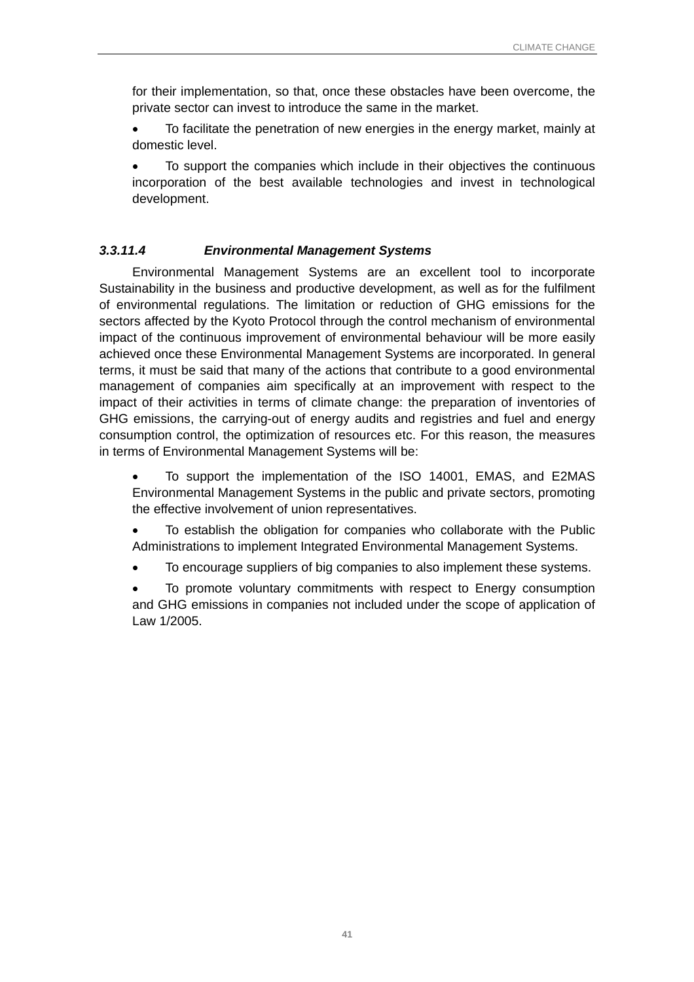<span id="page-44-0"></span>for their implementation, so that, once these obstacles have been overcome, the private sector can invest to introduce the same in the market.

• To facilitate the penetration of new energies in the energy market, mainly at domestic level.

• To support the companies which include in their objectives the continuous incorporation of the best available technologies and invest in technological development.

## *3.3.11.4 Environmental Management Systems*

Environmental Management Systems are an excellent tool to incorporate Sustainability in the business and productive development, as well as for the fulfilment of environmental regulations. The limitation or reduction of GHG emissions for the sectors affected by the Kyoto Protocol through the control mechanism of environmental impact of the continuous improvement of environmental behaviour will be more easily achieved once these Environmental Management Systems are incorporated. In general terms, it must be said that many of the actions that contribute to a good environmental management of companies aim specifically at an improvement with respect to the impact of their activities in terms of climate change: the preparation of inventories of GHG emissions, the carrying-out of energy audits and registries and fuel and energy consumption control, the optimization of resources etc. For this reason, the measures in terms of Environmental Management Systems will be:

• To support the implementation of the ISO 14001, EMAS, and E2MAS Environmental Management Systems in the public and private sectors, promoting the effective involvement of union representatives.

• To establish the obligation for companies who collaborate with the Public Administrations to implement Integrated Environmental Management Systems.

• To encourage suppliers of big companies to also implement these systems.

• To promote voluntary commitments with respect to Energy consumption and GHG emissions in companies not included under the scope of application of Law 1/2005.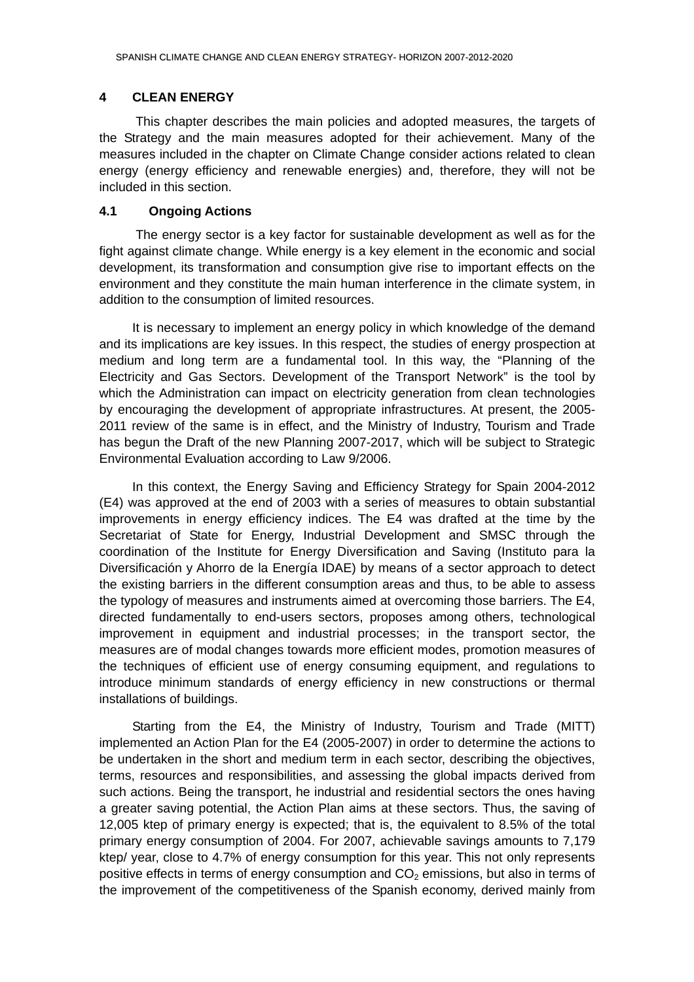#### <span id="page-45-0"></span>**4 CLEAN ENERGY**

 This chapter describes the main policies and adopted measures, the targets of the Strategy and the main measures adopted for their achievement. Many of the measures included in the chapter on Climate Change consider actions related to clean energy (energy efficiency and renewable energies) and, therefore, they will not be included in this section.

## **4.1 Ongoing Actions**

 The energy sector is a key factor for sustainable development as well as for the fight against climate change. While energy is a key element in the economic and social development, its transformation and consumption give rise to important effects on the environment and they constitute the main human interference in the climate system, in addition to the consumption of limited resources.

It is necessary to implement an energy policy in which knowledge of the demand and its implications are key issues. In this respect, the studies of energy prospection at medium and long term are a fundamental tool. In this way, the "Planning of the Electricity and Gas Sectors. Development of the Transport Network" is the tool by which the Administration can impact on electricity generation from clean technologies by encouraging the development of appropriate infrastructures. At present, the 2005- 2011 review of the same is in effect, and the Ministry of Industry, Tourism and Trade has begun the Draft of the new Planning 2007-2017, which will be subject to Strategic Environmental Evaluation according to Law 9/2006.

In this context, the Energy Saving and Efficiency Strategy for Spain 2004-2012 (E4) was approved at the end of 2003 with a series of measures to obtain substantial improvements in energy efficiency indices. The E4 was drafted at the time by the Secretariat of State for Energy, Industrial Development and SMSC through the coordination of the Institute for Energy Diversification and Saving (Instituto para la Diversificación y Ahorro de la Energía IDAE) by means of a sector approach to detect the existing barriers in the different consumption areas and thus, to be able to assess the typology of measures and instruments aimed at overcoming those barriers. The E4, directed fundamentally to end-users sectors, proposes among others, technological improvement in equipment and industrial processes; in the transport sector, the measures are of modal changes towards more efficient modes, promotion measures of the techniques of efficient use of energy consuming equipment, and regulations to introduce minimum standards of energy efficiency in new constructions or thermal installations of buildings.

Starting from the E4, the Ministry of Industry, Tourism and Trade (MITT) implemented an Action Plan for the E4 (2005-2007) in order to determine the actions to be undertaken in the short and medium term in each sector, describing the objectives, terms, resources and responsibilities, and assessing the global impacts derived from such actions. Being the transport, he industrial and residential sectors the ones having a greater saving potential, the Action Plan aims at these sectors. Thus, the saving of 12,005 ktep of primary energy is expected; that is, the equivalent to 8.5% of the total primary energy consumption of 2004. For 2007, achievable savings amounts to 7,179 ktep/ year, close to 4.7% of energy consumption for this year. This not only represents positive effects in terms of energy consumption and  $CO<sub>2</sub>$  emissions, but also in terms of the improvement of the competitiveness of the Spanish economy, derived mainly from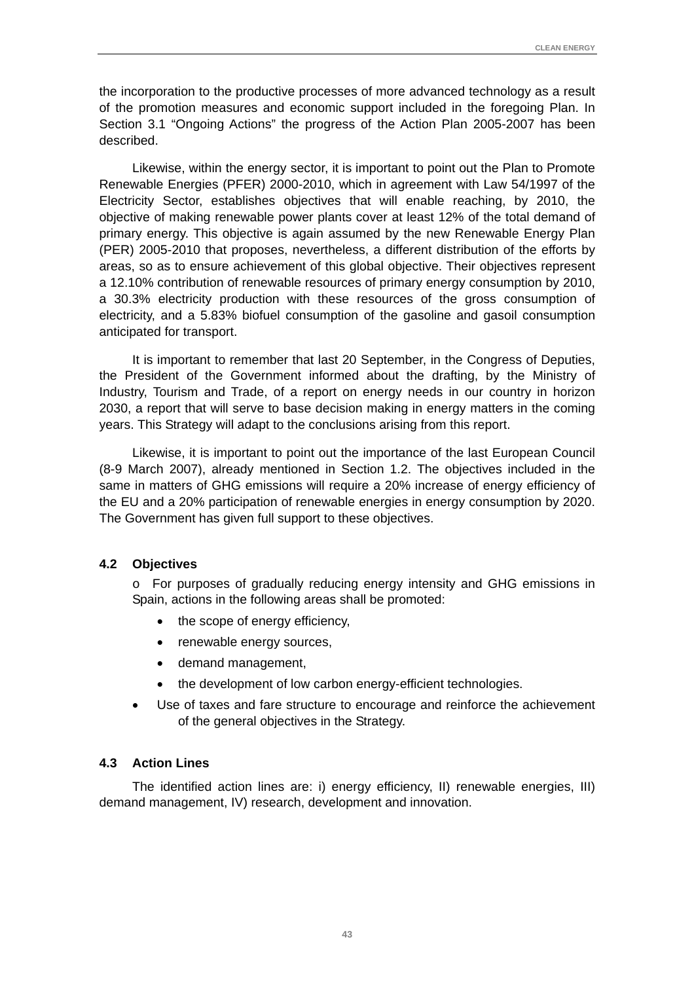<span id="page-46-0"></span>the incorporation to the productive processes of more advanced technology as a result of the promotion measures and economic support included in the foregoing Plan. In Section 3.1 "Ongoing Actions" the progress of the Action Plan 2005-2007 has been described.

Likewise, within the energy sector, it is important to point out the Plan to Promote Renewable Energies (PFER) 2000-2010, which in agreement with Law 54/1997 of the Electricity Sector, establishes objectives that will enable reaching, by 2010, the objective of making renewable power plants cover at least 12% of the total demand of primary energy. This objective is again assumed by the new Renewable Energy Plan (PER) 2005-2010 that proposes, nevertheless, a different distribution of the efforts by areas, so as to ensure achievement of this global objective. Their objectives represent a 12.10% contribution of renewable resources of primary energy consumption by 2010, a 30.3% electricity production with these resources of the gross consumption of electricity, and a 5.83% biofuel consumption of the gasoline and gasoil consumption anticipated for transport.

It is important to remember that last 20 September, in the Congress of Deputies, the President of the Government informed about the drafting, by the Ministry of Industry, Tourism and Trade, of a report on energy needs in our country in horizon 2030, a report that will serve to base decision making in energy matters in the coming years. This Strategy will adapt to the conclusions arising from this report.

Likewise, it is important to point out the importance of the last European Council (8-9 March 2007), already mentioned in Section 1.2. The objectives included in the same in matters of GHG emissions will require a 20% increase of energy efficiency of the EU and a 20% participation of renewable energies in energy consumption by 2020. The Government has given full support to these objectives.

#### **4.2 Objectives**

o For purposes of gradually reducing energy intensity and GHG emissions in Spain, actions in the following areas shall be promoted:

- the scope of energy efficiency,
- renewable energy sources,
- demand management,
- the development of low carbon energy-efficient technologies.
- Use of taxes and fare structure to encourage and reinforce the achievement of the general objectives in the Strategy.

#### **4.3 Action Lines**

The identified action lines are: i) energy efficiency, II) renewable energies, III) demand management, IV) research, development and innovation.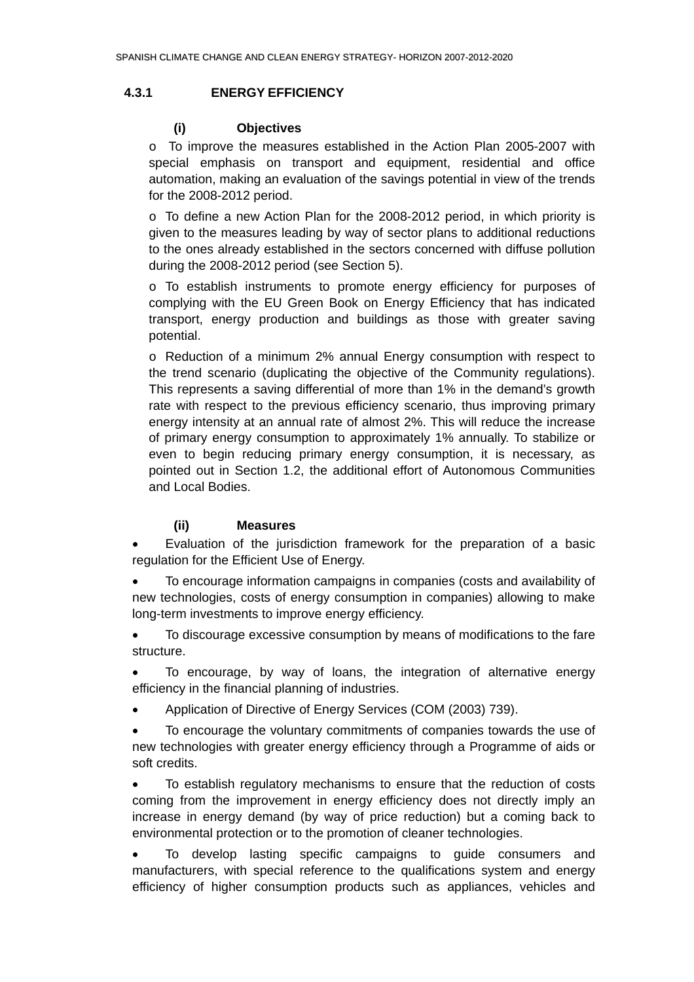## <span id="page-47-0"></span>**4.3.1 ENERGY EFFICIENCY**

## **(i) Objectives**

o To improve the measures established in the Action Plan 2005-2007 with special emphasis on transport and equipment, residential and office automation, making an evaluation of the savings potential in view of the trends for the 2008-2012 period.

o To define a new Action Plan for the 2008-2012 period, in which priority is given to the measures leading by way of sector plans to additional reductions to the ones already established in the sectors concerned with diffuse pollution during the 2008-2012 period (see Section 5).

o To establish instruments to promote energy efficiency for purposes of complying with the EU Green Book on Energy Efficiency that has indicated transport, energy production and buildings as those with greater saving potential.

o Reduction of a minimum 2% annual Energy consumption with respect to the trend scenario (duplicating the objective of the Community regulations). This represents a saving differential of more than 1% in the demand's growth rate with respect to the previous efficiency scenario, thus improving primary energy intensity at an annual rate of almost 2%. This will reduce the increase of primary energy consumption to approximately 1% annually. To stabilize or even to begin reducing primary energy consumption, it is necessary, as pointed out in Section 1.2, the additional effort of Autonomous Communities and Local Bodies.

## **(ii) Measures**

• Evaluation of the jurisdiction framework for the preparation of a basic regulation for the Efficient Use of Energy.

• To encourage information campaigns in companies (costs and availability of new technologies, costs of energy consumption in companies) allowing to make long-term investments to improve energy efficiency.

• To discourage excessive consumption by means of modifications to the fare structure.

• To encourage, by way of loans, the integration of alternative energy efficiency in the financial planning of industries.

• Application of Directive of Energy Services (COM (2003) 739).

• To encourage the voluntary commitments of companies towards the use of new technologies with greater energy efficiency through a Programme of aids or soft credits.

• To establish regulatory mechanisms to ensure that the reduction of costs coming from the improvement in energy efficiency does not directly imply an increase in energy demand (by way of price reduction) but a coming back to environmental protection or to the promotion of cleaner technologies.

• To develop lasting specific campaigns to guide consumers and manufacturers, with special reference to the qualifications system and energy efficiency of higher consumption products such as appliances, vehicles and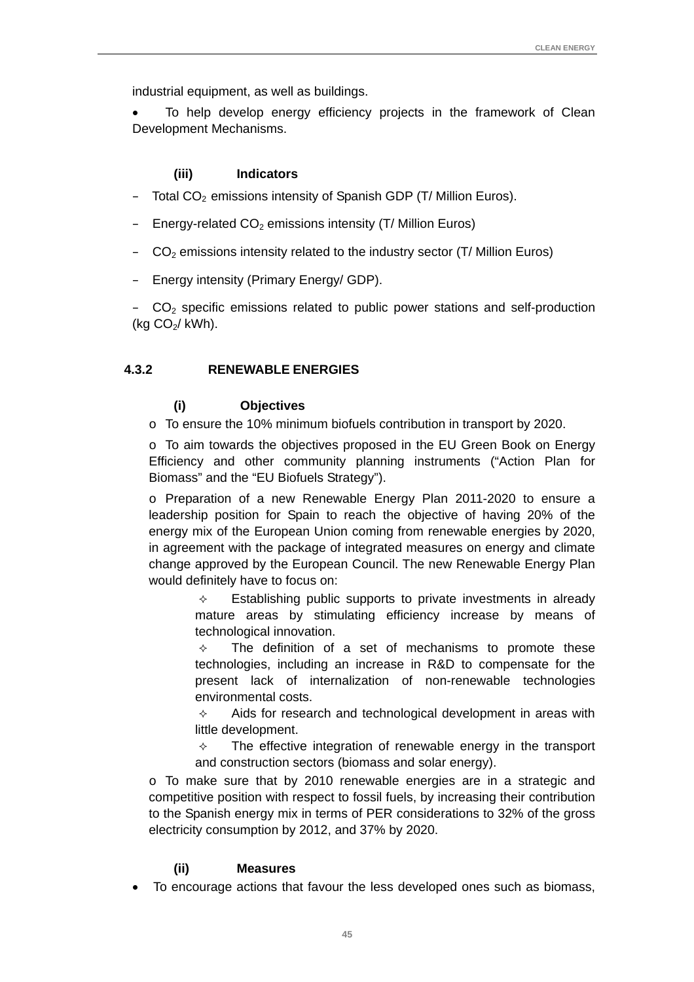<span id="page-48-0"></span>industrial equipment, as well as buildings.

To help develop energy efficiency projects in the framework of Clean Development Mechanisms.

#### **(iii) Indicators**

- $-$  Total CO<sub>2</sub> emissions intensity of Spanish GDP (T/ Million Euros).
- $-$  Energy-related CO<sub>2</sub> emissions intensity (T/ Million Euros)
- $-\overline{CO}_2$  emissions intensity related to the industry sector (T/ Million Euros)
- Energy intensity (Primary Energy/ GDP).

 $-$  CO<sub>2</sub> specific emissions related to public power stations and self-production (kg  $CO<sub>2</sub>$ / kWh).

#### **4.3.2 RENEWABLE ENERGIES**

## **(i) Objectives**

o To ensure the 10% minimum biofuels contribution in transport by 2020.

 $\circ$  To aim towards the objectives proposed in the EU Green Book on Energy Efficiency and other community planning instruments ("Action Plan for Biomass" and the "EU Biofuels Strategy").

o Preparation of a new Renewable Energy Plan 2011-2020 to ensure a leadership position for Spain to reach the objective of having 20% of the energy mix of the European Union coming from renewable energies by 2020, in agreement with the package of integrated measures on energy and climate change approved by the European Council. The new Renewable Energy Plan would definitely have to focus on:

> $\Diamond$  Establishing public supports to private investments in already mature areas by stimulating efficiency increase by means of technological innovation.

> $\div$  The definition of a set of mechanisms to promote these technologies, including an increase in R&D to compensate for the present lack of internalization of non-renewable technologies environmental costs.

> $\Diamond$  Aids for research and technological development in areas with little development.

> $\Diamond$  The effective integration of renewable energy in the transport and construction sectors (biomass and solar energy).

o To make sure that by 2010 renewable energies are in a strategic and competitive position with respect to fossil fuels, by increasing their contribution to the Spanish energy mix in terms of PER considerations to 32% of the gross electricity consumption by 2012, and 37% by 2020.

#### **(ii) Measures**

• To encourage actions that favour the less developed ones such as biomass,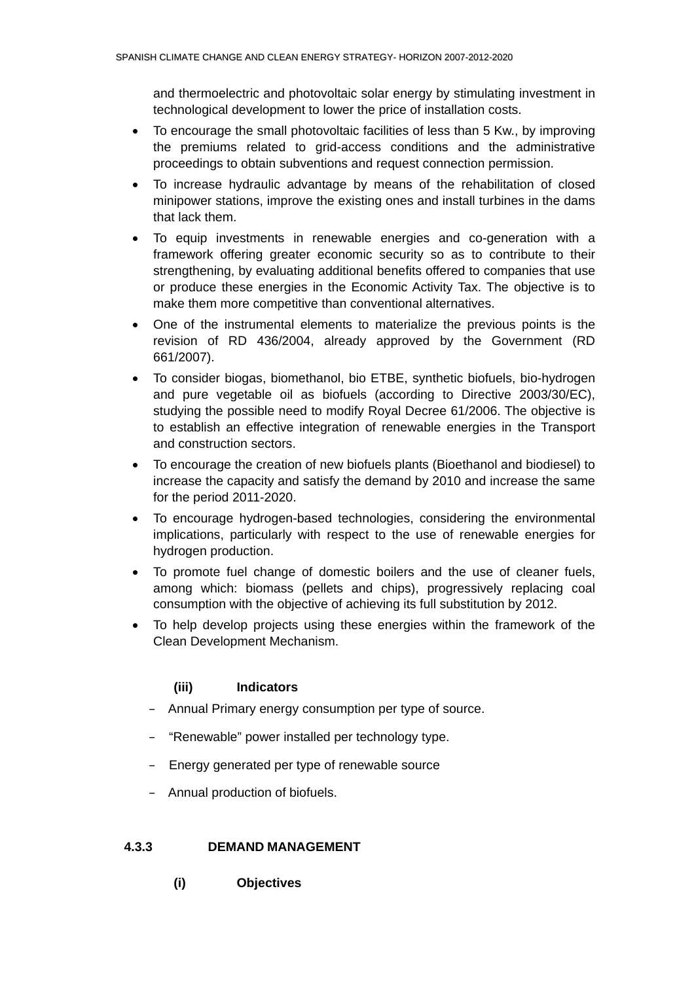<span id="page-49-0"></span>and thermoelectric and photovoltaic solar energy by stimulating investment in technological development to lower the price of installation costs.

- To encourage the small photovoltaic facilities of less than 5 Kw., by improving the premiums related to grid-access conditions and the administrative proceedings to obtain subventions and request connection permission.
- To increase hydraulic advantage by means of the rehabilitation of closed minipower stations, improve the existing ones and install turbines in the dams that lack them.
- To equip investments in renewable energies and co-generation with a framework offering greater economic security so as to contribute to their strengthening, by evaluating additional benefits offered to companies that use or produce these energies in the Economic Activity Tax. The objective is to make them more competitive than conventional alternatives.
- One of the instrumental elements to materialize the previous points is the revision of RD 436/2004, already approved by the Government (RD 661/2007).
- To consider biogas, biomethanol, bio ETBE, synthetic biofuels, bio-hydrogen and pure vegetable oil as biofuels (according to Directive 2003/30/EC), studying the possible need to modify Royal Decree 61/2006. The objective is to establish an effective integration of renewable energies in the Transport and construction sectors.
- To encourage the creation of new biofuels plants (Bioethanol and biodiesel) to increase the capacity and satisfy the demand by 2010 and increase the same for the period 2011-2020.
- To encourage hydrogen-based technologies, considering the environmental implications, particularly with respect to the use of renewable energies for hydrogen production.
- To promote fuel change of domestic boilers and the use of cleaner fuels, among which: biomass (pellets and chips), progressively replacing coal consumption with the objective of achieving its full substitution by 2012.
- To help develop projects using these energies within the framework of the Clean Development Mechanism.

## **(iii) Indicators**

- Annual Primary energy consumption per type of source.
- "Renewable" power installed per technology type.
- Energy generated per type of renewable source
- Annual production of biofuels.

## **4.3.3 DEMAND MANAGEMENT**

**(i) Objectives**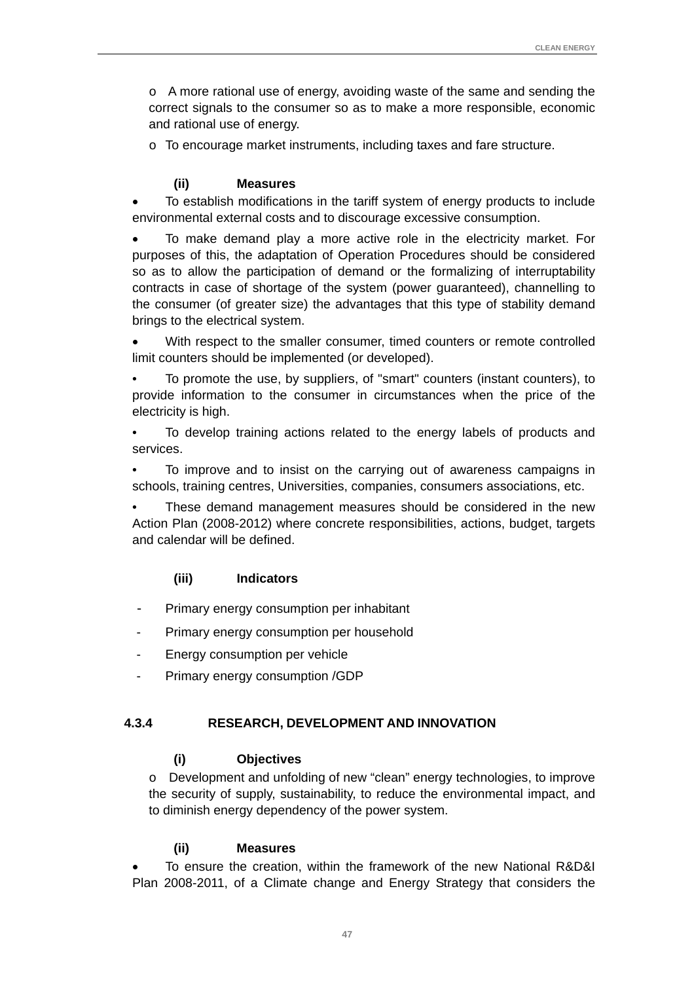<span id="page-50-0"></span>o A more rational use of energy, avoiding waste of the same and sending the correct signals to the consumer so as to make a more responsible, economic and rational use of energy.

o To encourage market instruments, including taxes and fare structure.

## **(ii) Measures**

• To establish modifications in the tariff system of energy products to include environmental external costs and to discourage excessive consumption.

• To make demand play a more active role in the electricity market. For purposes of this, the adaptation of Operation Procedures should be considered so as to allow the participation of demand or the formalizing of interruptability contracts in case of shortage of the system (power guaranteed), channelling to the consumer (of greater size) the advantages that this type of stability demand brings to the electrical system.

With respect to the smaller consumer, timed counters or remote controlled limit counters should be implemented (or developed).

• To promote the use, by suppliers, of "smart" counters (instant counters), to provide information to the consumer in circumstances when the price of the electricity is high.

• To develop training actions related to the energy labels of products and services.

• To improve and to insist on the carrying out of awareness campaigns in schools, training centres, Universities, companies, consumers associations, etc.

• These demand management measures should be considered in the new Action Plan (2008-2012) where concrete responsibilities, actions, budget, targets and calendar will be defined.

## **(iii) Indicators**

- Primary energy consumption per inhabitant
- Primary energy consumption per household
- Energy consumption per vehicle
- Primary energy consumption /GDP

## **4.3.4 RESEARCH, DEVELOPMENT AND INNOVATION**

#### **(i) Objectives**

o Development and unfolding of new "clean" energy technologies, to improve the security of supply, sustainability, to reduce the environmental impact, and to diminish energy dependency of the power system.

#### **(ii) Measures**

• To ensure the creation, within the framework of the new National R&D&I Plan 2008-2011, of a Climate change and Energy Strategy that considers the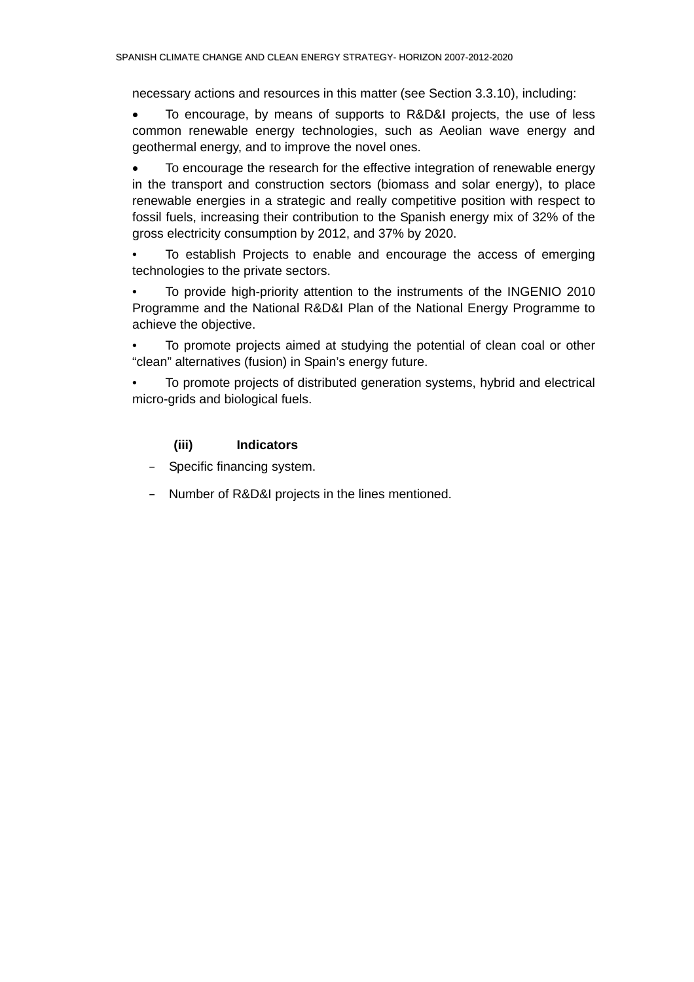necessary actions and resources in this matter (see Section 3.3.10), including:

• To encourage, by means of supports to R&D&I projects, the use of less common renewable energy technologies, such as Aeolian wave energy and geothermal energy, and to improve the novel ones.

• To encourage the research for the effective integration of renewable energy in the transport and construction sectors (biomass and solar energy), to place renewable energies in a strategic and really competitive position with respect to fossil fuels, increasing their contribution to the Spanish energy mix of 32% of the gross electricity consumption by 2012, and 37% by 2020.

• To establish Projects to enable and encourage the access of emerging technologies to the private sectors.

• To provide high-priority attention to the instruments of the INGENIO 2010 Programme and the National R&D&I Plan of the National Energy Programme to achieve the objective.

To promote projects aimed at studying the potential of clean coal or other "clean" alternatives (fusion) in Spain's energy future.

• To promote projects of distributed generation systems, hybrid and electrical micro-grids and biological fuels.

## **(iii) Indicators**

– Specific financing system.

– Number of R&D&I projects in the lines mentioned.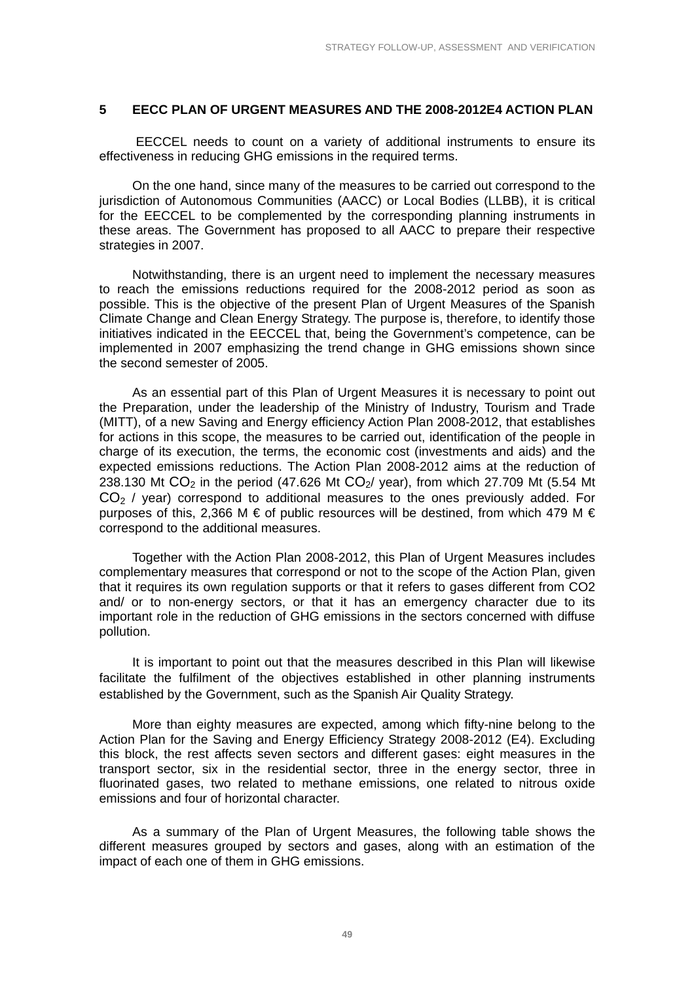#### <span id="page-52-0"></span>**5 EECC PLAN OF URGENT MEASURES AND THE 2008-2012E4 ACTION PLAN**

EECCEL needs to count on a variety of additional instruments to ensure its effectiveness in reducing GHG emissions in the required terms.

On the one hand, since many of the measures to be carried out correspond to the jurisdiction of Autonomous Communities (AACC) or Local Bodies (LLBB), it is critical for the EECCEL to be complemented by the corresponding planning instruments in these areas. The Government has proposed to all AACC to prepare their respective strategies in 2007.

Notwithstanding, there is an urgent need to implement the necessary measures to reach the emissions reductions required for the 2008-2012 period as soon as possible. This is the objective of the present Plan of Urgent Measures of the Spanish Climate Change and Clean Energy Strategy. The purpose is, therefore, to identify those initiatives indicated in the EECCEL that, being the Government's competence, can be implemented in 2007 emphasizing the trend change in GHG emissions shown since the second semester of 2005.

As an essential part of this Plan of Urgent Measures it is necessary to point out the Preparation, under the leadership of the Ministry of Industry, Tourism and Trade (MITT), of a new Saving and Energy efficiency Action Plan 2008-2012, that establishes for actions in this scope, the measures to be carried out, identification of the people in charge of its execution, the terms, the economic cost (investments and aids) and the expected emissions reductions. The Action Plan 2008-2012 aims at the reduction of 238.130 Mt  $CO<sub>2</sub>$  in the period (47.626 Mt  $CO<sub>2</sub>$ / year), from which 27.709 Mt (5.54 Mt  $CO<sub>2</sub>$  / year) correspond to additional measures to the ones previously added. For purposes of this, 2,366 M  $\epsilon$  of public resources will be destined, from which 479 M  $\epsilon$ correspond to the additional measures.

Together with the Action Plan 2008-2012, this Plan of Urgent Measures includes complementary measures that correspond or not to the scope of the Action Plan, given that it requires its own regulation supports or that it refers to gases different from CO2 and/ or to non-energy sectors, or that it has an emergency character due to its important role in the reduction of GHG emissions in the sectors concerned with diffuse pollution.

It is important to point out that the measures described in this Plan will likewise facilitate the fulfilment of the objectives established in other planning instruments established by the Government, such as the Spanish Air Quality Strategy.

More than eighty measures are expected, among which fifty-nine belong to the Action Plan for the Saving and Energy Efficiency Strategy 2008-2012 (E4). Excluding this block, the rest affects seven sectors and different gases: eight measures in the transport sector, six in the residential sector, three in the energy sector, three in fluorinated gases, two related to methane emissions, one related to nitrous oxide emissions and four of horizontal character.

As a summary of the Plan of Urgent Measures, the following table shows the different measures grouped by sectors and gases, along with an estimation of the impact of each one of them in GHG emissions.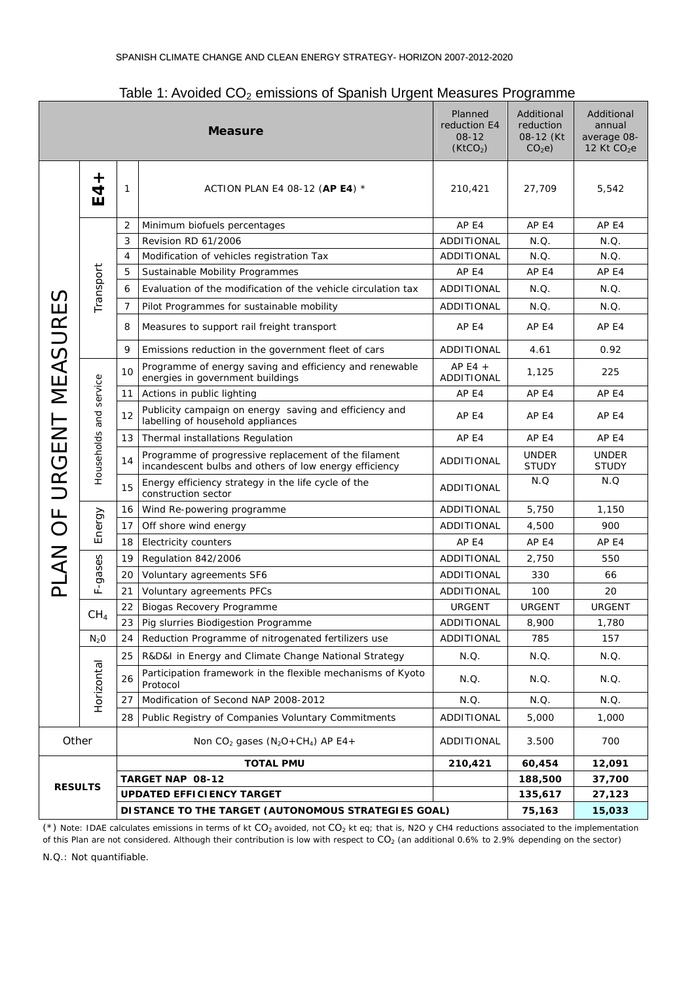| rapio 1.7Wordod OOZ omnobiolo or Opamon Orgon, mododi oo Frogrammo<br>reduction E4<br><b>Measure</b> |                   |    |                                                                                                                |                         | Additional<br>reduction<br>08-12 (Kt)<br>CO <sub>2</sub> e | Additional<br>annual<br>average 08-<br>12 Kt $CO2e$ |
|------------------------------------------------------------------------------------------------------|-------------------|----|----------------------------------------------------------------------------------------------------------------|-------------------------|------------------------------------------------------------|-----------------------------------------------------|
|                                                                                                      | $\ddag$<br>4<br>ш | 1  | ACTION PLAN E4 08-12 (AP E4) *                                                                                 | 210,421                 | 27,709                                                     | 5,542                                               |
|                                                                                                      |                   | 2  | Minimum biofuels percentages                                                                                   | AP <sub>E4</sub>        | AP E4                                                      | AP E4                                               |
|                                                                                                      | Transport         | 3  | Revision RD 61/2006                                                                                            | <b>ADDITIONAL</b>       | N.Q.                                                       | N.Q.                                                |
|                                                                                                      |                   | 4  | Modification of vehicles registration Tax                                                                      | ADDITIONAL              | N.Q.                                                       | N.Q.                                                |
|                                                                                                      |                   | 5  | Sustainable Mobility Programmes                                                                                | AP E4                   | AP E4                                                      | AP E4                                               |
|                                                                                                      |                   | 6  | Evaluation of the modification of the vehicle circulation tax                                                  | ADDITIONAL              | N.Q.                                                       | N.Q.                                                |
|                                                                                                      |                   | 7  | Pilot Programmes for sustainable mobility                                                                      | ADDITIONAL              | N.Q.                                                       | N.Q.                                                |
|                                                                                                      |                   | 8  | Measures to support rail freight transport                                                                     | AP E4                   | AP E4                                                      | AP E4                                               |
|                                                                                                      |                   | 9  | Emissions reduction in the government fleet of cars                                                            | ADDITIONAL              | 4.61                                                       | 0.92                                                |
| URGENT MEASURES                                                                                      |                   | 10 | Programme of energy saving and efficiency and renewable<br>energies in government buildings                    | AP E4 $+$<br>ADDITIONAL | 1,125                                                      | 225                                                 |
|                                                                                                      | service           | 11 | Actions in public lighting                                                                                     | AP E4                   | AP E4                                                      | AP E4                                               |
|                                                                                                      | and               | 12 | Publicity campaign on energy saving and efficiency and<br>labelling of household appliances                    | AP E4                   | AP E4                                                      | AP E4                                               |
|                                                                                                      |                   | 13 | Thermal installations Regulation                                                                               | AP E4                   | AP E4                                                      | AP E4                                               |
|                                                                                                      | Households        | 14 | Programme of progressive replacement of the filament<br>incandescent bulbs and others of low energy efficiency | ADDITIONAL              | <b>UNDER</b><br><b>STUDY</b>                               | <b>UNDER</b><br><b>STUDY</b>                        |
|                                                                                                      |                   | 15 | Energy efficiency strategy in the life cycle of the<br>construction sector                                     | ADDITIONAL              | N.Q                                                        | N.Q                                                 |
|                                                                                                      |                   | 16 | Wind Re-powering programme                                                                                     | ADDITIONAL              | 5,750                                                      | 1,150                                               |
| PLAN OF                                                                                              | Energy            | 17 | Off shore wind energy                                                                                          | ADDITIONAL              | 4,500                                                      | 900                                                 |
|                                                                                                      |                   | 18 | <b>Electricity counters</b>                                                                                    | AP <sub>E4</sub>        | AP E4                                                      | AP E4                                               |
|                                                                                                      |                   | 19 | Regulation 842/2006                                                                                            | ADDITIONAL              | 2,750                                                      | 550                                                 |
|                                                                                                      | F-gases           | 20 | Voluntary agreements SF6                                                                                       | ADDITIONAL              | 330                                                        | 66                                                  |
|                                                                                                      |                   | 21 | Voluntary agreements PFCs                                                                                      | <b>ADDITIONAL</b>       | 100                                                        | 20                                                  |
|                                                                                                      | CH <sub>4</sub>   | 22 | Biogas Recovery Programme                                                                                      | URGENT                  | <b>URGENT</b>                                              | <b>URGENT</b>                                       |
|                                                                                                      |                   | 23 | Pig slurries Biodigestion Programme                                                                            | ADDITIONAL              | 8,900                                                      | 1,780                                               |
|                                                                                                      | N <sub>2</sub> 0  | 24 | Reduction Programme of nitrogenated fertilizers use                                                            | ADDITIONAL              | 785                                                        | 157                                                 |
|                                                                                                      |                   | 25 | R&D&I in Energy and Climate Change National Strategy                                                           | N.Q.                    | N.Q.                                                       | N.Q.                                                |
|                                                                                                      | Horizontal        | 26 | Participation framework in the flexible mechanisms of Kyoto<br>Protocol                                        | N.Q.                    | N.Q.                                                       | N.Q.                                                |
|                                                                                                      |                   | 27 | Modification of Second NAP 2008-2012                                                                           | N.Q.                    | N.Q.                                                       | N.Q.                                                |
|                                                                                                      |                   | 28 | Public Registry of Companies Voluntary Commitments                                                             | ADDITIONAL              | 5,000                                                      | 1,000                                               |
| Other                                                                                                |                   |    | Non CO <sub>2</sub> gases ( $N_2O+CH_4$ ) AP E4+                                                               | ADDITIONAL              | 3.500                                                      | 700                                                 |
| <b>RESULTS</b>                                                                                       |                   |    | <b>TOTAL PMU</b>                                                                                               | 210,421                 | 60,454                                                     | 12,091                                              |
|                                                                                                      |                   |    | <b>TARGET NAP 08-12</b>                                                                                        |                         | 188,500                                                    | 37,700                                              |
|                                                                                                      |                   |    | <b>UPDATED EFFICIENCY TARGET</b>                                                                               |                         | 135,617                                                    | 27,123                                              |
|                                                                                                      |                   |    | DISTANCE TO THE TARGET (AUTONOMOUS STRATEGIES GOAL)                                                            |                         | 75,163                                                     | 15,033                                              |

Table 1: Avoided CO<sub>2</sub> emissions of Spanish Urgent Measures Programme

(\*) Note: IDAE calculates emissions in terms of kt  $CO_2$  avoided, not  $CO_2$  kt eq; that is, N2O y CH4 reductions associated to the implementation of this Plan are not considered. Although their contribution is low with respect to CO<sub>2</sub> (an additional 0.6% to 2.9% depending on the sector)

N.Q.: Not quantifiable.